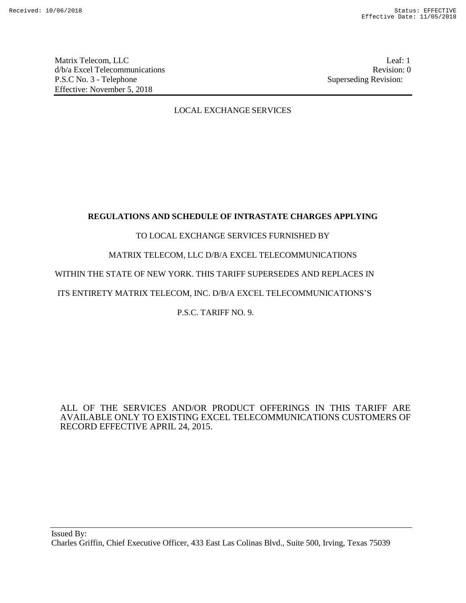Matrix Telecom, LLC Leaf: 1 d/b/a Excel Telecommunications **Review Revision: 0** P.S.C No. 3 - Telephone Superseding Revision: Effective: November 5, 2018

## LOCAL EXCHANGE SERVICES

## **REGULATIONS AND SCHEDULE OF INTRASTATE CHARGES APPLYING**

## TO LOCAL EXCHANGE SERVICES FURNISHED BY

## MATRIX TELECOM, LLC D/B/A EXCEL TELECOMMUNICATIONS

## WITHIN THE STATE OF NEW YORK. THIS TARIFF SUPERSEDES AND REPLACES IN

## ITS ENTIRETY MATRIX TELECOM, INC. D/B/A EXCEL TELECOMMUNICATIONS'S

## P.S.C. TARIFF NO. 9.

## ALL OF THE SERVICES AND/OR PRODUCT OFFERINGS IN THIS TARIFF ARE AVAILABLE ONLY TO EXISTING EXCEL TELECOMMUNICATIONS CUSTOMERS OF RECORD EFFECTIVE APRIL 24, 2015.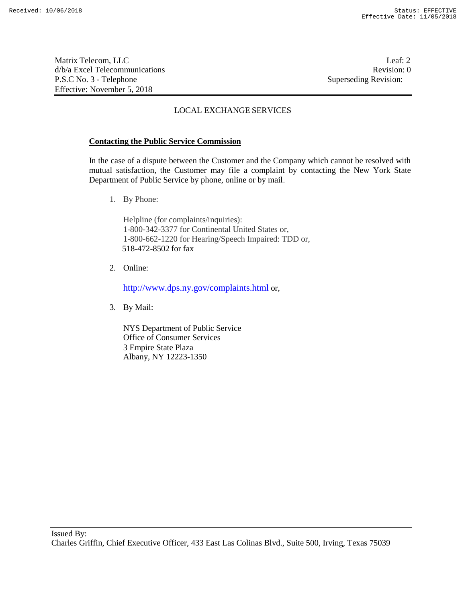Matrix Telecom, LLC Leaf: 2 d/b/a Excel Telecommunications **Review** and the set of the set of the set of the set of the set of the set of the set of the set of the set of the set of the set of the set of the set of the set of the set of the set of th P.S.C No. 3 - Telephone Superseding Revision: Effective: November 5, 2018

## LOCAL EXCHANGE SERVICES

### **Contacting the Public Service Commission**

In the case of a dispute between the Customer and the Company which cannot be resolved with mutual satisfaction, the Customer may file a complaint by contacting the New York State Department of Public Service by phone, online or by mail.

1. By Phone:

Helpline (for complaints/inquiries): 1-800-342-3377 for Continental United States or, 1-800-662-1220 for Hearing/Speech Impaired: TDD or, 518-472-8502 for fax

2. Online:

http://www.dps.ny.gov/complaints.html or,

3. By Mail:

NYS Department of Public Service Office of Consumer Services 3 Empire State Plaza Albany, NY 12223-1350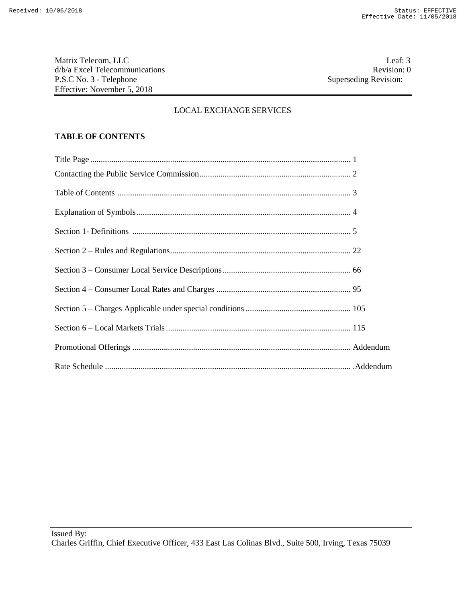Matrix Telecom, LLC<br>  $d/b/a$  Excel Telecommunications<br>
O Revision: 0 d/b/a Excel Telecommunications P.S.C No. 3 - Telephone Superseding Revision: Effective: November 5, 2018

## LOCAL EXCHANGE SERVICES

## **TABLE OF CONTENTS**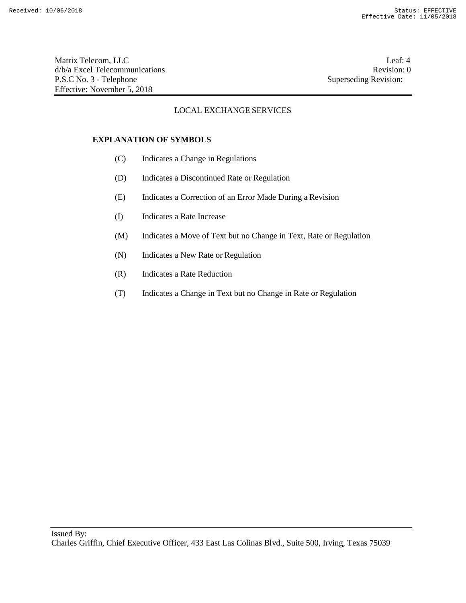Matrix Telecom, LLC Leaf: 4 d/b/a Excel Telecommunications Revision: 0<br>
P.S.C No. 3 - Telephone Superseding Revision: 0 P.S.C No. 3 - Telephone Effective: November 5, 2018

## LOCAL EXCHANGE SERVICES

#### **EXPLANATION OF SYMBOLS**

- (C) Indicates a Change in Regulations
- (D) Indicates a Discontinued Rate or Regulation
- (E) Indicates a Correction of an Error Made During a Revision
- (I) Indicates a Rate Increase
- (M) Indicates a Move of Text but no Change in Text, Rate or Regulation
- (N) Indicates a New Rate or Regulation
- (R) Indicates a Rate Reduction
- (T) Indicates a Change in Text but no Change in Rate or Regulation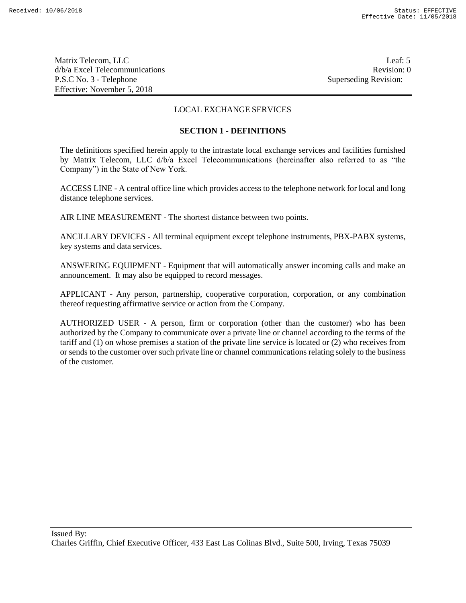Matrix Telecom, LLC Leaf: 5 d/b/a Excel Telecommunications **Review Revision: 0** P.S.C No. 3 - Telephone Superseding Revision: Effective: November 5, 2018

## LOCAL EXCHANGE SERVICES

#### **SECTION 1 - DEFINITIONS**

The definitions specified herein apply to the intrastate local exchange services and facilities furnished by Matrix Telecom, LLC d/b/a Excel Telecommunications (hereinafter also referred to as "the Company") in the State of New York.

ACCESS LINE - A central office line which provides access to the telephone network for local and long distance telephone services.

AIR LINE MEASUREMENT - The shortest distance between two points.

ANCILLARY DEVICES - All terminal equipment except telephone instruments, PBX-PABX systems, key systems and data services.

ANSWERING EQUIPMENT - Equipment that will automatically answer incoming calls and make an announcement. It may also be equipped to record messages.

APPLICANT - Any person, partnership, cooperative corporation, corporation, or any combination thereof requesting affirmative service or action from the Company.

AUTHORIZED USER - A person, firm or corporation (other than the customer) who has been authorized by the Company to communicate over a private line or channel according to the terms of the tariff and (1) on whose premises a station of the private line service is located or (2) who receives from or sends to the customer over such private line or channel communications relating solely to the business of the customer.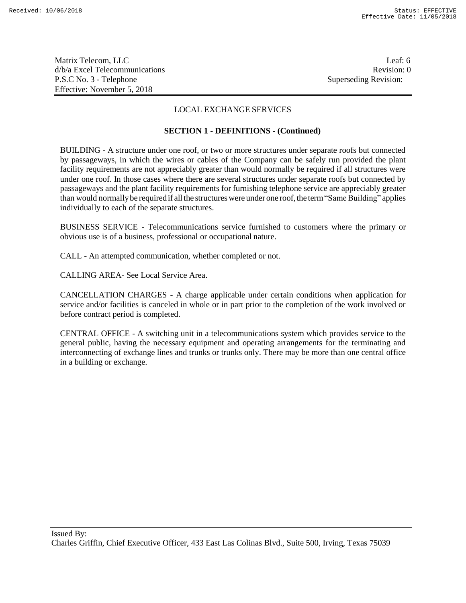Matrix Telecom, LLC Leaf: 6 d/b/a Excel Telecommunications **Review** and the set of the set of the set of the set of the set of the set of the set of the set of the set of the set of the set of the set of the set of the set of the set of the set of th P.S.C No. 3 - Telephone Superseding Revision: Effective: November 5, 2018

## LOCAL EXCHANGE SERVICES

### **SECTION 1 - DEFINITIONS - (Continued)**

BUILDING - A structure under one roof, or two or more structures under separate roofs but connected by passageways, in which the wires or cables of the Company can be safely run provided the plant facility requirements are not appreciably greater than would normally be required if all structures were under one roof. In those cases where there are several structures under separate roofs but connected by passageways and the plant facility requirements for furnishing telephone service are appreciably greater than would normally be required if all the structures were under one roof, the term "Same Building" applies individually to each of the separate structures.

BUSINESS SERVICE - Telecommunications service furnished to customers where the primary or obvious use is of a business, professional or occupational nature.

CALL - An attempted communication, whether completed or not.

CALLING AREA- See Local Service Area.

CANCELLATION CHARGES - A charge applicable under certain conditions when application for service and/or facilities is canceled in whole or in part prior to the completion of the work involved or before contract period is completed.

CENTRAL OFFICE - A switching unit in a telecommunications system which provides service to the general public, having the necessary equipment and operating arrangements for the terminating and interconnecting of exchange lines and trunks or trunks only. There may be more than one central office in a building or exchange.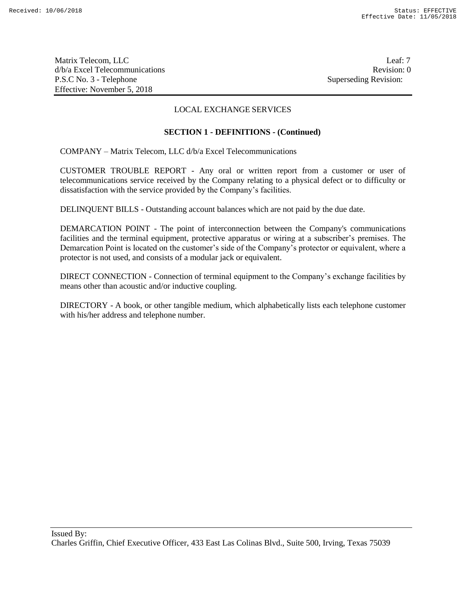Matrix Telecom, LLC Leaf: 7 d/b/a Excel Telecommunications **Review Revision: 0** P.S.C No. 3 - Telephone Superseding Revision: Effective: November 5, 2018

## LOCAL EXCHANGE SERVICES

## **SECTION 1 - DEFINITIONS - (Continued)**

COMPANY – Matrix Telecom, LLC d/b/a Excel Telecommunications

CUSTOMER TROUBLE REPORT - Any oral or written report from a customer or user of telecommunications service received by the Company relating to a physical defect or to difficulty or dissatisfaction with the service provided by the Company's facilities.

DELINQUENT BILLS - Outstanding account balances which are not paid by the due date.

DEMARCATION POINT - The point of interconnection between the Company's communications facilities and the terminal equipment, protective apparatus or wiring at a subscriber's premises. The Demarcation Point is located on the customer's side of the Company's protector or equivalent, where a protector is not used, and consists of a modular jack or equivalent.

DIRECT CONNECTION - Connection of terminal equipment to the Company's exchange facilities by means other than acoustic and/or inductive coupling.

DIRECTORY - A book, or other tangible medium, which alphabetically lists each telephone customer with his/her address and telephone number.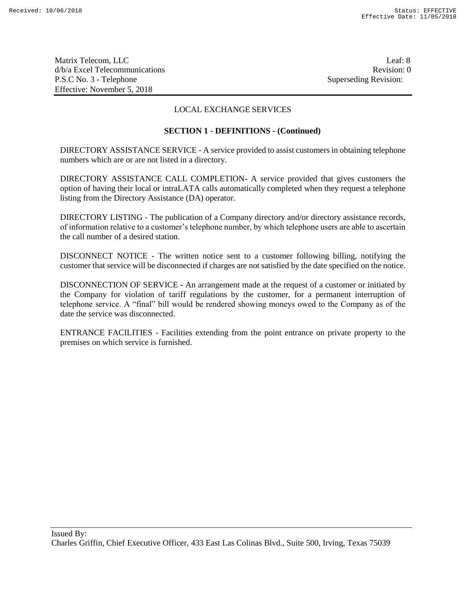Matrix Telecom, LLC Leaf: 8 d/b/a Excel Telecommunications **Review** and the set of the set of the set of the set of the set of the set of the set of the set of the set of the set of the set of the set of the set of the set of the set of the set of th P.S.C No. 3 - Telephone Superseding Revision: Effective: November 5, 2018

## LOCAL EXCHANGE SERVICES

### **SECTION 1 - DEFINITIONS - (Continued)**

DIRECTORY ASSISTANCE SERVICE - A service provided to assist customers in obtaining telephone numbers which are or are not listed in a directory.

DIRECTORY ASSISTANCE CALL COMPLETION- A service provided that gives customers the option of having their local or intraLATA calls automatically completed when they request a telephone listing from the Directory Assistance (DA) operator.

DIRECTORY LISTING - The publication of a Company directory and/or directory assistance records, of information relative to a customer's telephone number, by which telephone users are able to ascertain the call number of a desired station.

DISCONNECT NOTICE - The written notice sent to a customer following billing, notifying the customer that service will be disconnected if charges are not satisfied by the date specified on the notice.

DISCONNECTION OF SERVICE - An arrangement made at the request of a customer or initiated by the Company for violation of tariff regulations by the customer, for a permanent interruption of telephone service. A "final" bill would be rendered showing moneys owed to the Company as of the date the service was disconnected.

ENTRANCE FACILITIES - Facilities extending from the point entrance on private property to the premises on which service is furnished.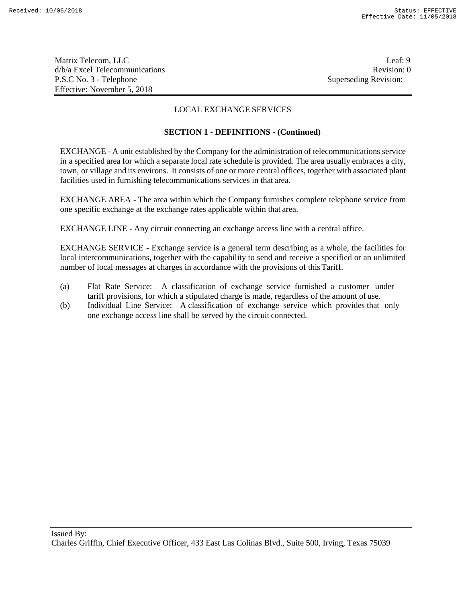Matrix Telecom, LLC Leaf: 9 d/b/a Excel Telecommunications **Review** and the set of the set of the set of the set of the set of the set of the set of the set of the set of the set of the set of the set of the set of the set of the set of the set of th P.S.C No. 3 - Telephone Superseding Revision: Effective: November 5, 2018

## LOCAL EXCHANGE SERVICES

## **SECTION 1 - DEFINITIONS - (Continued)**

EXCHANGE - A unit established by the Company for the administration of telecommunications service in a specified area for which a separate local rate schedule is provided. The area usually embraces a city, town, or village and its environs. It consists of one or more central offices, together with associated plant facilities used in furnishing telecommunications services in that area.

EXCHANGE AREA - The area within which the Company furnishes complete telephone service from one specific exchange at the exchange rates applicable within that area.

EXCHANGE LINE - Any circuit connecting an exchange access line with a central office.

EXCHANGE SERVICE - Exchange service is a general term describing as a whole, the facilities for local intercommunications, together with the capability to send and receive a specified or an unlimited number of local messages at charges in accordance with the provisions of this Tariff.

- (a) Flat Rate Service: A classification of exchange service furnished a customer under tariff provisions, for which a stipulated charge is made, regardless of the amount of use.
- (b) Individual Line Service: A classification of exchange service which provides that only one exchange access line shall be served by the circuit connected.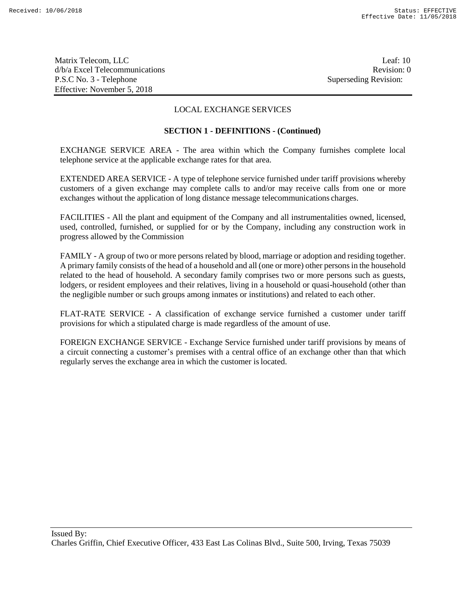Matrix Telecom, LLC Leaf: 10 d/b/a Excel Telecommunications **Review** and the set of the set of the set of the set of the set of the set of the set of the set of the set of the set of the set of the set of the set of the set of the set of the set of th P.S.C No. 3 - Telephone Superseding Revision: Effective: November 5, 2018

## LOCAL EXCHANGE SERVICES

#### **SECTION 1 - DEFINITIONS - (Continued)**

EXCHANGE SERVICE AREA - The area within which the Company furnishes complete local telephone service at the applicable exchange rates for that area.

EXTENDED AREA SERVICE - A type of telephone service furnished under tariff provisions whereby customers of a given exchange may complete calls to and/or may receive calls from one or more exchanges without the application of long distance message telecommunications charges.

FACILITIES - All the plant and equipment of the Company and all instrumentalities owned, licensed, used, controlled, furnished, or supplied for or by the Company, including any construction work in progress allowed by the Commission

FAMILY - A group of two or more persons related by blood, marriage or adoption and residing together. A primary family consists of the head of a household and all (one or more) other persons in the household related to the head of household. A secondary family comprises two or more persons such as guests, lodgers, or resident employees and their relatives, living in a household or quasi-household (other than the negligible number or such groups among inmates or institutions) and related to each other.

FLAT-RATE SERVICE - A classification of exchange service furnished a customer under tariff provisions for which a stipulated charge is made regardless of the amount of use.

FOREIGN EXCHANGE SERVICE - Exchange Service furnished under tariff provisions by means of a circuit connecting a customer's premises with a central office of an exchange other than that which regularly serves the exchange area in which the customer islocated.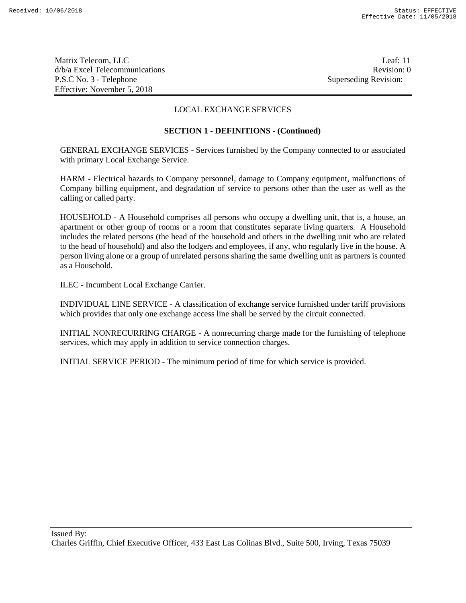Matrix Telecom, LLC Leaf: 11 d/b/a Excel Telecommunications **Review** and the set of the set of the set of the set of the set of the set of the set of the set of the set of the set of the set of the set of the set of the set of the set of the set of th P.S.C No. 3 - Telephone Superseding Revision: Effective: November 5, 2018

## LOCAL EXCHANGE SERVICES

### **SECTION 1 - DEFINITIONS - (Continued)**

GENERAL EXCHANGE SERVICES - Services furnished by the Company connected to or associated with primary Local Exchange Service.

HARM - Electrical hazards to Company personnel, damage to Company equipment, malfunctions of Company billing equipment, and degradation of service to persons other than the user as well as the calling or called party.

HOUSEHOLD - A Household comprises all persons who occupy a dwelling unit, that is, a house, an apartment or other group of rooms or a room that constitutes separate living quarters. A Household includes the related persons (the head of the household and others in the dwelling unit who are related to the head of household) and also the lodgers and employees, if any, who regularly live in the house. A person living alone or a group of unrelated persons sharing the same dwelling unit as partners is counted as a Household.

ILEC - Incumbent Local Exchange Carrier.

INDIVIDUAL LINE SERVICE - A classification of exchange service furnished under tariff provisions which provides that only one exchange access line shall be served by the circuit connected.

INITIAL NONRECURRING CHARGE - A nonrecurring charge made for the furnishing of telephone services, which may apply in addition to service connection charges.

INITIAL SERVICE PERIOD - The minimum period of time for which service is provided.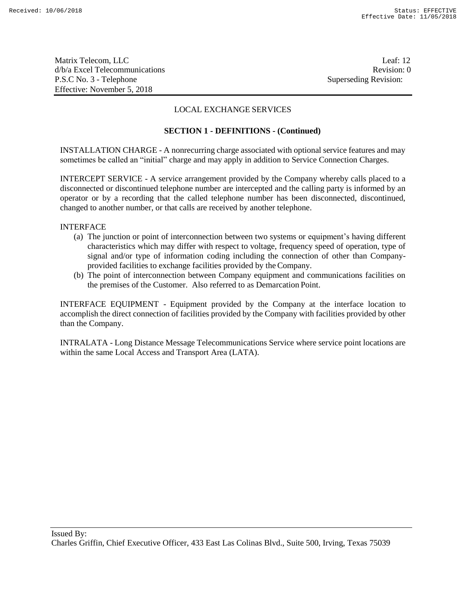Matrix Telecom, LLC Leaf: 12 d/b/a Excel Telecommunications **Review** and the set of the set of the set of the set of the set of the set of the set of the set of the set of the set of the set of the set of the set of the set of the set of the set of th P.S.C No. 3 - Telephone Superseding Revision: Effective: November 5, 2018

## LOCAL EXCHANGE SERVICES

### **SECTION 1 - DEFINITIONS - (Continued)**

INSTALLATION CHARGE - A nonrecurring charge associated with optional service features and may sometimes be called an "initial" charge and may apply in addition to Service Connection Charges.

INTERCEPT SERVICE - A service arrangement provided by the Company whereby calls placed to a disconnected or discontinued telephone number are intercepted and the calling party is informed by an operator or by a recording that the called telephone number has been disconnected, discontinued, changed to another number, or that calls are received by another telephone.

INTERFACE

- (a) The junction or point of interconnection between two systems or equipment's having different characteristics which may differ with respect to voltage, frequency speed of operation, type of signal and/or type of information coding including the connection of other than Companyprovided facilities to exchange facilities provided by the Company.
- (b) The point of interconnection between Company equipment and communications facilities on the premises of the Customer. Also referred to as Demarcation Point.

INTERFACE EQUIPMENT - Equipment provided by the Company at the interface location to accomplish the direct connection of facilities provided by the Company with facilities provided by other than the Company.

INTRALATA - Long Distance Message Telecommunications Service where service point locations are within the same Local Access and Transport Area (LATA).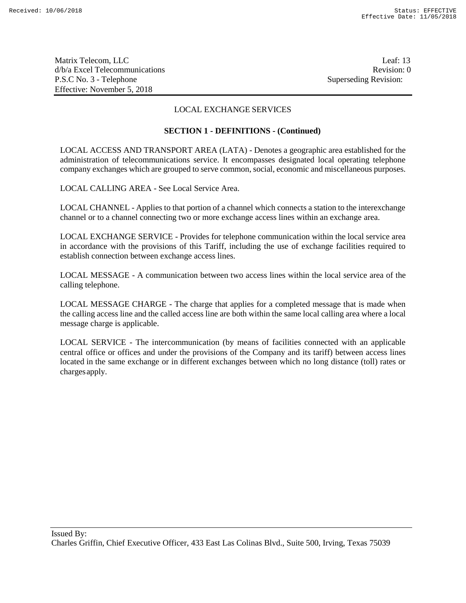Matrix Telecom, LLC Leaf: 13 d/b/a Excel Telecommunications **Review** and the set of the set of the set of the set of the set of the set of the set of the set of the set of the set of the set of the set of the set of the set of the set of the set of th P.S.C No. 3 - Telephone Superseding Revision: Effective: November 5, 2018

## LOCAL EXCHANGE SERVICES

### **SECTION 1 - DEFINITIONS - (Continued)**

LOCAL ACCESS AND TRANSPORT AREA (LATA) - Denotes a geographic area established for the administration of telecommunications service. It encompasses designated local operating telephone company exchanges which are grouped to serve common, social, economic and miscellaneous purposes.

LOCAL CALLING AREA - See Local Service Area.

LOCAL CHANNEL - Applies to that portion of a channel which connects a station to the interexchange channel or to a channel connecting two or more exchange access lines within an exchange area.

LOCAL EXCHANGE SERVICE - Provides for telephone communication within the local service area in accordance with the provisions of this Tariff, including the use of exchange facilities required to establish connection between exchange access lines.

LOCAL MESSAGE - A communication between two access lines within the local service area of the calling telephone.

LOCAL MESSAGE CHARGE - The charge that applies for a completed message that is made when the calling access line and the called access line are both within the same local calling area where a local message charge is applicable.

LOCAL SERVICE - The intercommunication (by means of facilities connected with an applicable central office or offices and under the provisions of the Company and its tariff) between access lines located in the same exchange or in different exchanges between which no long distance (toll) rates or chargesapply.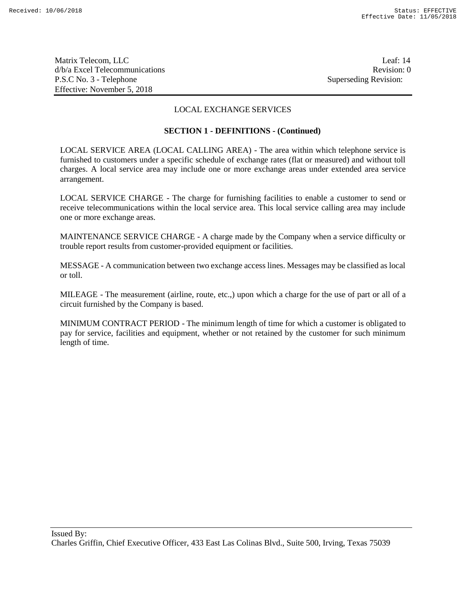Matrix Telecom, LLC Leaf: 14 d/b/a Excel Telecommunications **Review** and the set of the set of the set of the set of the set of the set of the set of the set of the set of the set of the set of the set of the set of the set of the set of the set of th P.S.C No. 3 - Telephone Superseding Revision: Effective: November 5, 2018

## LOCAL EXCHANGE SERVICES

### **SECTION 1 - DEFINITIONS - (Continued)**

LOCAL SERVICE AREA (LOCAL CALLING AREA) - The area within which telephone service is furnished to customers under a specific schedule of exchange rates (flat or measured) and without toll charges. A local service area may include one or more exchange areas under extended area service arrangement.

LOCAL SERVICE CHARGE - The charge for furnishing facilities to enable a customer to send or receive telecommunications within the local service area. This local service calling area may include one or more exchange areas.

MAINTENANCE SERVICE CHARGE - A charge made by the Company when a service difficulty or trouble report results from customer-provided equipment or facilities.

MESSAGE - A communication between two exchange access lines. Messages may be classified as local or toll.

MILEAGE - The measurement (airline, route, etc.,) upon which a charge for the use of part or all of a circuit furnished by the Company is based.

MINIMUM CONTRACT PERIOD - The minimum length of time for which a customer is obligated to pay for service, facilities and equipment, whether or not retained by the customer for such minimum length of time.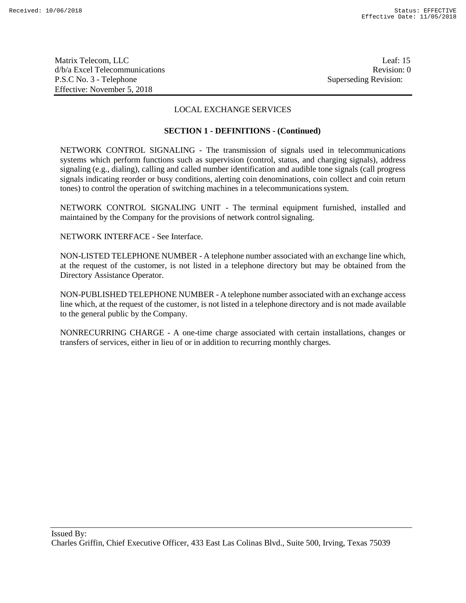Matrix Telecom, LLC Leaf: 15 d/b/a Excel Telecommunications **Review** and the set of the set of the set of the set of the set of the set of the set of the set of the set of the set of the set of the set of the set of the set of the set of the set of th P.S.C No. 3 - Telephone Superseding Revision: Effective: November 5, 2018

## LOCAL EXCHANGE SERVICES

### **SECTION 1 - DEFINITIONS - (Continued)**

NETWORK CONTROL SIGNALING - The transmission of signals used in telecommunications systems which perform functions such as supervision (control, status, and charging signals), address signaling (e.g., dialing), calling and called number identification and audible tone signals (call progress signals indicating reorder or busy conditions, alerting coin denominations, coin collect and coin return tones) to control the operation of switching machines in a telecommunications system.

NETWORK CONTROL SIGNALING UNIT - The terminal equipment furnished, installed and maintained by the Company for the provisions of network controlsignaling.

NETWORK INTERFACE - See Interface.

NON-LISTED TELEPHONE NUMBER - A telephone number associated with an exchange line which, at the request of the customer, is not listed in a telephone directory but may be obtained from the Directory Assistance Operator.

NON-PUBLISHED TELEPHONE NUMBER - A telephone number associated with an exchange access line which, at the request of the customer, is not listed in a telephone directory and is not made available to the general public by the Company.

NONRECURRING CHARGE - A one-time charge associated with certain installations, changes or transfers of services, either in lieu of or in addition to recurring monthly charges.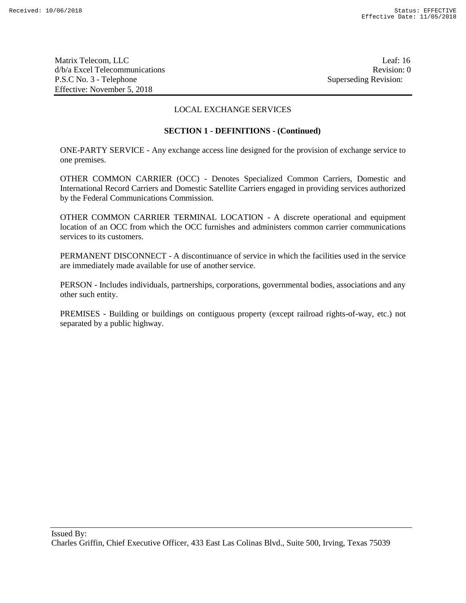Matrix Telecom, LLC Leaf: 16 d/b/a Excel Telecommunications **Review** and the set of the set of the set of the set of the set of the set of the set of the set of the set of the set of the set of the set of the set of the set of the set of the set of th P.S.C No. 3 - Telephone Superseding Revision: Effective: November 5, 2018

## LOCAL EXCHANGE SERVICES

#### **SECTION 1 - DEFINITIONS - (Continued)**

ONE-PARTY SERVICE - Any exchange access line designed for the provision of exchange service to one premises.

OTHER COMMON CARRIER (OCC) - Denotes Specialized Common Carriers, Domestic and International Record Carriers and Domestic Satellite Carriers engaged in providing services authorized by the Federal Communications Commission.

OTHER COMMON CARRIER TERMINAL LOCATION - A discrete operational and equipment location of an OCC from which the OCC furnishes and administers common carrier communications services to its customers.

PERMANENT DISCONNECT - A discontinuance of service in which the facilities used in the service are immediately made available for use of another service.

PERSON - Includes individuals, partnerships, corporations, governmental bodies, associations and any other such entity.

PREMISES - Building or buildings on contiguous property (except railroad rights-of-way, etc.) not separated by a public highway.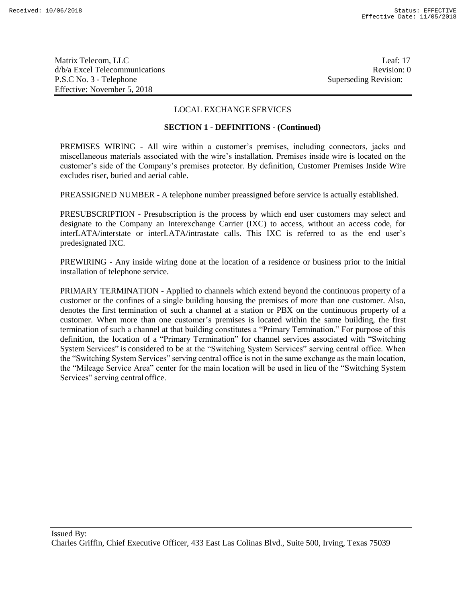Matrix Telecom, LLC Leaf: 17 d/b/a Excel Telecommunications **Review Revision:** 0 P.S.C No. 3 - Telephone Superseding Revision: Effective: November 5, 2018

## LOCAL EXCHANGE SERVICES

#### **SECTION 1 - DEFINITIONS - (Continued)**

PREMISES WIRING - All wire within a customer's premises, including connectors, jacks and miscellaneous materials associated with the wire's installation. Premises inside wire is located on the customer's side of the Company's premises protector. By definition, Customer Premises Inside Wire excludes riser, buried and aerial cable.

PREASSIGNED NUMBER - A telephone number preassigned before service is actually established.

PRESUBSCRIPTION - Presubscription is the process by which end user customers may select and designate to the Company an Interexchange Carrier (IXC) to access, without an access code, for interLATA/interstate or interLATA/intrastate calls. This IXC is referred to as the end user's predesignated IXC.

PREWIRING - Any inside wiring done at the location of a residence or business prior to the initial installation of telephone service.

PRIMARY TERMINATION - Applied to channels which extend beyond the continuous property of a customer or the confines of a single building housing the premises of more than one customer. Also, denotes the first termination of such a channel at a station or PBX on the continuous property of a customer. When more than one customer's premises is located within the same building, the first termination of such a channel at that building constitutes a "Primary Termination." For purpose of this definition, the location of a "Primary Termination" for channel services associated with "Switching System Services" is considered to be at the "Switching System Services" serving central office. When the "Switching System Services" serving central office is not in the same exchange as the main location, the "Mileage Service Area" center for the main location will be used in lieu of the "Switching System Services" serving centraloffice.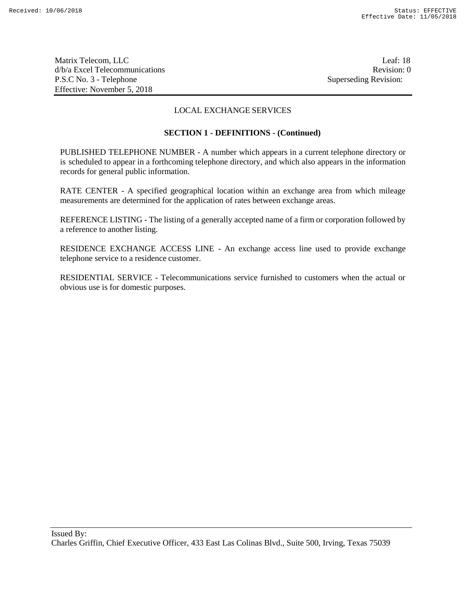Matrix Telecom, LLC Leaf: 18 d/b/a Excel Telecommunications **Review Revision: 0** P.S.C No. 3 - Telephone Superseding Revision: Effective: November 5, 2018

## LOCAL EXCHANGE SERVICES

#### **SECTION 1 - DEFINITIONS - (Continued)**

PUBLISHED TELEPHONE NUMBER - A number which appears in a current telephone directory or is scheduled to appear in a forthcoming telephone directory, and which also appears in the information records for general public information.

RATE CENTER - A specified geographical location within an exchange area from which mileage measurements are determined for the application of rates between exchange areas.

REFERENCE LISTING - The listing of a generally accepted name of a firm or corporation followed by a reference to another listing.

RESIDENCE EXCHANGE ACCESS LINE - An exchange access line used to provide exchange telephone service to a residence customer.

RESIDENTIAL SERVICE - Telecommunications service furnished to customers when the actual or obvious use is for domestic purposes.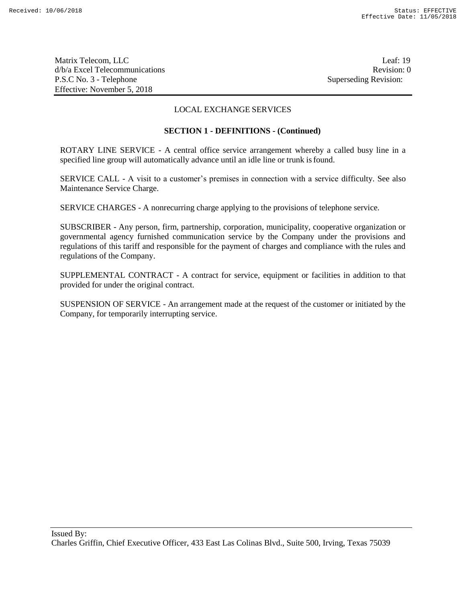Matrix Telecom, LLC Leaf: 19 d/b/a Excel Telecommunications Revision: 0 P.S.C No. 3 - Telephone Superseding Revision: Effective: November 5, 2018

## LOCAL EXCHANGE SERVICES

### **SECTION 1 - DEFINITIONS - (Continued)**

ROTARY LINE SERVICE - A central office service arrangement whereby a called busy line in a specified line group will automatically advance until an idle line or trunk isfound.

SERVICE CALL - A visit to a customer's premises in connection with a service difficulty. See also Maintenance Service Charge.

SERVICE CHARGES - A nonrecurring charge applying to the provisions of telephone service.

SUBSCRIBER - Any person, firm, partnership, corporation, municipality, cooperative organization or governmental agency furnished communication service by the Company under the provisions and regulations of this tariff and responsible for the payment of charges and compliance with the rules and regulations of the Company.

SUPPLEMENTAL CONTRACT - A contract for service, equipment or facilities in addition to that provided for under the original contract.

SUSPENSION OF SERVICE - An arrangement made at the request of the customer or initiated by the Company, for temporarily interrupting service.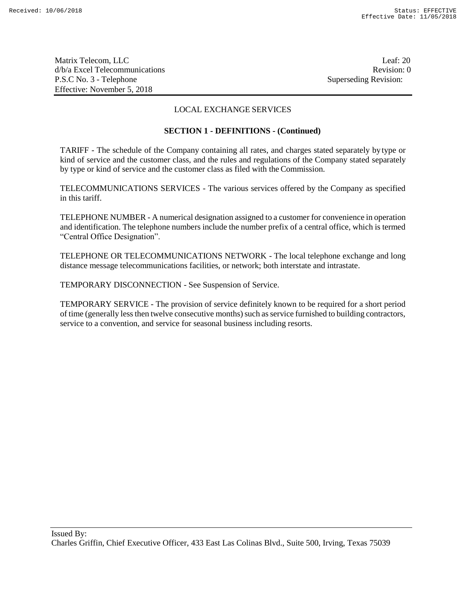Matrix Telecom, LLC Leaf: 20 d/b/a Excel Telecommunications **Review** and the set of the set of the set of the set of the set of the set of the set of the set of the set of the set of the set of the set of the set of the set of the set of the set of th P.S.C No. 3 - Telephone Superseding Revision: Effective: November 5, 2018

## LOCAL EXCHANGE SERVICES

### **SECTION 1 - DEFINITIONS - (Continued)**

TARIFF - The schedule of the Company containing all rates, and charges stated separately bytype or kind of service and the customer class, and the rules and regulations of the Company stated separately by type or kind of service and the customer class as filed with the Commission.

TELECOMMUNICATIONS SERVICES - The various services offered by the Company as specified in this tariff.

TELEPHONE NUMBER - A numerical designation assigned to a customer for convenience in operation and identification. The telephone numbers include the number prefix of a central office, which is termed "Central Office Designation".

TELEPHONE OR TELECOMMUNICATIONS NETWORK - The local telephone exchange and long distance message telecommunications facilities, or network; both interstate and intrastate.

TEMPORARY DISCONNECTION - See Suspension of Service.

TEMPORARY SERVICE - The provision of service definitely known to be required for a short period of time (generally less then twelve consecutive months) such as service furnished to building contractors, service to a convention, and service for seasonal business including resorts.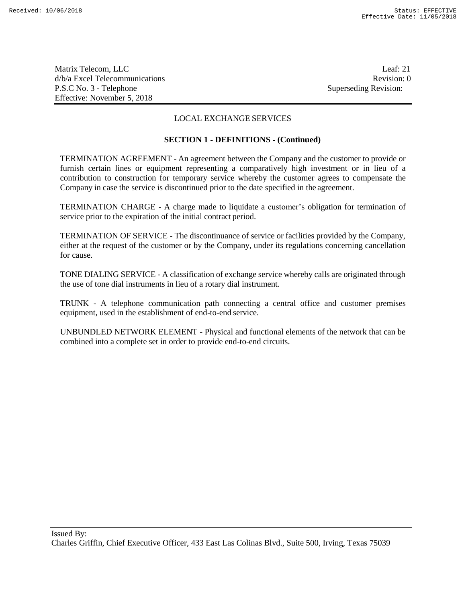Matrix Telecom, LLC Leaf: 21 d/b/a Excel Telecommunications **Review** and the set of the set of the set of the set of the set of the set of the set of the set of the set of the set of the set of the set of the set of the set of the set of the set of th P.S.C No. 3 - Telephone Superseding Revision: Effective: November 5, 2018

## LOCAL EXCHANGE SERVICES

#### **SECTION 1 - DEFINITIONS - (Continued)**

TERMINATION AGREEMENT - An agreement between the Company and the customer to provide or furnish certain lines or equipment representing a comparatively high investment or in lieu of a contribution to construction for temporary service whereby the customer agrees to compensate the Company in case the service is discontinued prior to the date specified in the agreement.

TERMINATION CHARGE - A charge made to liquidate a customer's obligation for termination of service prior to the expiration of the initial contract period.

TERMINATION OF SERVICE - The discontinuance of service or facilities provided by the Company, either at the request of the customer or by the Company, under its regulations concerning cancellation for cause.

TONE DIALING SERVICE - A classification of exchange service whereby calls are originated through the use of tone dial instruments in lieu of a rotary dial instrument.

TRUNK - A telephone communication path connecting a central office and customer premises equipment, used in the establishment of end-to-end service.

UNBUNDLED NETWORK ELEMENT - Physical and functional elements of the network that can be combined into a complete set in order to provide end-to-end circuits.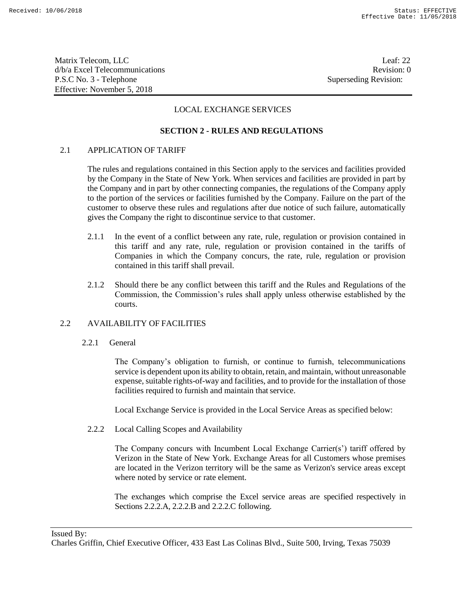Matrix Telecom, LLC Leaf: 22 d/b/a Excel Telecommunications **Review** and the set of the set of the set of the set of the set of the set of the set of the set of the set of the set of the set of the set of the set of the set of the set of the set of th P.S.C No. 3 - Telephone Superseding Revision: Effective: November 5, 2018

## LOCAL EXCHANGE SERVICES

## **SECTION 2 - RULES AND REGULATIONS**

## 2.1 APPLICATION OF TARIFF

The rules and regulations contained in this Section apply to the services and facilities provided by the Company in the State of New York. When services and facilities are provided in part by the Company and in part by other connecting companies, the regulations of the Company apply to the portion of the services or facilities furnished by the Company. Failure on the part of the customer to observe these rules and regulations after due notice of such failure, automatically gives the Company the right to discontinue service to that customer.

- 2.1.1 In the event of a conflict between any rate, rule, regulation or provision contained in this tariff and any rate, rule, regulation or provision contained in the tariffs of Companies in which the Company concurs, the rate, rule, regulation or provision contained in this tariff shall prevail.
- 2.1.2 Should there be any conflict between this tariff and the Rules and Regulations of the Commission, the Commission's rules shall apply unless otherwise established by the courts.

## 2.2 AVAILABILITY OF FACILITIES

2.2.1 General

The Company's obligation to furnish, or continue to furnish, telecommunications service is dependent upon its ability to obtain, retain, and maintain, without unreasonable expense, suitable rights-of-way and facilities, and to provide for the installation of those facilities required to furnish and maintain that service.

Local Exchange Service is provided in the Local Service Areas as specified below:

2.2.2 Local Calling Scopes and Availability

The Company concurs with Incumbent Local Exchange Carrier(s') tariff offered by Verizon in the State of New York. Exchange Areas for all Customers whose premises are located in the Verizon territory will be the same as Verizon's service areas except where noted by service or rate element.

The exchanges which comprise the Excel service areas are specified respectively in Sections 2.2.2.A, 2.2.2.B and 2.2.2.C following.

Issued By: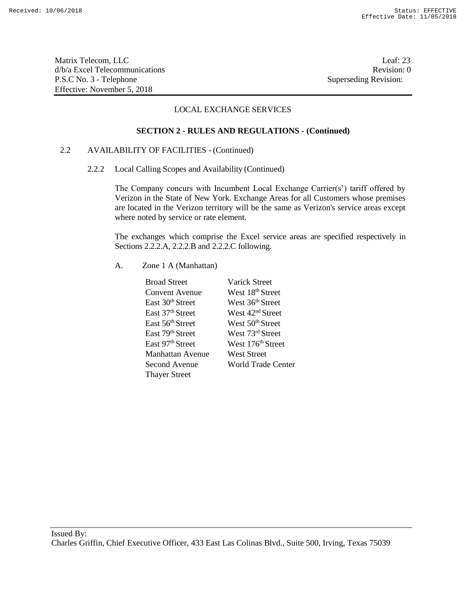Matrix Telecom, LLC Leaf: 23 d/b/a Excel Telecommunications **Review Revision: 0** P.S.C No. 3 - Telephone Superseding Revision: Effective: November 5, 2018

## LOCAL EXCHANGE SERVICES

#### **SECTION 2 - RULES AND REGULATIONS - (Continued)**

## 2.2 AVAILABILITY OF FACILITIES - (Continued)

2.2.2 Local Calling Scopes and Availability (Continued)

The Company concurs with Incumbent Local Exchange Carrier(s') tariff offered by Verizon in the State of New York. Exchange Areas for all Customers whose premises are located in the Verizon territory will be the same as Verizon's service areas except where noted by service or rate element.

The exchanges which comprise the Excel service areas are specified respectively in Sections 2.2.2.A, 2.2.2.B and 2.2.2.C following.

A. Zone 1 A (Manhattan)

| <b>Broad Street</b>          | <b>Varick Street</b>          |
|------------------------------|-------------------------------|
| Convent Avenue               | West 18 <sup>th</sup> Street  |
| East 30 <sup>th</sup> Street | West 36 <sup>th</sup> Street  |
| East 37 <sup>th</sup> Street | West 42 <sup>nd</sup> Street  |
| East 56 <sup>th</sup> Street | West 50 <sup>th</sup> Street  |
| East 79th Street             | West 73rd Street              |
| East 97 <sup>th</sup> Street | West 176 <sup>th</sup> Street |
| Manhattan Avenue             | <b>West Street</b>            |
| Second Avenue                | <b>World Trade Center</b>     |
| <b>Thayer Street</b>         |                               |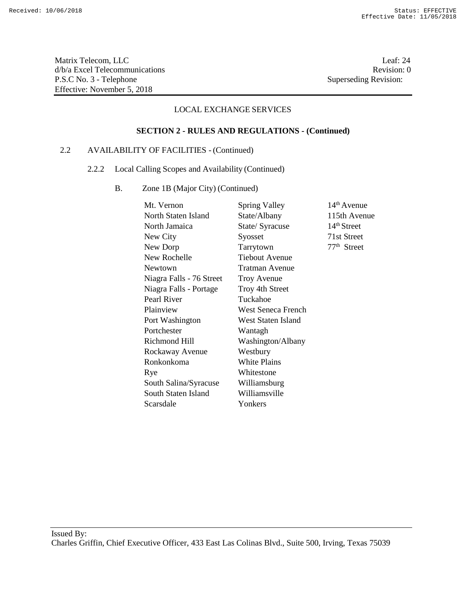Matrix Telecom, LLC Leaf: 24 d/b/a Excel Telecommunications Revision: 0 P.S.C No. 3 - Telephone Superseding Revision: Effective: November 5, 2018

## LOCAL EXCHANGE SERVICES

## **SECTION 2 - RULES AND REGULATIONS - (Continued)**

## 2.2 AVAILABILITY OF FACILITIES - (Continued)

- 2.2.2 Local Calling Scopes and Availability (Continued)
	- B. Zone 1B (Major City) (Continued)

| Mt. Vernon               | Spring Valley         | $14th$ Avenue           |
|--------------------------|-----------------------|-------------------------|
| North Staten Island      | State/Albany          | 115th Avenue            |
| North Jamaica            | State/Syracuse        | 14 <sup>th</sup> Street |
| New City                 | Syosset               | 71st Street             |
| New Dorp                 | Tarrytown             | 77 <sup>th</sup> Street |
| New Rochelle             | <b>Tiebout Avenue</b> |                         |
| Newtown                  | <b>Tratman Avenue</b> |                         |
| Niagra Falls - 76 Street | <b>Troy Avenue</b>    |                         |
| Niagra Falls - Portage   | Troy 4th Street       |                         |
| Pearl River              | Tuckahoe              |                         |
| Plainview                | West Seneca French    |                         |
| Port Washington          | West Staten Island    |                         |
| Portchester              | Wantagh               |                         |
| Richmond Hill            | Washington/Albany     |                         |
| Rockaway Avenue          | Westbury              |                         |
| Ronkonkoma               | White Plains          |                         |
| Rye                      | Whitestone            |                         |
| South Salina/Syracuse    | Williamsburg          |                         |
| South Staten Island      | Williamsville         |                         |
| Scarsdale                | Yonkers               |                         |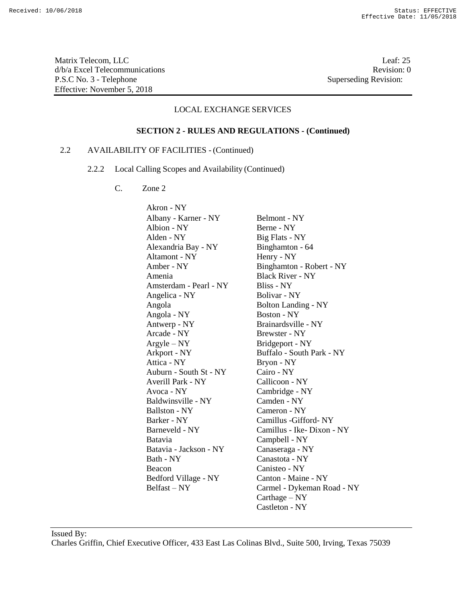Matrix Telecom, LLC Leaf: 25 d/b/a Excel Telecommunications **Review** and the set of the set of the set of the set of the set of the set of the set of the set of the set of the set of the set of the set of the set of the set of the set of the set of th P.S.C No. 3 - Telephone Superseding Revision: Effective: November 5, 2018

#### LOCAL EXCHANGE SERVICES

#### **SECTION 2 - RULES AND REGULATIONS - (Continued)**

## 2.2 AVAILABILITY OF FACILITIES - (Continued)

- 2.2.2 Local Calling Scopes and Availability (Continued)
	- C. Zone 2

Akron - NY Albany - Karner - NY Belmont - NY Albion - NY Berne - NY Alden - NY Big Flats - NY Alexandria Bay - NY Binghamton - 64 Altamont - NY Henry - NY Amber - NY Binghamton - Robert - NY Amenia Black River - NY Amsterdam - Pearl - NY Bliss - NY Angelica - NY Bolivar - NY Angola Bolton Landing - NY Angola - NY Boston - NY Antwerp - NY Brainardsville - NY Arcade - NY Brewster - NY Argyle – NY Bridgeport - NY Arkport - NY Buffalo - South Park - NY Attica - NY Bryon - NY Auburn - South St - NY Cairo - NY Averill Park - NY Callicoon - NY Avoca - NY Cambridge - NY Baldwinsville - NY Camden - NY Ballston - NY Cameron - NY Barker - NY Camillus -Gifford- NY Barneveld - NY Camillus - Ike- Dixon - NY Batavia Campbell - NY Batavia - Jackson - NY Canaseraga - NY Bath - NY Canastota - NY Beacon Canisteo - NY Bedford Village - NY Canton - Maine - NY Belfast – NY Carmel - Dykeman Road - NY Carthage – NY Castleton - NY

Issued By: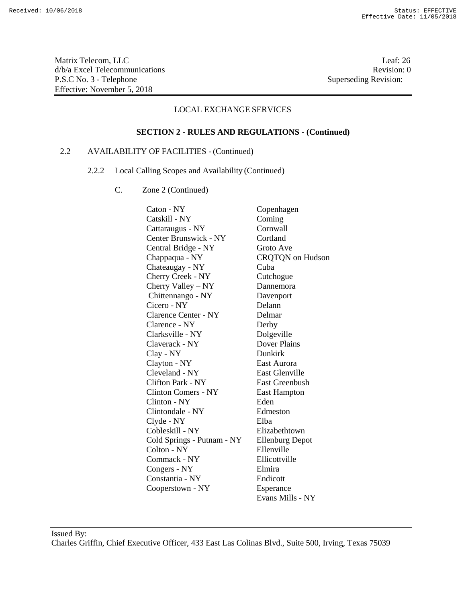Matrix Telecom, LLC Leaf: 26 d/b/a Excel Telecommunications **Review** and the set of the set of the set of the set of the set of the set of the set of the set of the set of the set of the set of the set of the set of the set of the set of the set of th P.S.C No. 3 - Telephone Superseding Revision: Effective: November 5, 2018

### LOCAL EXCHANGE SERVICES

#### **SECTION 2 - RULES AND REGULATIONS - (Continued)**

## 2.2 AVAILABILITY OF FACILITIES - (Continued)

- 2.2.2 Local Calling Scopes and Availability (Continued)
	- C. Zone 2 (Continued)

Caton - NY Copenhagen Catskill - NY Coming Cattaraugus - NY Cornwall Center Brunswick - NY Cortland Central Bridge - NY Groto Ave Chappaqua - NY CRQTQN on Hudson Chateaugay - NY Cuba Cherry Creek - NY Cutchogue Cherry Valley – NY Dannemora Chittennango - NY Davenport Cicero - NY Delann Clarence Center - NY Delmar Clarence - NY Derby Clarksville - NY Dolgeville Claverack - NY Dover Plains Clay - NY Dunkirk Clayton - NY East Aurora Cleveland - NY East Glenville Clifton Park - NY East Greenbush Clinton Comers - NY East Hampton Clinton - NY Eden Clintondale - NY Edmeston Clyde - NY Elba Cobleskill - NY Elizabethtown Cold Springs - Putnam - NY Ellenburg Depot Colton - NY Ellenville Commack - NY Ellicottville Congers - NY Elmira Constantia - NY Endicott Cooperstown - NY Esperance Evans Mills - NY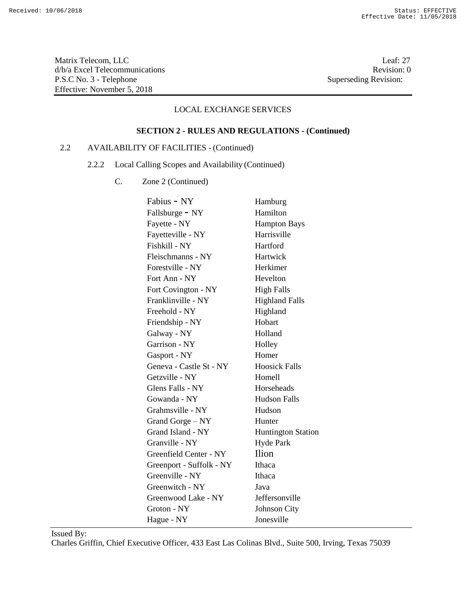Matrix Telecom, LLC Leaf: 27 d/b/a Excel Telecommunications Revision: 0<br>P.S.C No. 3 - Telephone Superseding Revision: 0 P.S.C No. 3 - Telephone Effective: November 5, 2018

## LOCAL EXCHANGE SERVICES

# **SECTION 2 - RULES AND REGULATIONS - (Continued)**

## 2.2 AVAILABILITY OF FACILITIES - (Continued)

- 2.2.2 Local Calling Scopes and Availability (Continued)
	- C. Zone 2 (Continued)

| Fabius - NY              | Hamburg                   |
|--------------------------|---------------------------|
| Fallsburge - NY          | Hamilton                  |
| Fayette - NY             | <b>Hampton Bays</b>       |
| Fayetteville - NY        | Harrisville               |
| Fishkill - NY            | Hartford                  |
| Fleischmanns - NY        | Hartwick                  |
| Forestville - NY         | Herkimer                  |
| Fort Ann - NY            | Hevelton                  |
| Fort Covington - NY      | <b>High Falls</b>         |
| Franklinville - NY       | <b>Highland Falls</b>     |
| Freehold - NY            | Highland                  |
| Friendship - NY          | Hobart                    |
| Galway - NY              | Holland                   |
| Garrison - NY            | Holley                    |
| Gasport - NY             | Homer                     |
| Geneva - Castle St - NY  | <b>Hoosick Falls</b>      |
| Getzville - NY           | Homell                    |
| Glens Falls - NY         | Horseheads                |
| Gowanda - NY             | <b>Hudson Falls</b>       |
| Grahmsville - NY         | Hudson                    |
| Grand Gorge – NY         | Hunter                    |
| Grand Island - NY        | <b>Huntington Station</b> |
| Granville - NY           | <b>Hyde Park</b>          |
| Greenfield Center - NY   | <b>Ilion</b>              |
| Greenport - Suffolk - NY | Ithaca                    |
| Greenville - NY          | Ithaca                    |
| Greenwitch - NY          | Java                      |
| Greenwood Lake - NY      | Jeffersonville            |
| Groton - NY              | <b>Johnson City</b>       |
| Hague - NY               | Jonesville                |
|                          |                           |

Issued By: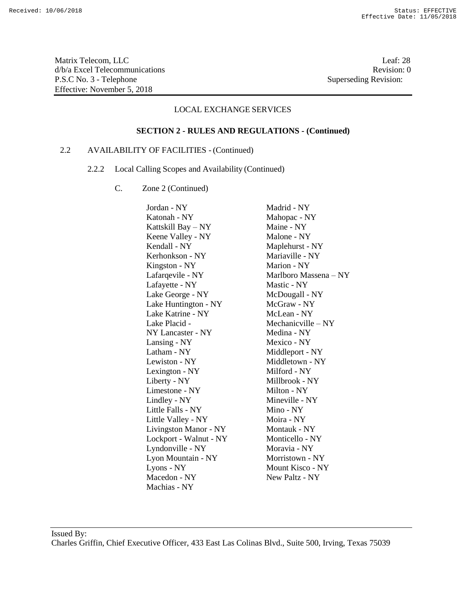Matrix Telecom, LLC Leaf: 28 d/b/a Excel Telecommunications **Review** and the set of the set of the set of the set of the set of the set of the set of the set of the set of the set of the set of the set of the set of the set of the set of the set of th P.S.C No. 3 - Telephone Superseding Revision: Effective: November 5, 2018

#### LOCAL EXCHANGE SERVICES

#### **SECTION 2 - RULES AND REGULATIONS - (Continued)**

## 2.2 AVAILABILITY OF FACILITIES - (Continued)

- 2.2.2 Local Calling Scopes and Availability (Continued)
	- C. Zone 2 (Continued)

Jordan - NY Madrid - NY Katonah - NY Mahopac - NY Kattskill Bay – NY Maine - NY Keene Valley - NY Malone - NY Kendall - NY Maplehurst - NY Kerhonkson - NY Mariaville - NY Kingston - NY Marion - NY Lafarqevile - NY Marlboro Massena – NY Lafayette - NY Mastic - NY Lake George - NY McDougall - NY Lake Huntington - NY McGraw - NY Lake Katrine - NY McLean - NY Lake Placid - Mechanicville – NY NY Lancaster - NY Medina - NY Lansing - NY Mexico - NY Latham - NY Middleport - NY Lewiston - NY Middletown - NY Lexington - NY Milford - NY Liberty - NY Millbrook - NY Limestone - NY Milton - NY Lindley - NY Mineville - NY Little Falls - NY Mino - NY Little Valley - NY Moira - NY Livingston Manor - NY Montauk - NY Lockport - Walnut - NY Monticello - NY Lyndonville - NY Moravia - NY Lyon Mountain - NY Morristown - NY Lyons - NY Mount Kisco - NY Macedon - NY New Paltz - NY Machias - NY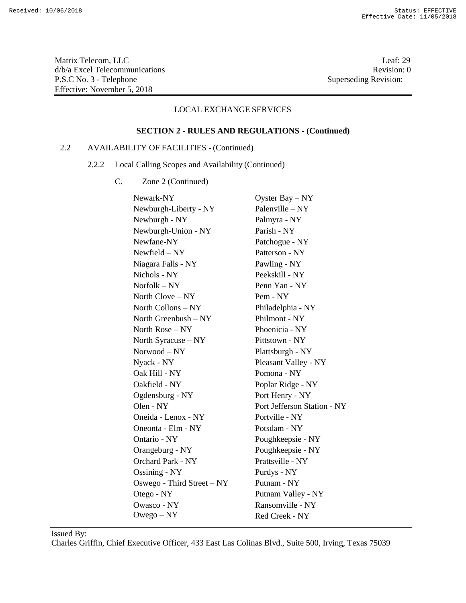Matrix Telecom, LLC Leaf: 29 d/b/a Excel Telecommunications Revision: 0<br>P.S.C No. 3 - Telephone Superseding Revision: 0 P.S.C No. 3 - Telephone Effective: November 5, 2018

## LOCAL EXCHANGE SERVICES

# **SECTION 2 - RULES AND REGULATIONS - (Continued)**

## 2.2 AVAILABILITY OF FACILITIES - (Continued)

- 2.2.2 Local Calling Scopes and Availability (Continued)
	- C. Zone 2 (Continued)

| Newark-NY                  | Oyster Bay $-$ NY           |
|----------------------------|-----------------------------|
| Newburgh-Liberty - NY      | Palenville – NY             |
| Newburgh - NY              | Palmyra - NY                |
| Newburgh-Union - NY        | Parish - NY                 |
| Newfane-NY                 | Patchogue - NY              |
| $Newfield - NY$            | Patterson - NY              |
| Niagara Falls - NY         | Pawling - NY                |
| Nichols - NY               | Peekskill - NY              |
| $Norfolk - NY$             | Penn Yan - NY               |
| North $Clove - NY$         | Pem - NY                    |
| North Collons - NY         | Philadelphia - NY           |
| North Greenbush $- NY$     | Philmont - NY               |
| North Rose $- NY$          | Phoenicia - NY              |
| North Syracuse - NY        | Pittstown - NY              |
| Norwood - NY               | Plattsburgh - NY            |
| Nyack - NY                 | Pleasant Valley - NY        |
| Oak Hill - NY              | Pomona - NY                 |
| Oakfield - NY              | Poplar Ridge - NY           |
| Ogdensburg - NY            | Port Henry - NY             |
| Olen - NY                  | Port Jefferson Station - NY |
| Oneida - Lenox - NY        | Portville - NY              |
| Oneonta - Elm - NY         | Potsdam - NY                |
| Ontario - NY               | Poughkeepsie - NY           |
| Orangeburg - NY            | Poughkeepsie - NY           |
| Orchard Park - NY          | Prattsville - NY            |
| <b>Ossining - NY</b>       | Purdys - NY                 |
| Oswego - Third Street – NY | Putnam - NY                 |
| Otego - NY                 | Putnam Valley - NY          |
| <b>Owasco - NY</b>         | Ransomville - NY            |
| Owego – NY                 | Red Creek - NY              |

Issued By: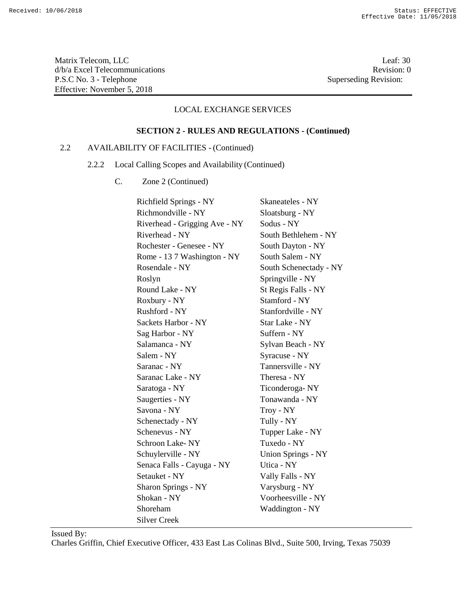Matrix Telecom, LLC Leaf: 30 d/b/a Excel Telecommunications Revision: 0<br>P.S.C No. 3 - Telephone Superseding Revision: 0 P.S.C No. 3 - Telephone Effective: November 5, 2018

## LOCAL EXCHANGE SERVICES

# **SECTION 2 - RULES AND REGULATIONS - (Continued)**

## 2.2 AVAILABILITY OF FACILITIES - (Continued)

- 2.2.2 Local Calling Scopes and Availability (Continued)
	- C. Zone 2 (Continued)

| Richfield Springs - NY        | Skaneateles - NY       |
|-------------------------------|------------------------|
| Richmondville - NY            | Sloatsburg - NY        |
| Riverhead - Grigging Ave - NY | Sodus - NY             |
| Riverhead - NY                | South Bethlehem - NY   |
| Rochester - Genesee - NY      | South Dayton - NY      |
| Rome - 13 7 Washington - NY   | South Salem - NY       |
| Rosendale - NY                | South Schenectady - NY |
| Roslyn                        | Springville - NY       |
| Round Lake - NY               | St Regis Falls - NY    |
| Roxbury - NY                  | Stamford - NY          |
| Rushford - NY                 | Stanfordville - NY     |
| Sackets Harbor - NY           | Star Lake - NY         |
| Sag Harbor - NY               | Suffern - NY           |
| Salamanca - NY                | Sylvan Beach - NY      |
| Salem - NY                    | Syracuse - NY          |
| Saranac - NY                  | Tannersville - NY      |
| Saranac Lake - NY             | Theresa - NY           |
| Saratoga - NY                 | Ticonderoga-NY         |
| Saugerties - NY               | Tonawanda - NY         |
| Savona - NY                   | Troy - NY              |
| Schenectady - NY              | Tully - NY             |
| Schenevus - NY                | Tupper Lake - NY       |
| <b>Schroon Lake-NY</b>        | Tuxedo - NY            |
| Schuylerville - NY            | Union Springs - NY     |
| Senaca Falls - Cayuga - NY    | Utica - NY             |
| Setauket - NY                 | Vally Falls - NY       |
| <b>Sharon Springs - NY</b>    | Varysburg - NY         |
| Shokan - NY                   | Voorheesville - NY     |
| Shoreham                      | Waddington - NY        |
| <b>Silver Creek</b>           |                        |

Issued By: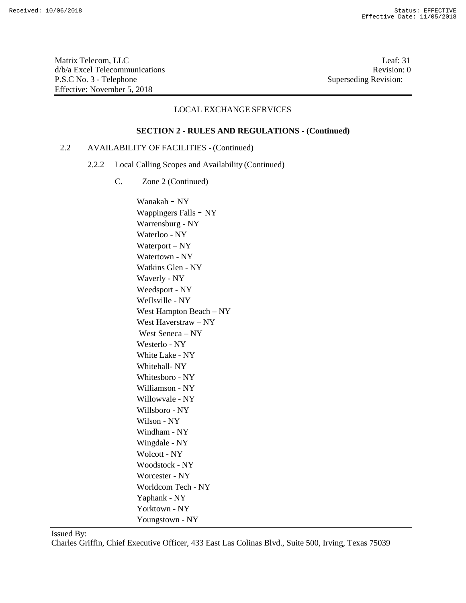Matrix Telecom, LLC<br>  $d/b/a$  Excel Telecommunications<br>
O Revision: 0  $d/b/a$  Excel Telecommunications P.S.C No. 3 - Telephone Superseding Revision: Effective: November 5, 2018

### LOCAL EXCHANGE SERVICES

#### **SECTION 2 - RULES AND REGULATIONS - (Continued)**

## 2.2 AVAILABILITY OF FACILITIES - (Continued)

- 2.2.2 Local Calling Scopes and Availability (Continued)
	- C. Zone 2 (Continued)

Wanakah - NY Wappingers Falls - NY Warrensburg - NY Waterloo - NY Waterport – NY Watertown - NY Watkins Glen - NY Waverly - NY Weedsport - NY WeIlsville - NY West Hampton Beach – NY West Haverstraw – NY West Seneca – NY Westerlo - NY White Lake - NY Whitehall- NY Whitesboro - NY Williamson - NY Willowvale - NY Willsboro - NY Wilson - NY Windham - NY Wingdale - NY Wolcott - NY Woodstock - NY Worcester - NY Worldcom Tech - NY Yaphank - NY Yorktown - NY Youngstown - NY

Issued By: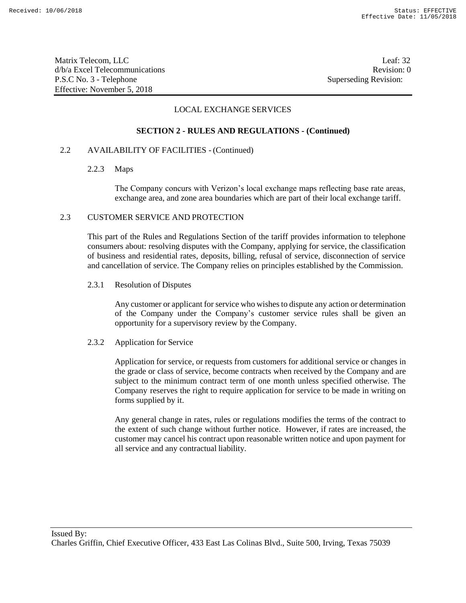Matrix Telecom, LLC Leaf: 32 d/b/a Excel Telecommunications **Review** and the set of the set of the set of the set of the set of the set of the set of the set of the set of the set of the set of the set of the set of the set of the set of the set of th P.S.C No. 3 - Telephone Superseding Revision: Effective: November 5, 2018

### LOCAL EXCHANGE SERVICES

#### **SECTION 2 - RULES AND REGULATIONS - (Continued)**

#### 2.2 AVAILABILITY OF FACILITIES - (Continued)

#### 2.2.3 Maps

The Company concurs with Verizon's local exchange maps reflecting base rate areas, exchange area, and zone area boundaries which are part of their local exchange tariff.

#### 2.3 CUSTOMER SERVICE AND PROTECTION

This part of the Rules and Regulations Section of the tariff provides information to telephone consumers about: resolving disputes with the Company, applying for service, the classification of business and residential rates, deposits, billing, refusal of service, disconnection of service and cancellation of service. The Company relies on principles established by the Commission.

#### 2.3.1 Resolution of Disputes

Any customer or applicant for service who wishes to dispute any action or determination of the Company under the Company's customer service rules shall be given an opportunity for a supervisory review by the Company.

#### 2.3.2 Application for Service

Application for service, or requests from customers for additional service or changes in the grade or class of service, become contracts when received by the Company and are subject to the minimum contract term of one month unless specified otherwise. The Company reserves the right to require application for service to be made in writing on forms supplied by it.

Any general change in rates, rules or regulations modifies the terms of the contract to the extent of such change without further notice. However, if rates are increased, the customer may cancel his contract upon reasonable written notice and upon payment for all service and any contractual liability.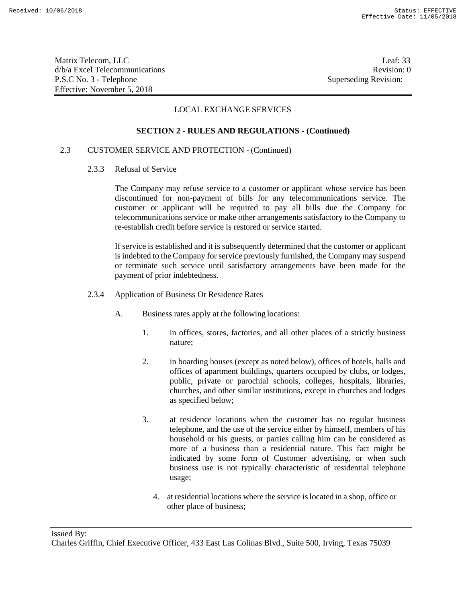Matrix Telecom, LLC Leaf: 33 d/b/a Excel Telecommunications **Review Revision: 0** P.S.C No. 3 - Telephone Superseding Revision: Effective: November 5, 2018

## LOCAL EXCHANGE SERVICES

#### **SECTION 2 - RULES AND REGULATIONS - (Continued)**

#### 2.3 CUSTOMER SERVICE AND PROTECTION - (Continued)

2.3.3 Refusal of Service

The Company may refuse service to a customer or applicant whose service has been discontinued for non-payment of bills for any telecommunications service. The customer or applicant will be required to pay all bills due the Company for telecommunications service or make other arrangements satisfactory to the Company to re-establish credit before service is restored or service started.

If service is established and it is subsequently determined that the customer or applicant is indebted to the Company for service previously furnished, the Company may suspend or terminate such service until satisfactory arrangements have been made for the payment of prior indebtedness.

- 2.3.4 Application of Business Or Residence Rates
	- A. Business rates apply at the following locations:
		- 1. in offices, stores, factories, and all other places of a strictly business nature;
		- 2. in boarding houses (except as noted below), offices of hotels, halls and offices of apartment buildings, quarters occupied by clubs, or lodges, public, private or parochial schools, colleges, hospitals, libraries, churches, and other similar institutions, except in churches and lodges as specified below;
		- 3. at residence locations when the customer has no regular business telephone, and the use of the service either by himself, members of his household or his guests, or parties calling him can be considered as more of a business than a residential nature. This fact might be indicated by some form of Customer advertising, or when such business use is not typically characteristic of residential telephone usage;
			- 4. at residential locations where the service islocated in a shop, office or other place of business;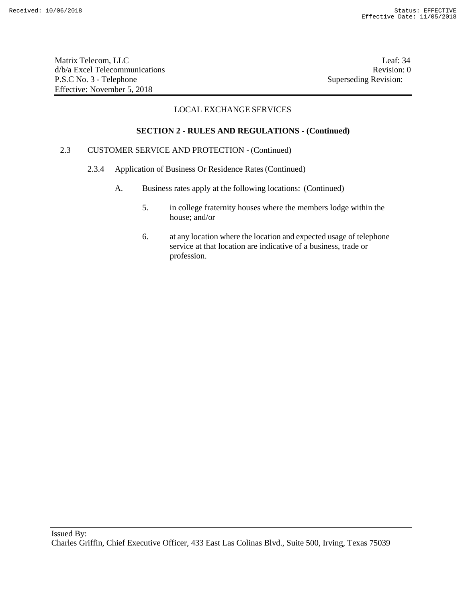Matrix Telecom, LLC Leaf: 34 d/b/a Excel Telecommunications **Review Revision: 0** P.S.C No. 3 - Telephone Superseding Revision: Effective: November 5, 2018

## LOCAL EXCHANGE SERVICES

#### **SECTION 2 - RULES AND REGULATIONS - (Continued)**

### 2.3 CUSTOMER SERVICE AND PROTECTION - (Continued)

- 2.3.4 Application of Business Or Residence Rates(Continued)
	- A. Business rates apply at the following locations: (Continued)
		- 5. in college fraternity houses where the members lodge within the house; and/or
		- 6. at any location where the location and expected usage of telephone service at that location are indicative of a business, trade or profession.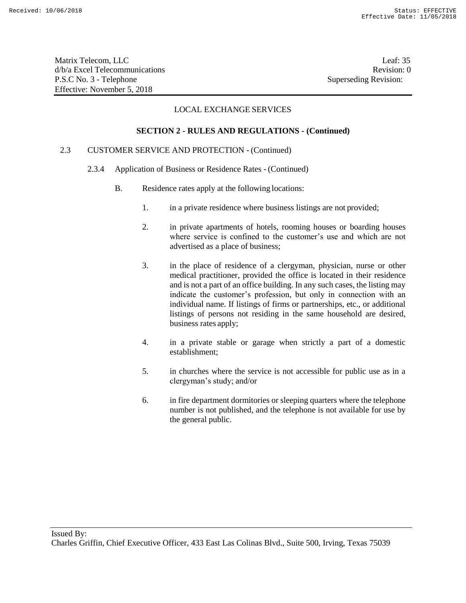Matrix Telecom, LLC Leaf: 35 d/b/a Excel Telecommunications **Review** and the set of the set of the set of the set of the set of the set of the set of the set of the set of the set of the set of the set of the set of the set of the set of the set of th P.S.C No. 3 - Telephone Superseding Revision: Effective: November 5, 2018

### LOCAL EXCHANGE SERVICES

#### **SECTION 2 - RULES AND REGULATIONS - (Continued)**

## 2.3 CUSTOMER SERVICE AND PROTECTION - (Continued)

- 2.3.4 Application of Business or Residence Rates (Continued)
	- B. Residence rates apply at the following locations:
		- 1. in a private residence where business listings are not provided;
		- 2. in private apartments of hotels, rooming houses or boarding houses where service is confined to the customer's use and which are not advertised as a place of business;
		- 3. in the place of residence of a clergyman, physician, nurse or other medical practitioner, provided the office is located in their residence and is not a part of an office building. In any such cases, the listing may indicate the customer's profession, but only in connection with an individual name. If listings of firms or partnerships, etc., or additional listings of persons not residing in the same household are desired, business rates apply;
		- 4. in a private stable or garage when strictly a part of a domestic establishment;
		- 5. in churches where the service is not accessible for public use as in a clergyman's study; and/or
		- 6. in fire department dormitories or sleeping quarters where the telephone number is not published, and the telephone is not available for use by the general public.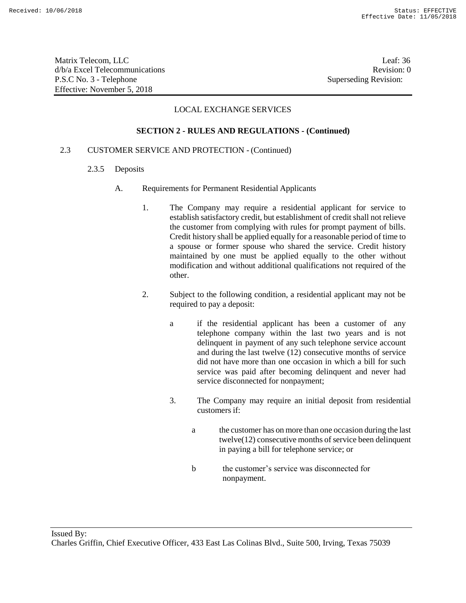Matrix Telecom, LLC Leaf: 36 d/b/a Excel Telecommunications **Review** and the set of the set of the set of the set of the set of the set of the set of the set of the set of the set of the set of the set of the set of the set of the set of the set of th P.S.C No. 3 - Telephone Superseding Revision: Effective: November 5, 2018

### LOCAL EXCHANGE SERVICES

#### **SECTION 2 - RULES AND REGULATIONS - (Continued)**

#### 2.3 CUSTOMER SERVICE AND PROTECTION - (Continued)

- 2.3.5 Deposits
	- A. Requirements for Permanent Residential Applicants
		- 1. The Company may require a residential applicant for service to establish satisfactory credit, but establishment of credit shall not relieve the customer from complying with rules for prompt payment of bills. Credit history shall be applied equally for a reasonable period of time to a spouse or former spouse who shared the service. Credit history maintained by one must be applied equally to the other without modification and without additional qualifications not required of the other.
		- 2. Subject to the following condition, a residential applicant may not be required to pay a deposit:
			- a if the residential applicant has been a customer of any telephone company within the last two years and is not delinquent in payment of any such telephone service account and during the last twelve (12) consecutive months of service did not have more than one occasion in which a bill for such service was paid after becoming delinquent and never had service disconnected for nonpayment;
			- 3. The Company may require an initial deposit from residential customers if:
				- a the customer has on more than one occasion during the last twelve(12) consecutive months of service been delinquent in paying a bill for telephone service; or
				- b the customer's service was disconnected for nonpayment.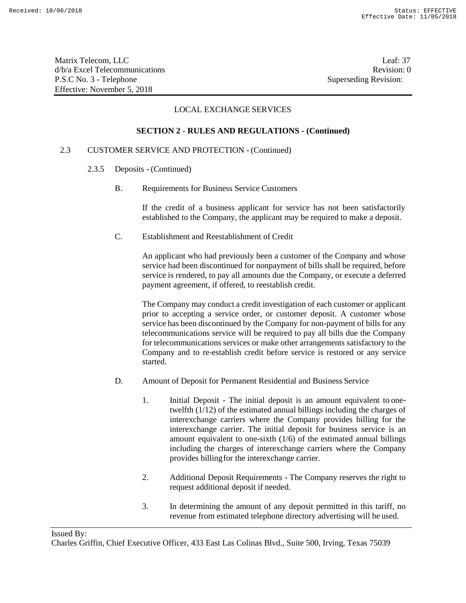Matrix Telecom, LLC Leaf: 37 d/b/a Excel Telecommunications **Review Revision:** 0 P.S.C No. 3 - Telephone Superseding Revision: Effective: November 5, 2018

# LOCAL EXCHANGE SERVICES

#### **SECTION 2 - RULES AND REGULATIONS - (Continued)**

# 2.3 CUSTOMER SERVICE AND PROTECTION - (Continued)

- 2.3.5 Deposits (Continued)
	- B. Requirements for Business Service Customers

If the credit of a business applicant for service has not been satisfactorily established to the Company, the applicant may be required to make a deposit.

C. Establishment and Reestablishment of Credit

An applicant who had previously been a customer of the Company and whose service had been discontinued for nonpayment of bills shall be required, before service is rendered, to pay all amounts due the Company, or execute a deferred payment agreement, if offered, to reestablish credit.

The Company may conduct a credit investigation of each customer or applicant prior to accepting a service order, or customer deposit. A customer whose service has been discontinued by the Company for non-payment of bills for any telecommunications service will be required to pay all bills due the Company for telecommunications services or make other arrangements satisfactory to the Company and to re-establish credit before service is restored or any service started.

- D. Amount of Deposit for Permanent Residential and Business Service
	- 1. Initial Deposit The initial deposit is an amount equivalent to onetwelfth (1/12) of the estimated annual billings including the charges of interexchange carriers where the Company provides billing for the interexchange carrier. The initial deposit for business service is an amount equivalent to one-sixth (1/6) of the estimated annual billings including the charges of interexchange carriers where the Company provides billingfor the interexchange carrier.
	- 2. Additional Deposit Requirements The Company reserves the right to request additional deposit if needed.
	- 3. In determining the amount of any deposit permitted in this tariff, no revenue from estimated telephone directory advertising will be used.

Issued By:

Charles Griffin, Chief Executive Officer, 433 East Las Colinas Blvd., Suite 500, Irving, Texas 75039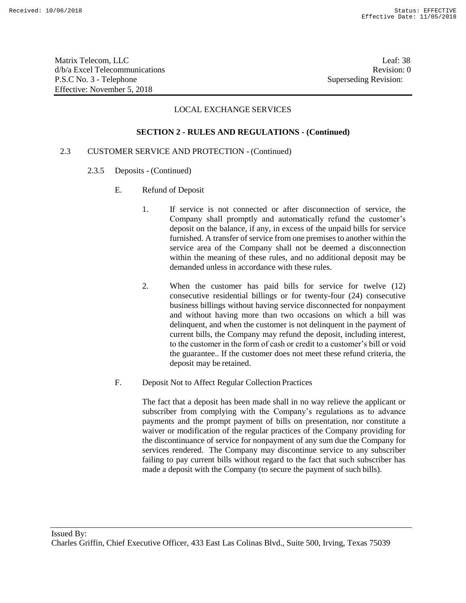Matrix Telecom, LLC Leaf: 38 d/b/a Excel Telecommunications **Review** and the set of the set of the set of the set of the set of the set of the set of the set of the set of the set of the set of the set of the set of the set of the set of the set of th P.S.C No. 3 - Telephone Superseding Revision: Effective: November 5, 2018

# LOCAL EXCHANGE SERVICES

#### **SECTION 2 - RULES AND REGULATIONS - (Continued)**

## 2.3 CUSTOMER SERVICE AND PROTECTION - (Continued)

- 2.3.5 Deposits (Continued)
	- E. Refund of Deposit
		- 1. If service is not connected or after disconnection of service, the Company shall promptly and automatically refund the customer's deposit on the balance, if any, in excess of the unpaid bills for service furnished. A transfer of service from one premises to another within the service area of the Company shall not be deemed a disconnection within the meaning of these rules, and no additional deposit may be demanded unless in accordance with these rules.
		- 2. When the customer has paid bills for service for twelve (12) consecutive residential billings or for twenty-four (24) consecutive business billings without having service disconnected for nonpayment and without having more than two occasions on which a bill was delinquent, and when the customer is not delinquent in the payment of current bills, the Company may refund the deposit, including interest, to the customer in the form of cash or credit to a customer's bill or void the guarantee.. If the customer does not meet these refund criteria, the deposit may be retained.
	- F. Deposit Not to Affect Regular Collection Practices

The fact that a deposit has been made shall in no way relieve the applicant or subscriber from complying with the Company's regulations as to advance payments and the prompt payment of bills on presentation, nor constitute a waiver or modification of the regular practices of the Company providing for the discontinuance of service for nonpayment of any sum due the Company for services rendered. The Company may discontinue service to any subscriber failing to pay current bills without regard to the fact that such subscriber has made a deposit with the Company (to secure the payment of such bills).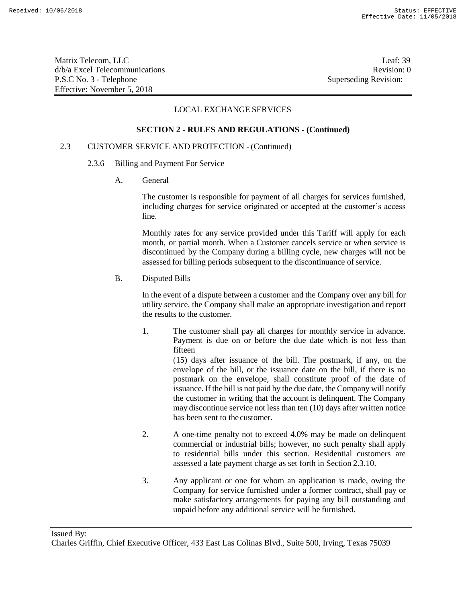Matrix Telecom, LLC Leaf: 39 d/b/a Excel Telecommunications **Review** and the set of the set of the set of the set of the set of the set of the set of the set of the set of the set of the set of the set of the set of the set of the set of the set of th P.S.C No. 3 - Telephone Superseding Revision: Effective: November 5, 2018

# LOCAL EXCHANGE SERVICES

# **SECTION 2 - RULES AND REGULATIONS - (Continued)**

#### 2.3 CUSTOMER SERVICE AND PROTECTION - (Continued)

- 2.3.6 Billing and Payment For Service
	- A. General

The customer is responsible for payment of all charges for services furnished, including charges for service originated or accepted at the customer's access line.

Monthly rates for any service provided under this Tariff will apply for each month, or partial month. When a Customer cancels service or when service is discontinued by the Company during a billing cycle, new charges will not be assessed for billing periods subsequent to the discontinuance of service.

B. Disputed Bills

In the event of a dispute between a customer and the Company over any bill for utility service, the Company shall make an appropriate investigation and report the results to the customer.

1. The customer shall pay all charges for monthly service in advance. Payment is due on or before the due date which is not less than fifteen

> (15) days after issuance of the bill. The postmark, if any, on the envelope of the bill, or the issuance date on the bill, if there is no postmark on the envelope, shall constitute proof of the date of issuance. If the bill is not paid by the due date, the Company will notify the customer in writing that the account is delinquent. The Company may discontinue service not less than ten (10) days after written notice has been sent to the customer.

- 2. A one-time penalty not to exceed 4.0% may be made on delinquent commercial or industrial bills; however, no such penalty shall apply to residential bills under this section. Residential customers are assessed a late payment charge as set forth in Section 2.3.10.
- 3. Any applicant or one for whom an application is made, owing the Company for service furnished under a former contract, shall pay or make satisfactory arrangements for paying any bill outstanding and unpaid before any additional service will be furnished.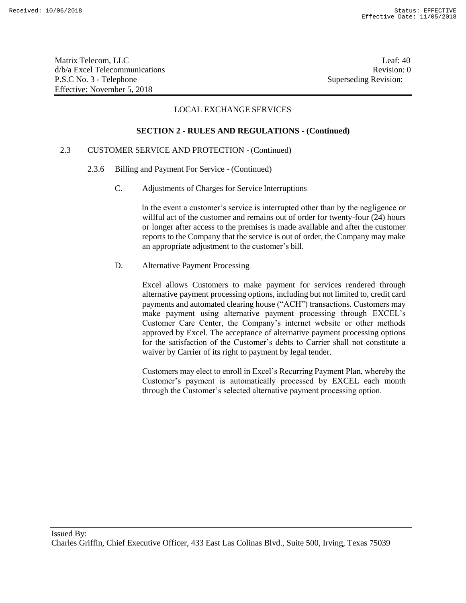Matrix Telecom, LLC Leaf: 40 d/b/a Excel Telecommunications **Review** and the set of the set of the set of the set of the set of the set of the set of the set of the set of the set of the set of the set of the set of the set of the set of the set of th P.S.C No. 3 - Telephone Superseding Revision: Effective: November 5, 2018

# LOCAL EXCHANGE SERVICES

#### **SECTION 2 - RULES AND REGULATIONS - (Continued)**

# 2.3 CUSTOMER SERVICE AND PROTECTION - (Continued)

- 2.3.6 Billing and Payment For Service (Continued)
	- C. Adjustments of Charges for Service Interruptions

In the event a customer's service is interrupted other than by the negligence or willful act of the customer and remains out of order for twenty-four (24) hours or longer after access to the premises is made available and after the customer reports to the Company that the service is out of order, the Company may make an appropriate adjustment to the customer's bill.

D. Alternative Payment Processing

Excel allows Customers to make payment for services rendered through alternative payment processing options, including but not limited to, credit card payments and automated clearing house ("ACH") transactions. Customers may make payment using alternative payment processing through EXCEL's Customer Care Center, the Company's internet website or other methods approved by Excel. The acceptance of alternative payment processing options for the satisfaction of the Customer's debts to Carrier shall not constitute a waiver by Carrier of its right to payment by legal tender.

Customers may elect to enroll in Excel's Recurring Payment Plan, whereby the Customer's payment is automatically processed by EXCEL each month through the Customer's selected alternative payment processing option.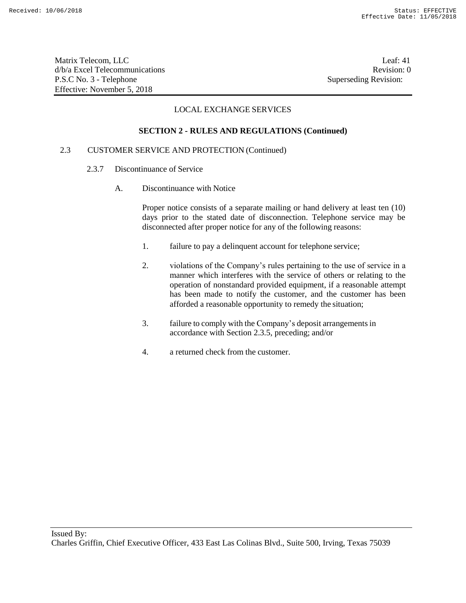Matrix Telecom, LLC Leaf: 41 d/b/a Excel Telecommunications Revision: 0 P.S.C No. 3 - Telephone Superseding Revision: Effective: November 5, 2018

# LOCAL EXCHANGE SERVICES

#### **SECTION 2 - RULES AND REGULATIONS (Continued)**

## 2.3 CUSTOMER SERVICE AND PROTECTION (Continued)

- 2.3.7 Discontinuance of Service
	- A. Discontinuance with Notice

Proper notice consists of a separate mailing or hand delivery at least ten (10) days prior to the stated date of disconnection. Telephone service may be disconnected after proper notice for any of the following reasons:

- 1. failure to pay a delinquent account for telephone service;
- 2. violations of the Company's rules pertaining to the use of service in a manner which interferes with the service of others or relating to the operation of nonstandard provided equipment, if a reasonable attempt has been made to notify the customer, and the customer has been afforded a reasonable opportunity to remedy the situation;
- 3. failure to comply with the Company's deposit arrangementsin accordance with Section 2.3.5, preceding; and/or
- 4. a returned check from the customer.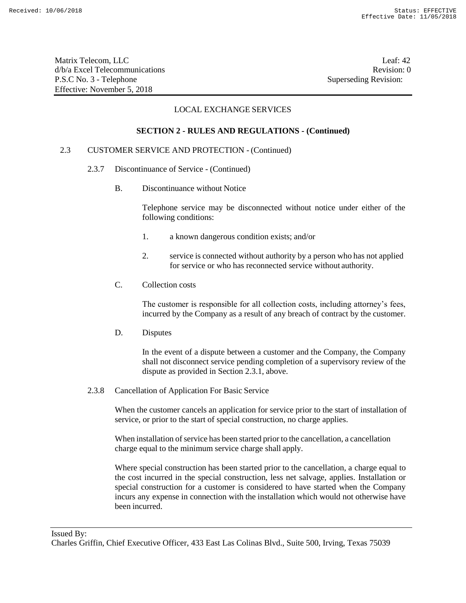Matrix Telecom, LLC Leaf: 42 d/b/a Excel Telecommunications **Review** and the set of the set of the set of the set of the set of the set of the set of the set of the set of the set of the set of the set of the set of the set of the set of the set of th P.S.C No. 3 - Telephone Superseding Revision: Effective: November 5, 2018

# LOCAL EXCHANGE SERVICES

# **SECTION 2 - RULES AND REGULATIONS - (Continued)**

# 2.3 CUSTOMER SERVICE AND PROTECTION - (Continued)

- 2.3.7 Discontinuance of Service (Continued)
	- B. Discontinuance without Notice

Telephone service may be disconnected without notice under either of the following conditions:

- 1. a known dangerous condition exists; and/or
- 2. service is connected without authority by a person who has not applied for service or who has reconnected service without authority.
- C. Collection costs

The customer is responsible for all collection costs, including attorney's fees, incurred by the Company as a result of any breach of contract by the customer.

D. Disputes

In the event of a dispute between a customer and the Company, the Company shall not disconnect service pending completion of a supervisory review of the dispute as provided in Section 2.3.1, above.

2.3.8 Cancellation of Application For Basic Service

When the customer cancels an application for service prior to the start of installation of service, or prior to the start of special construction, no charge applies.

When installation of service has been started prior to the cancellation, a cancellation charge equal to the minimum service charge shall apply.

Where special construction has been started prior to the cancellation, a charge equal to the cost incurred in the special construction, less net salvage, applies. Installation or special construction for a customer is considered to have started when the Company incurs any expense in connection with the installation which would not otherwise have been incurred.

Issued By:

Charles Griffin, Chief Executive Officer, 433 East Las Colinas Blvd., Suite 500, Irving, Texas 75039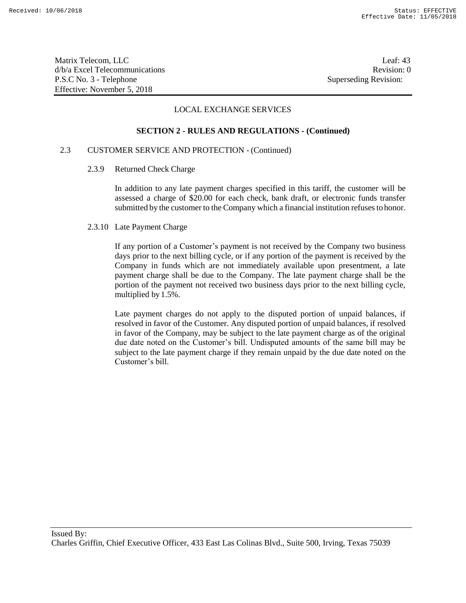Matrix Telecom, LLC Leaf: 43 d/b/a Excel Telecommunications **Review** and the set of the set of the set of the set of the set of the set of the set of the set of the set of the set of the set of the set of the set of the set of the set of the set of th P.S.C No. 3 - Telephone Superseding Revision: Effective: November 5, 2018

# LOCAL EXCHANGE SERVICES

#### **SECTION 2 - RULES AND REGULATIONS - (Continued)**

# 2.3 CUSTOMER SERVICE AND PROTECTION - (Continued)

## 2.3.9 Returned Check Charge

In addition to any late payment charges specified in this tariff, the customer will be assessed a charge of \$20.00 for each check, bank draft, or electronic funds transfer submitted by the customer to the Company which a financial institution refuses tohonor.

#### 2.3.10 Late Payment Charge

If any portion of a Customer's payment is not received by the Company two business days prior to the next billing cycle, or if any portion of the payment is received by the Company in funds which are not immediately available upon presentment, a late payment charge shall be due to the Company. The late payment charge shall be the portion of the payment not received two business days prior to the next billing cycle, multiplied by1.5%.

Late payment charges do not apply to the disputed portion of unpaid balances, if resolved in favor of the Customer. Any disputed portion of unpaid balances, if resolved in favor of the Company, may be subject to the late payment charge as of the original due date noted on the Customer's bill. Undisputed amounts of the same bill may be subject to the late payment charge if they remain unpaid by the due date noted on the Customer's bill.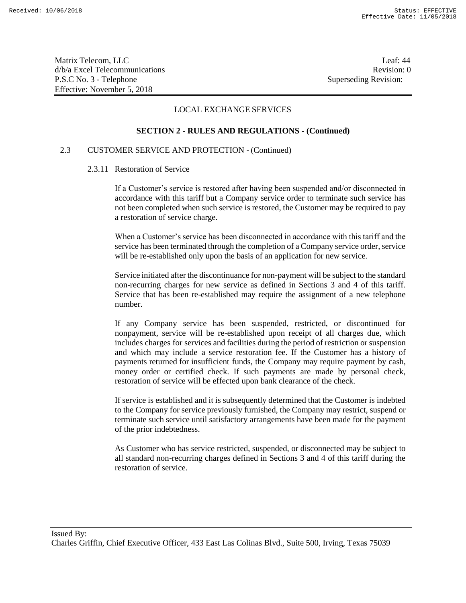Matrix Telecom, LLC Leaf: 44 d/b/a Excel Telecommunications **Review** and the set of the set of the set of the set of the set of the set of the set of the set of the set of the set of the set of the set of the set of the set of the set of the set of th P.S.C No. 3 - Telephone Superseding Revision: Effective: November 5, 2018

# LOCAL EXCHANGE SERVICES

#### **SECTION 2 - RULES AND REGULATIONS - (Continued)**

# 2.3 CUSTOMER SERVICE AND PROTECTION - (Continued)

#### 2.3.11 Restoration of Service

If a Customer's service is restored after having been suspended and/or disconnected in accordance with this tariff but a Company service order to terminate such service has not been completed when such service is restored, the Customer may be required to pay a restoration of service charge.

When a Customer's service has been disconnected in accordance with this tariff and the service has been terminated through the completion of a Company service order, service will be re-established only upon the basis of an application for new service.

Service initiated after the discontinuance for non-payment will be subject to the standard non-recurring charges for new service as defined in Sections 3 and 4 of this tariff. Service that has been re-established may require the assignment of a new telephone number.

If any Company service has been suspended, restricted, or discontinued for nonpayment, service will be re-established upon receipt of all charges due, which includes charges for services and facilities during the period of restriction or suspension and which may include a service restoration fee. If the Customer has a history of payments returned for insufficient funds, the Company may require payment by cash, money order or certified check. If such payments are made by personal check, restoration of service will be effected upon bank clearance of the check.

If service is established and it is subsequently determined that the Customer is indebted to the Company for service previously furnished, the Company may restrict, suspend or terminate such service until satisfactory arrangements have been made for the payment of the prior indebtedness.

As Customer who has service restricted, suspended, or disconnected may be subject to all standard non-recurring charges defined in Sections 3 and 4 of this tariff during the restoration of service.

Charles Griffin, Chief Executive Officer, 433 East Las Colinas Blvd., Suite 500, Irving, Texas 75039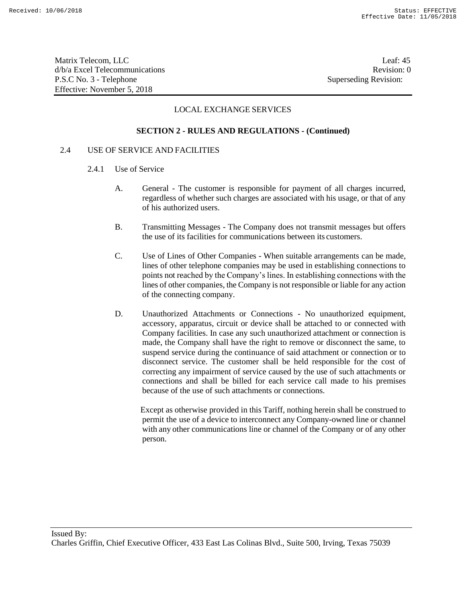Matrix Telecom, LLC Leaf: 45 d/b/a Excel Telecommunications and the control of the control of the Revision: 0 P.S.C No. 3 - Telephone Superseding Revision: Effective: November 5, 2018

# LOCAL EXCHANGE SERVICES

#### **SECTION 2 - RULES AND REGULATIONS - (Continued)**

## 2.4 USE OF SERVICE AND FACILITIES

- 2.4.1 Use of Service
	- A. General The customer is responsible for payment of all charges incurred, regardless of whether such charges are associated with his usage, or that of any of his authorized users.
	- B. Transmitting Messages The Company does not transmit messages but offers the use of its facilities for communications between its customers.
	- C. Use of Lines of Other Companies When suitable arrangements can be made, lines of other telephone companies may be used in establishing connections to points not reached by the Company's lines. In establishing connections with the lines of other companies, the Company is not responsible or liable for any action of the connecting company.
	- D. Unauthorized Attachments or Connections No unauthorized equipment, accessory, apparatus, circuit or device shall be attached to or connected with Company facilities. In case any such unauthorized attachment or connection is made, the Company shall have the right to remove or disconnect the same, to suspend service during the continuance of said attachment or connection or to disconnect service. The customer shall be held responsible for the cost of correcting any impairment of service caused by the use of such attachments or connections and shall be billed for each service call made to his premises because of the use of such attachments or connections.

Except as otherwise provided in this Tariff, nothing herein shall be construed to permit the use of a device to interconnect any Company-owned line or channel with any other communications line or channel of the Company or of any other person.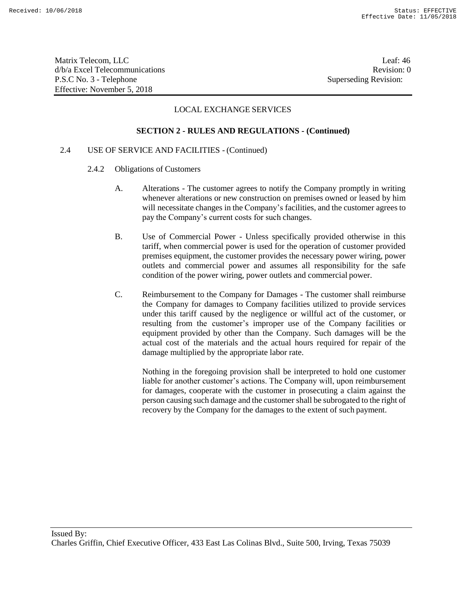Matrix Telecom, LLC Leaf: 46 d/b/a Excel Telecommunications **Review** and the set of the set of the set of the set of the set of the set of the set of the set of the set of the set of the set of the set of the set of the set of the set of the set of th P.S.C No. 3 - Telephone Superseding Revision: Effective: November 5, 2018

# LOCAL EXCHANGE SERVICES

#### **SECTION 2 - RULES AND REGULATIONS - (Continued)**

# 2.4 USE OF SERVICE AND FACILITIES - (Continued)

- 2.4.2 Obligations of Customers
	- A. Alterations The customer agrees to notify the Company promptly in writing whenever alterations or new construction on premises owned or leased by him will necessitate changes in the Company's facilities, and the customer agrees to pay the Company's current costs for such changes.
	- B. Use of Commercial Power Unless specifically provided otherwise in this tariff, when commercial power is used for the operation of customer provided premises equipment, the customer provides the necessary power wiring, power outlets and commercial power and assumes all responsibility for the safe condition of the power wiring, power outlets and commercial power.
	- C. Reimbursement to the Company for Damages The customer shall reimburse the Company for damages to Company facilities utilized to provide services under this tariff caused by the negligence or willful act of the customer, or resulting from the customer's improper use of the Company facilities or equipment provided by other than the Company. Such damages will be the actual cost of the materials and the actual hours required for repair of the damage multiplied by the appropriate labor rate.

Nothing in the foregoing provision shall be interpreted to hold one customer liable for another customer's actions. The Company will, upon reimbursement for damages, cooperate with the customer in prosecuting a claim against the person causing such damage and the customer shall be subrogated to the right of recovery by the Company for the damages to the extent of such payment.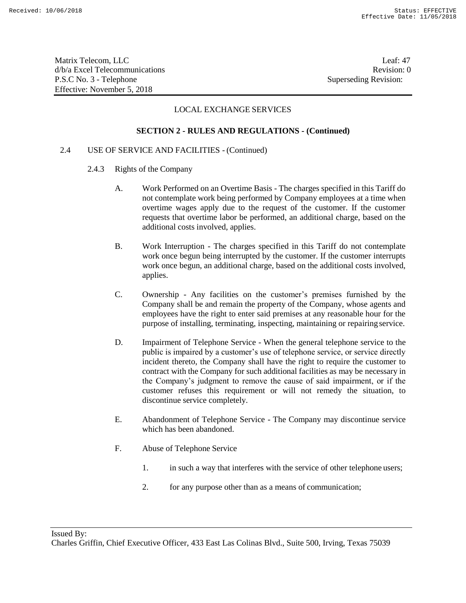Matrix Telecom, LLC Leaf: 47 d/b/a Excel Telecommunications **Review** and the set of the set of the set of the set of the set of the set of the set of the set of the set of the set of the set of the set of the set of the set of the set of the set of th P.S.C No. 3 - Telephone Superseding Revision: Effective: November 5, 2018

# LOCAL EXCHANGE SERVICES

#### **SECTION 2 - RULES AND REGULATIONS - (Continued)**

# 2.4 USE OF SERVICE AND FACILITIES - (Continued)

- 2.4.3 Rights of the Company
	- A. Work Performed on an Overtime Basis The charges specified in this Tariff do not contemplate work being performed by Company employees at a time when overtime wages apply due to the request of the customer. If the customer requests that overtime labor be performed, an additional charge, based on the additional costs involved, applies.
	- B. Work Interruption The charges specified in this Tariff do not contemplate work once begun being interrupted by the customer. If the customer interrupts work once begun, an additional charge, based on the additional costs involved, applies.
	- C. Ownership Any facilities on the customer's premises furnished by the Company shall be and remain the property of the Company, whose agents and employees have the right to enter said premises at any reasonable hour for the purpose of installing, terminating, inspecting, maintaining or repairingservice.
	- D. Impairment of Telephone Service When the general telephone service to the public is impaired by a customer's use of telephone service, or service directly incident thereto, the Company shall have the right to require the customer to contract with the Company for such additional facilities as may be necessary in the Company's judgment to remove the cause of said impairment, or if the customer refuses this requirement or will not remedy the situation, to discontinue service completely.
	- E. Abandonment of Telephone Service The Company may discontinue service which has been abandoned.
	- F. Abuse of Telephone Service
		- 1. in such a way that interferes with the service of other telephone users;
		- 2. for any purpose other than as a means of communication;

Charles Griffin, Chief Executive Officer, 433 East Las Colinas Blvd., Suite 500, Irving, Texas 75039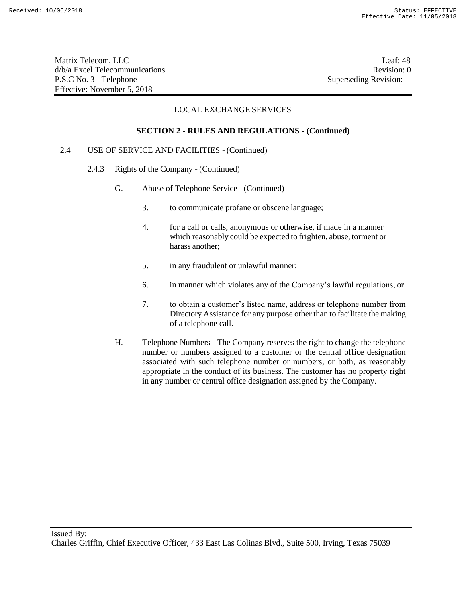Matrix Telecom, LLC Leaf: 48 d/b/a Excel Telecommunications **Review** and the set of the set of the set of the set of the set of the set of the set of the set of the set of the set of the set of the set of the set of the set of the set of the set of th P.S.C No. 3 - Telephone Superseding Revision: Effective: November 5, 2018

# LOCAL EXCHANGE SERVICES

## **SECTION 2 - RULES AND REGULATIONS - (Continued)**

# 2.4 USE OF SERVICE AND FACILITIES - (Continued)

- 2.4.3 Rights of the Company (Continued)
	- G. Abuse of Telephone Service (Continued)
		- 3. to communicate profane or obscene language;
		- 4. for a call or calls, anonymous or otherwise, if made in a manner which reasonably could be expected to frighten, abuse, torment or harass another;
		- 5. in any fraudulent or unlawful manner;
		- 6. in manner which violates any of the Company's lawful regulations; or
		- 7. to obtain a customer's listed name, address or telephone number from Directory Assistance for any purpose other than to facilitate the making of a telephone call.
	- H. Telephone Numbers The Company reserves the right to change the telephone number or numbers assigned to a customer or the central office designation associated with such telephone number or numbers, or both, as reasonably appropriate in the conduct of its business. The customer has no property right in any number or central office designation assigned by the Company.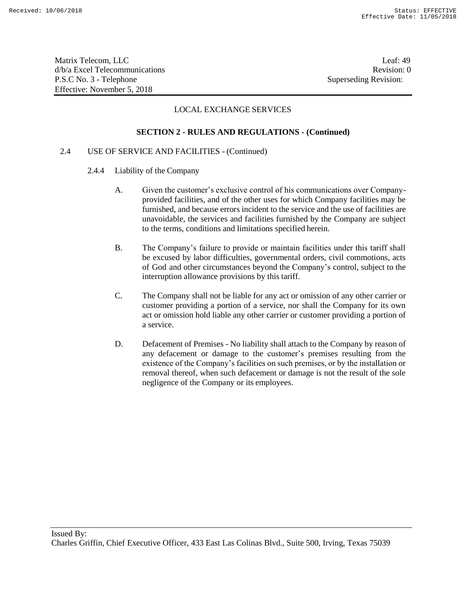Matrix Telecom, LLC Leaf: 49 d/b/a Excel Telecommunications **Review** and the set of the set of the set of the set of the set of the set of the set of the set of the set of the set of the set of the set of the set of the set of the set of the set of th P.S.C No. 3 - Telephone Superseding Revision: Effective: November 5, 2018

# LOCAL EXCHANGE SERVICES

# **SECTION 2 - RULES AND REGULATIONS - (Continued)**

# 2.4 USE OF SERVICE AND FACILITIES - (Continued)

- 2.4.4 Liability of the Company
	- A. Given the customer's exclusive control of his communications over Companyprovided facilities, and of the other uses for which Company facilities may be furnished, and because errors incident to the service and the use of facilities are unavoidable, the services and facilities furnished by the Company are subject to the terms, conditions and limitations specified herein.
	- B. The Company's failure to provide or maintain facilities under this tariff shall be excused by labor difficulties, governmental orders, civil commotions, acts of God and other circumstances beyond the Company's control, subject to the interruption allowance provisions by this tariff.
	- C. The Company shall not be liable for any act or omission of any other carrier or customer providing a portion of a service, nor shall the Company for its own act or omission hold liable any other carrier or customer providing a portion of a service.
	- D. Defacement of Premises No liability shall attach to the Company by reason of any defacement or damage to the customer's premises resulting from the existence of the Company's facilities on such premises, or by the installation or removal thereof, when such defacement or damage is not the result of the sole negligence of the Company or its employees.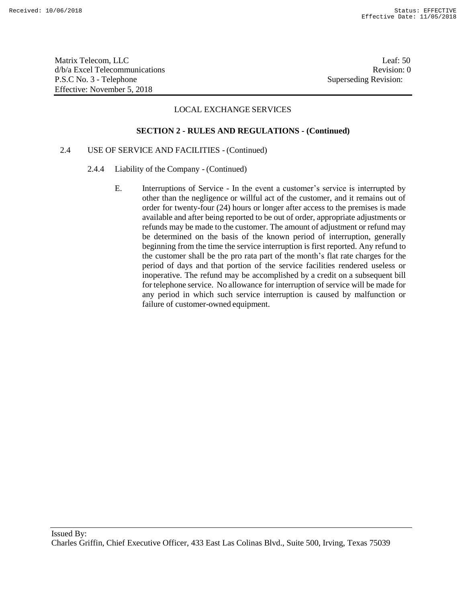Matrix Telecom, LLC Leaf: 50 d/b/a Excel Telecommunications **Review** and the set of the set of the set of the set of the set of the set of the set of the set of the set of the set of the set of the set of the set of the set of the set of the set of th P.S.C No. 3 - Telephone Superseding Revision: Effective: November 5, 2018

# LOCAL EXCHANGE SERVICES

#### **SECTION 2 - RULES AND REGULATIONS - (Continued)**

# 2.4 USE OF SERVICE AND FACILITIES - (Continued)

- 2.4.4 Liability of the Company (Continued)
	- E. Interruptions of Service In the event a customer's service is interrupted by other than the negligence or willful act of the customer, and it remains out of order for twenty-four (24) hours or longer after access to the premises is made available and after being reported to be out of order, appropriate adjustments or refunds may be made to the customer. The amount of adjustment or refund may be determined on the basis of the known period of interruption, generally beginning from the time the service interruption is first reported. Any refund to the customer shall be the pro rata part of the month's flat rate charges for the period of days and that portion of the service facilities rendered useless or inoperative. The refund may be accomplished by a credit on a subsequent bill for telephone service. No allowance for interruption of service will be made for any period in which such service interruption is caused by malfunction or failure of customer-owned equipment.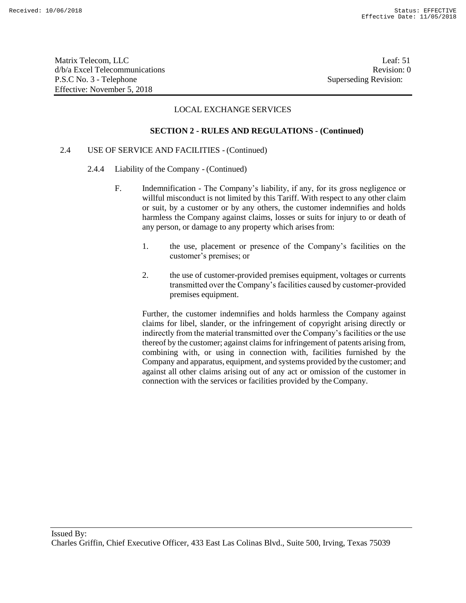Matrix Telecom, LLC Leaf: 51 d/b/a Excel Telecommunications **Review** and the set of the set of the set of the set of the set of the set of the set of the set of the set of the set of the set of the set of the set of the set of the set of the set of th P.S.C No. 3 - Telephone Superseding Revision: Effective: November 5, 2018

# LOCAL EXCHANGE SERVICES

#### **SECTION 2 - RULES AND REGULATIONS - (Continued)**

# 2.4 USE OF SERVICE AND FACILITIES - (Continued)

- 2.4.4 Liability of the Company (Continued)
	- F. Indemnification The Company's liability, if any, for its gross negligence or willful misconduct is not limited by this Tariff. With respect to any other claim or suit, by a customer or by any others, the customer indemnifies and holds harmless the Company against claims, losses or suits for injury to or death of any person, or damage to any property which arises from:
		- 1. the use, placement or presence of the Company's facilities on the customer's premises; or
		- 2. the use of customer-provided premises equipment, voltages or currents transmitted over the Company's facilities caused by customer-provided premises equipment.

Further, the customer indemnifies and holds harmless the Company against claims for libel, slander, or the infringement of copyright arising directly or indirectly from the material transmitted over the Company's facilities or the use thereof by the customer; against claims for infringement of patents arising from, combining with, or using in connection with, facilities furnished by the Company and apparatus, equipment, and systems provided by the customer; and against all other claims arising out of any act or omission of the customer in connection with the services or facilities provided by the Company.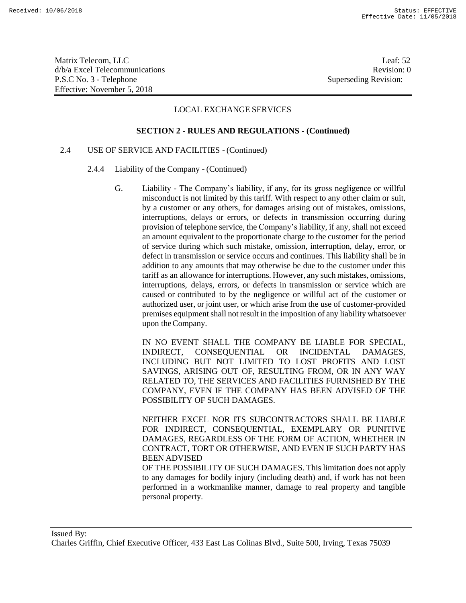Matrix Telecom, LLC Leaf: 52 d/b/a Excel Telecommunications Revision: 0 P.S.C No. 3 - Telephone Superseding Revision: Effective: November 5, 2018

## LOCAL EXCHANGE SERVICES

#### **SECTION 2 - RULES AND REGULATIONS - (Continued)**

# 2.4 USE OF SERVICE AND FACILITIES - (Continued)

- 2.4.4 Liability of the Company (Continued)
	- G. Liability The Company's liability, if any, for its gross negligence or willful misconduct is not limited by this tariff. With respect to any other claim or suit, by a customer or any others, for damages arising out of mistakes, omissions, interruptions, delays or errors, or defects in transmission occurring during provision of telephone service, the Company's liability, if any, shall not exceed an amount equivalent to the proportionate charge to the customer for the period of service during which such mistake, omission, interruption, delay, error, or defect in transmission or service occurs and continues. This liability shall be in addition to any amounts that may otherwise be due to the customer under this tariff as an allowance for interruptions. However, any such mistakes, omissions, interruptions, delays, errors, or defects in transmission or service which are caused or contributed to by the negligence or willful act of the customer or authorized user, or joint user, or which arise from the use of customer-provided premises equipment shall not result in the imposition of any liability whatsoever upon theCompany.

IN NO EVENT SHALL THE COMPANY BE LIABLE FOR SPECIAL, INDIRECT, CONSEQUENTIAL OR INCIDENTAL DAMAGES, INCLUDING BUT NOT LIMITED TO LOST PROFITS AND LOST SAVINGS, ARISING OUT OF, RESULTING FROM, OR IN ANY WAY RELATED TO, THE SERVICES AND FACILITIES FURNISHED BY THE COMPANY, EVEN IF THE COMPANY HAS BEEN ADVISED OF THE POSSIBILITY OF SUCH DAMAGES.

NEITHER EXCEL NOR ITS SUBCONTRACTORS SHALL BE LIABLE FOR INDIRECT, CONSEQUENTIAL, EXEMPLARY OR PUNITIVE DAMAGES, REGARDLESS OF THE FORM OF ACTION, WHETHER IN CONTRACT, TORT OR OTHERWISE, AND EVEN IF SUCH PARTY HAS BEEN ADVISED

OF THE POSSIBILITY OF SUCH DAMAGES. This limitation does not apply to any damages for bodily injury (including death) and, if work has not been performed in a workmanlike manner, damage to real property and tangible personal property.

Issued By:

Charles Griffin, Chief Executive Officer, 433 East Las Colinas Blvd., Suite 500, Irving, Texas 75039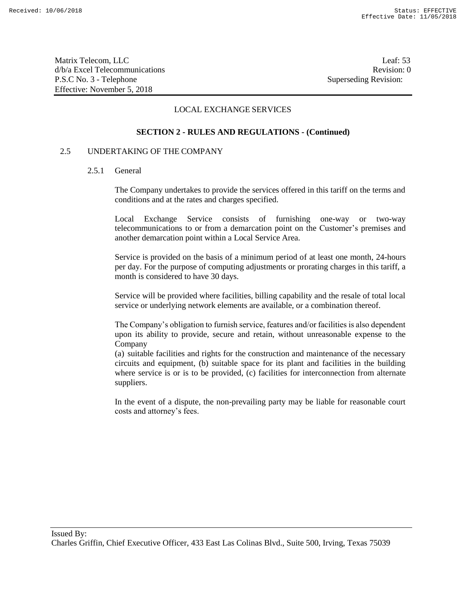Matrix Telecom, LLC Leaf: 53 d/b/a Excel Telecommunications **Review** and the set of the set of the set of the set of the set of the set of the set of the set of the set of the set of the set of the set of the set of the set of the set of the set of th P.S.C No. 3 - Telephone Superseding Revision: Effective: November 5, 2018

# LOCAL EXCHANGE SERVICES

## **SECTION 2 - RULES AND REGULATIONS - (Continued)**

#### 2.5 UNDERTAKING OF THE COMPANY

#### 2.5.1 General

The Company undertakes to provide the services offered in this tariff on the terms and conditions and at the rates and charges specified.

Local Exchange Service consists of furnishing one-way or two-way telecommunications to or from a demarcation point on the Customer's premises and another demarcation point within a Local Service Area.

Service is provided on the basis of a minimum period of at least one month, 24-hours per day. For the purpose of computing adjustments or prorating charges in this tariff, a month is considered to have 30 days.

Service will be provided where facilities, billing capability and the resale of total local service or underlying network elements are available, or a combination thereof.

The Company's obligation to furnish service, features and/or facilities is also dependent upon its ability to provide, secure and retain, without unreasonable expense to the Company

(a) suitable facilities and rights for the construction and maintenance of the necessary circuits and equipment, (b) suitable space for its plant and facilities in the building where service is or is to be provided, (c) facilities for interconnection from alternate suppliers.

In the event of a dispute, the non-prevailing party may be liable for reasonable court costs and attorney's fees.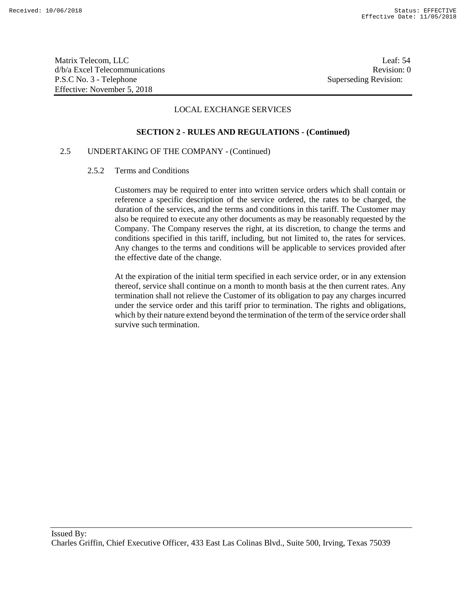Matrix Telecom, LLC Leaf: 54 d/b/a Excel Telecommunications **Review** and the set of the set of the set of the set of the set of the set of the set of the set of the set of the set of the set of the set of the set of the set of the set of the set of th P.S.C No. 3 - Telephone Superseding Revision: Effective: November 5, 2018

# LOCAL EXCHANGE SERVICES

#### **SECTION 2 - RULES AND REGULATIONS - (Continued)**

# 2.5 UNDERTAKING OF THE COMPANY - (Continued)

#### 2.5.2 Terms and Conditions

Customers may be required to enter into written service orders which shall contain or reference a specific description of the service ordered, the rates to be charged, the duration of the services, and the terms and conditions in this tariff. The Customer may also be required to execute any other documents as may be reasonably requested by the Company. The Company reserves the right, at its discretion, to change the terms and conditions specified in this tariff, including, but not limited to, the rates for services. Any changes to the terms and conditions will be applicable to services provided after the effective date of the change.

At the expiration of the initial term specified in each service order, or in any extension thereof, service shall continue on a month to month basis at the then current rates. Any termination shall not relieve the Customer of its obligation to pay any charges incurred under the service order and this tariff prior to termination. The rights and obligations, which by their nature extend beyond the termination of the term of the service order shall survive such termination.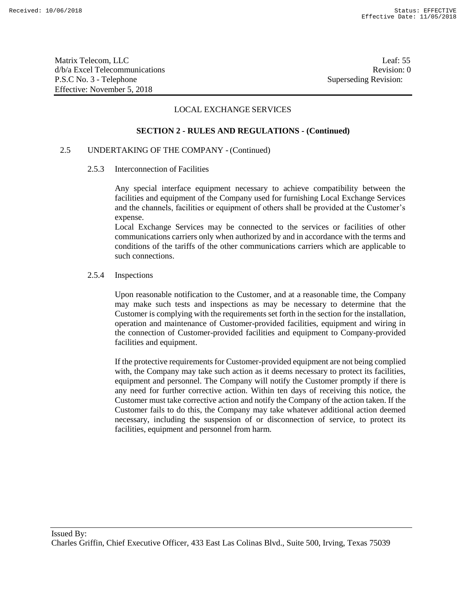Matrix Telecom, LLC Leaf: 55 d/b/a Excel Telecommunications **Review** and the set of the set of the set of the set of the set of the set of the set of the set of the set of the set of the set of the set of the set of the set of the set of the set of th P.S.C No. 3 - Telephone Superseding Revision: Effective: November 5, 2018

# LOCAL EXCHANGE SERVICES

#### **SECTION 2 - RULES AND REGULATIONS - (Continued)**

# 2.5 UNDERTAKING OF THE COMPANY - (Continued)

#### 2.5.3 Interconnection of Facilities

Any special interface equipment necessary to achieve compatibility between the facilities and equipment of the Company used for furnishing Local Exchange Services and the channels, facilities or equipment of others shall be provided at the Customer's expense.

Local Exchange Services may be connected to the services or facilities of other communications carriers only when authorized by and in accordance with the terms and conditions of the tariffs of the other communications carriers which are applicable to such connections.

#### 2.5.4 Inspections

Upon reasonable notification to the Customer, and at a reasonable time, the Company may make such tests and inspections as may be necessary to determine that the Customer is complying with the requirements set forth in the section for the installation, operation and maintenance of Customer-provided facilities, equipment and wiring in the connection of Customer-provided facilities and equipment to Company-provided facilities and equipment.

If the protective requirements for Customer-provided equipment are not being complied with, the Company may take such action as it deems necessary to protect its facilities, equipment and personnel. The Company will notify the Customer promptly if there is any need for further corrective action. Within ten days of receiving this notice, the Customer must take corrective action and notify the Company of the action taken. If the Customer fails to do this, the Company may take whatever additional action deemed necessary, including the suspension of or disconnection of service, to protect its facilities, equipment and personnel from harm.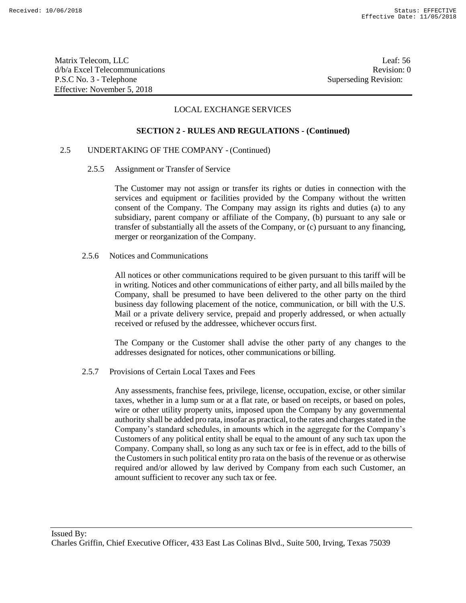Matrix Telecom, LLC Leaf: 56 d/b/a Excel Telecommunications and the control of the control of the control of the Revision: 0 P.S.C No. 3 - Telephone Superseding Revision: Effective: November 5, 2018

# LOCAL EXCHANGE SERVICES

#### **SECTION 2 - RULES AND REGULATIONS - (Continued)**

# 2.5 UNDERTAKING OF THE COMPANY - (Continued)

2.5.5 Assignment or Transfer of Service

The Customer may not assign or transfer its rights or duties in connection with the services and equipment or facilities provided by the Company without the written consent of the Company. The Company may assign its rights and duties (a) to any subsidiary, parent company or affiliate of the Company, (b) pursuant to any sale or transfer of substantially all the assets of the Company, or (c) pursuant to any financing, merger or reorganization of the Company.

2.5.6 Notices and Communications

All notices or other communications required to be given pursuant to this tariff will be in writing. Notices and other communications of either party, and all bills mailed by the Company, shall be presumed to have been delivered to the other party on the third business day following placement of the notice, communication, or bill with the U.S. Mail or a private delivery service, prepaid and properly addressed, or when actually received or refused by the addressee, whichever occurs first.

The Company or the Customer shall advise the other party of any changes to the addresses designated for notices, other communications or billing.

2.5.7 Provisions of Certain Local Taxes and Fees

Any assessments, franchise fees, privilege, license, occupation, excise, or other similar taxes, whether in a lump sum or at a flat rate, or based on receipts, or based on poles, wire or other utility property units, imposed upon the Company by any governmental authority shall be added pro rata, insofar as practical, to the rates and chargesstated in the Company's standard schedules, in amounts which in the aggregate for the Company's Customers of any political entity shall be equal to the amount of any such tax upon the Company. Company shall, so long as any such tax or fee is in effect, add to the bills of the Customers in such political entity pro rata on the basis of the revenue or as otherwise required and/or allowed by law derived by Company from each such Customer, an amount sufficient to recover any such tax or fee.

Issued By:

Charles Griffin, Chief Executive Officer, 433 East Las Colinas Blvd., Suite 500, Irving, Texas 75039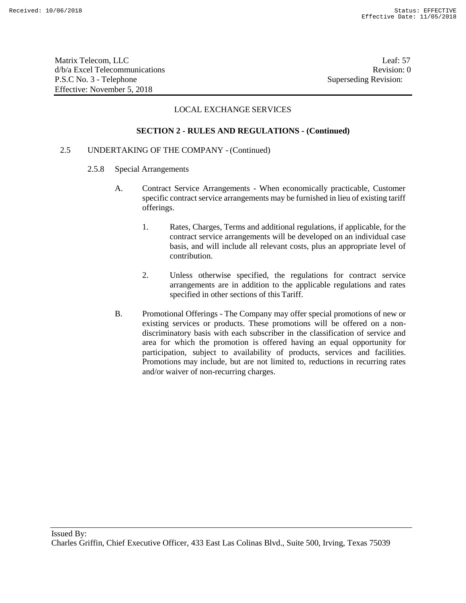Matrix Telecom, LLC Leaf: 57 d/b/a Excel Telecommunications **Review Revision: 0** P.S.C No. 3 - Telephone Superseding Revision: Effective: November 5, 2018

# LOCAL EXCHANGE SERVICES

#### **SECTION 2 - RULES AND REGULATIONS - (Continued)**

# 2.5 UNDERTAKING OF THE COMPANY - (Continued)

- 2.5.8 Special Arrangements
	- A. Contract Service Arrangements When economically practicable, Customer specific contract service arrangements may be furnished in lieu of existing tariff offerings.
		- 1. Rates, Charges, Terms and additional regulations, if applicable, for the contract service arrangements will be developed on an individual case basis, and will include all relevant costs, plus an appropriate level of contribution.
		- 2. Unless otherwise specified, the regulations for contract service arrangements are in addition to the applicable regulations and rates specified in other sections of this Tariff.
	- B. Promotional Offerings The Company may offer special promotions of new or existing services or products. These promotions will be offered on a nondiscriminatory basis with each subscriber in the classification of service and area for which the promotion is offered having an equal opportunity for participation, subject to availability of products, services and facilities. Promotions may include, but are not limited to, reductions in recurring rates and/or waiver of non-recurring charges.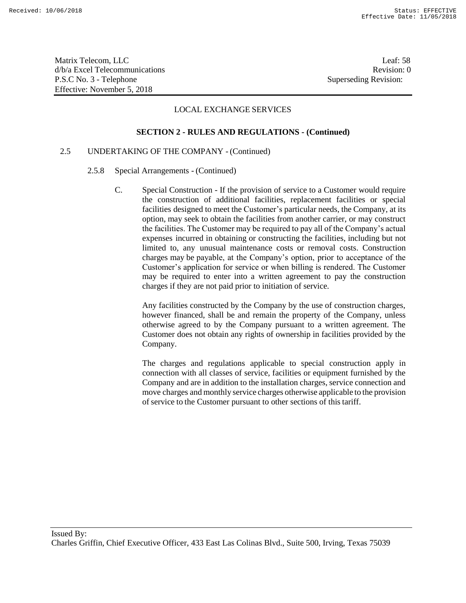Matrix Telecom, LLC Leaf: 58 d/b/a Excel Telecommunications Revision: 0 P.S.C No. 3 - Telephone Superseding Revision: Effective: November 5, 2018

# LOCAL EXCHANGE SERVICES

#### **SECTION 2 - RULES AND REGULATIONS - (Continued)**

# 2.5 UNDERTAKING OF THE COMPANY - (Continued)

- 2.5.8 Special Arrangements (Continued)
	- C. Special Construction If the provision of service to a Customer would require the construction of additional facilities, replacement facilities or special facilities designed to meet the Customer's particular needs, the Company, at its option, may seek to obtain the facilities from another carrier, or may construct the facilities. The Customer may be required to pay all of the Company's actual expenses incurred in obtaining or constructing the facilities, including but not limited to, any unusual maintenance costs or removal costs. Construction charges may be payable, at the Company's option, prior to acceptance of the Customer's application for service or when billing is rendered. The Customer may be required to enter into a written agreement to pay the construction charges if they are not paid prior to initiation of service.

Any facilities constructed by the Company by the use of construction charges, however financed, shall be and remain the property of the Company, unless otherwise agreed to by the Company pursuant to a written agreement. The Customer does not obtain any rights of ownership in facilities provided by the Company.

The charges and regulations applicable to special construction apply in connection with all classes of service, facilities or equipment furnished by the Company and are in addition to the installation charges, service connection and move charges and monthly service charges otherwise applicable to the provision of service to the Customer pursuant to other sections of this tariff.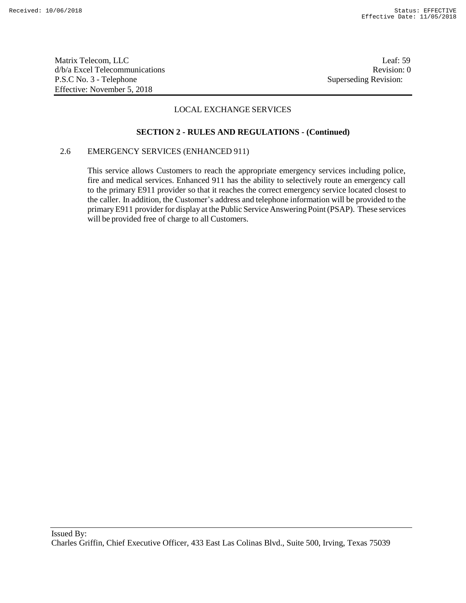Matrix Telecom, LLC Leaf: 59 d/b/a Excel Telecommunications **Review Revision: 0** P.S.C No. 3 - Telephone Superseding Revision: Effective: November 5, 2018

# LOCAL EXCHANGE SERVICES

# **SECTION 2 - RULES AND REGULATIONS - (Continued)**

# 2.6 EMERGENCY SERVICES (ENHANCED 911)

This service allows Customers to reach the appropriate emergency services including police, fire and medical services. Enhanced 911 has the ability to selectively route an emergency call to the primary E911 provider so that it reaches the correct emergency service located closest to the caller. In addition, the Customer's address and telephone information will be provided to the primary E911 provider for display at the Public Service Answering Point (PSAP). These services will be provided free of charge to all Customers.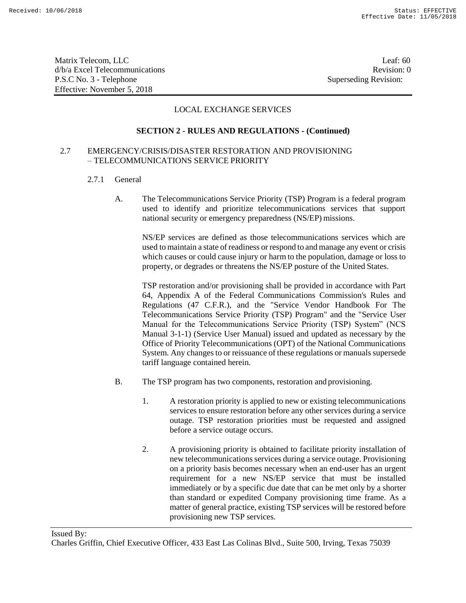Matrix Telecom, LLC Leaf: 60 d/b/a Excel Telecommunications **Review** and the set of the set of the set of the set of the set of the set of the set of the set of the set of the set of the set of the set of the set of the set of the set of the set of th P.S.C No. 3 - Telephone Superseding Revision: Effective: November 5, 2018

# LOCAL EXCHANGE SERVICES

#### **SECTION 2 - RULES AND REGULATIONS - (Continued)**

# 2.7 EMERGENCY/CRISIS/DISASTER RESTORATION AND PROVISIONING – TELECOMMUNICATIONS SERVICE PRIORITY

- 2.7.1 General
	- A. The Telecommunications Service Priority (TSP) Program is a federal program used to identify and prioritize telecommunications services that support national security or emergency preparedness (NS/EP) missions.

NS/EP services are defined as those telecommunications services which are used to maintain a state of readiness or respond to and manage any event or crisis which causes or could cause injury or harm to the population, damage or loss to property, or degrades or threatens the NS/EP posture of the United States.

TSP restoration and/or provisioning shall be provided in accordance with Part 64, Appendix A of the Federal Communications Commission's Rules and Regulations (47 C.F.R.), and the "Service Vendor Handbook For The Telecommunications Service Priority (TSP) Program" and the "Service User Manual for the Telecommunications Service Priority (TSP) System" (NCS Manual 3-1-1) (Service User Manual) issued and updated as necessary by the Office of Priority Telecommunications (OPT) of the National Communications System. Any changes to or reissuance of these regulations or manuals supersede tariff language contained herein.

- B. The TSP program has two components, restoration and provisioning.
	- 1. A restoration priority is applied to new or existing telecommunications services to ensure restoration before any other services during a service outage. TSP restoration priorities must be requested and assigned before a service outage occurs.
	- 2. A provisioning priority is obtained to facilitate priority installation of new telecommunications services during a service outage. Provisioning on a priority basis becomes necessary when an end-user has an urgent requirement for a new NS/EP service that must be installed immediately or by a specific due date that can be met only by a shorter than standard or expedited Company provisioning time frame. As a matter of general practice, existing TSP services will be restored before provisioning new TSP services.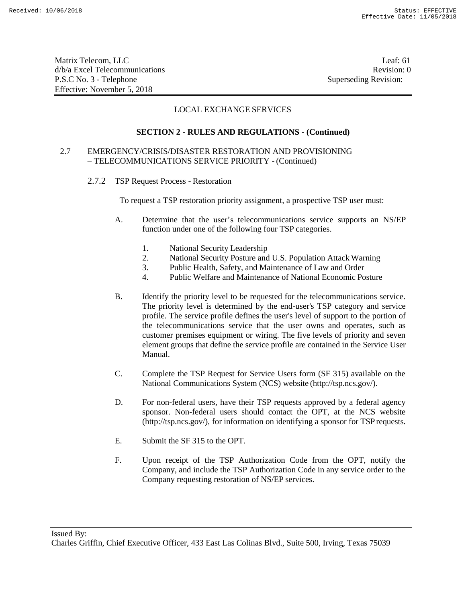Matrix Telecom, LLC Leaf: 61 d/b/a Excel Telecommunications **Review** and the set of the set of the set of the set of the set of the set of the set of the set of the set of the set of the set of the set of the set of the set of the set of the set of th P.S.C No. 3 - Telephone Superseding Revision: Effective: November 5, 2018

# LOCAL EXCHANGE SERVICES

# **SECTION 2 - RULES AND REGULATIONS - (Continued)**

# 2.7 EMERGENCY/CRISIS/DISASTER RESTORATION AND PROVISIONING – TELECOMMUNICATIONS SERVICE PRIORITY - (Continued)

2.7.2 TSP Request Process - Restoration

To request a TSP restoration priority assignment, a prospective TSP user must:

- A. Determine that the user's telecommunications service supports an NS/EP function under one of the following four TSP categories.
	- 1. National Security Leadership
	- 2. National Security Posture and U.S. Population Attack Warning
	- 3. Public Health, Safety, and Maintenance of Law and Order
	- 4. Public Welfare and Maintenance of National Economic Posture
- B. Identify the priority level to be requested for the telecommunications service. The priority level is determined by the end-user's TSP category and service profile. The service profile defines the user's level of support to the portion of the telecommunications service that the user owns and operates, such as customer premises equipment or wiring. The five levels of priority and seven element groups that define the service profile are contained in the Service User Manual.
- C. Complete the TSP Request for Service Users form (SF 315) available on the National Communications System (NCS) website (http://tsp.ncs.gov/).
- D. For non-federal users, have their TSP requests approved by a federal agency sponsor. Non-federal users should contact the OPT, at the NCS website (http://tsp.ncs.gov/), for information on identifying a sponsor for TSPrequests.
- E. Submit the SF 315 to the OPT.
- F. Upon receipt of the TSP Authorization Code from the OPT, notify the Company, and include the TSP Authorization Code in any service order to the Company requesting restoration of NS/EP services.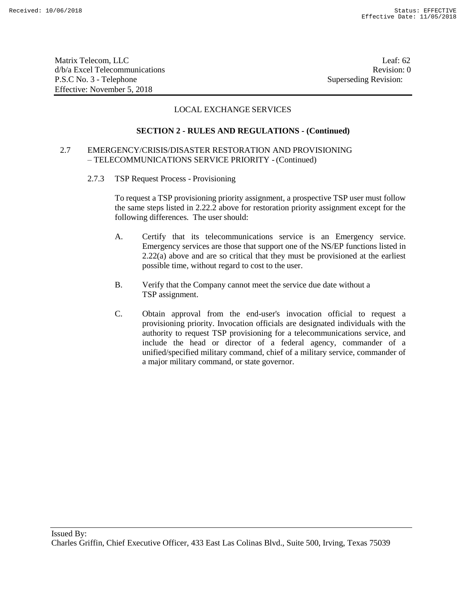Matrix Telecom, LLC Leaf: 62 d/b/a Excel Telecommunications **Review** and the set of the set of the set of the set of the set of the set of the set of the set of the set of the set of the set of the set of the set of the set of the set of the set of th P.S.C No. 3 - Telephone Superseding Revision: Effective: November 5, 2018

# LOCAL EXCHANGE SERVICES

#### **SECTION 2 - RULES AND REGULATIONS - (Continued)**

# 2.7 EMERGENCY/CRISIS/DISASTER RESTORATION AND PROVISIONING – TELECOMMUNICATIONS SERVICE PRIORITY - (Continued)

2.7.3 TSP Request Process - Provisioning

To request a TSP provisioning priority assignment, a prospective TSP user must follow the same steps listed in 2.22.2 above for restoration priority assignment except for the following differences. The user should:

- A. Certify that its telecommunications service is an Emergency service. Emergency services are those that support one of the NS/EP functions listed in 2.22(a) above and are so critical that they must be provisioned at the earliest possible time, without regard to cost to the user.
- B. Verify that the Company cannot meet the service due date without a TSP assignment.
- C. Obtain approval from the end-user's invocation official to request a provisioning priority. Invocation officials are designated individuals with the authority to request TSP provisioning for a telecommunications service, and include the head or director of a federal agency, commander of a unified/specified military command, chief of a military service, commander of a major military command, or state governor.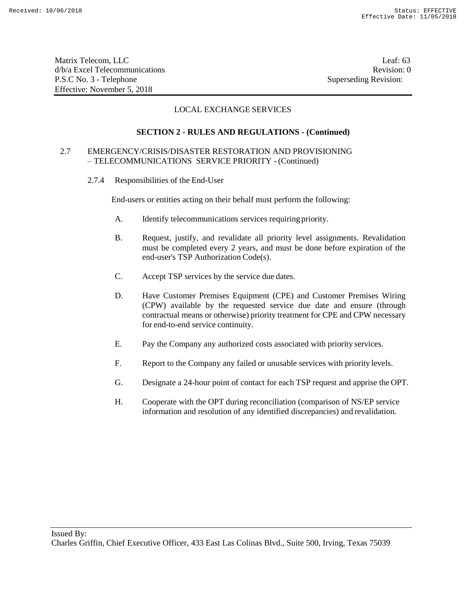Matrix Telecom, LLC Leaf: 63 d/b/a Excel Telecommunications **Review** and the set of the set of the set of the set of the set of the set of the set of the set of the set of the set of the set of the set of the set of the set of the set of the set of th P.S.C No. 3 - Telephone Superseding Revision: Effective: November 5, 2018

# LOCAL EXCHANGE SERVICES

# **SECTION 2 - RULES AND REGULATIONS - (Continued)**

# 2.7 EMERGENCY/CRISIS/DISASTER RESTORATION AND PROVISIONING – TELECOMMUNICATIONS SERVICE PRIORITY - (Continued)

2.7.4 Responsibilities of the End-User

End-users or entities acting on their behalf must perform the following:

- A. Identify telecommunications services requiring priority.
- B. Request, justify, and revalidate all priority level assignments. Revalidation must be completed every 2 years, and must be done before expiration of the end-user's TSP Authorization Code(s).
- C. Accept TSP services by the service due dates.
- D. Have Customer Premises Equipment (CPE) and Customer Premises Wiring (CPW) available by the requested service due date and ensure (through contractual means or otherwise) priority treatment for CPE and CPW necessary for end-to-end service continuity.
- E. Pay the Company any authorized costs associated with priority services.
- F. Report to the Company any failed or unusable services with priority levels.
- G. Designate a 24-hour point of contact for each TSP request and apprise the OPT.
- H. Cooperate with the OPT during reconciliation (comparison of NS/EP service information and resolution of any identified discrepancies) and revalidation.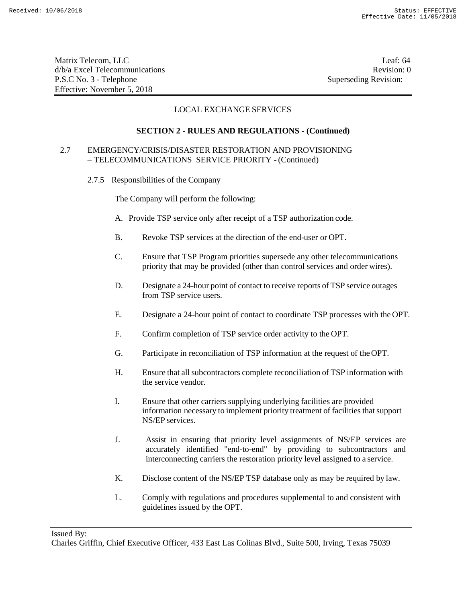Matrix Telecom, LLC Leaf: 64 d/b/a Excel Telecommunications **Review** and the set of the set of the set of the set of the set of the set of the set of the set of the set of the set of the set of the set of the set of the set of the set of the set of th P.S.C No. 3 - Telephone Superseding Revision: Effective: November 5, 2018

# LOCAL EXCHANGE SERVICES

# **SECTION 2 - RULES AND REGULATIONS - (Continued)**

# 2.7 EMERGENCY/CRISIS/DISASTER RESTORATION AND PROVISIONING – TELECOMMUNICATIONS SERVICE PRIORITY - (Continued)

2.7.5 Responsibilities of the Company

The Company will perform the following:

- A. Provide TSP service only after receipt of a TSP authorization code.
- B. Revoke TSP services at the direction of the end-user or OPT.
- C. Ensure that TSP Program priorities supersede any other telecommunications priority that may be provided (other than control services and order wires).
- D. Designate a 24-hour point of contact to receive reports of TSP service outages from TSP service users.
- E. Designate a 24-hour point of contact to coordinate TSP processes with the OPT.
- F. Confirm completion of TSP service order activity to the OPT.
- G. Participate in reconciliation of TSP information at the request of theOPT.
- H. Ensure that all subcontractors complete reconciliation of TSP information with the service vendor.
- I. Ensure that other carriers supplying underlying facilities are provided information necessary to implement priority treatment of facilities that support NS/EP services.
- J. Assist in ensuring that priority level assignments of NS/EP services are accurately identified "end-to-end" by providing to subcontractors and interconnecting carriers the restoration priority level assigned to a service.
- K. Disclose content of the NS/EP TSP database only as may be required by law.
- L. Comply with regulations and procedures supplemental to and consistent with guidelines issued by the OPT.

Issued By:

Charles Griffin, Chief Executive Officer, 433 East Las Colinas Blvd., Suite 500, Irving, Texas 75039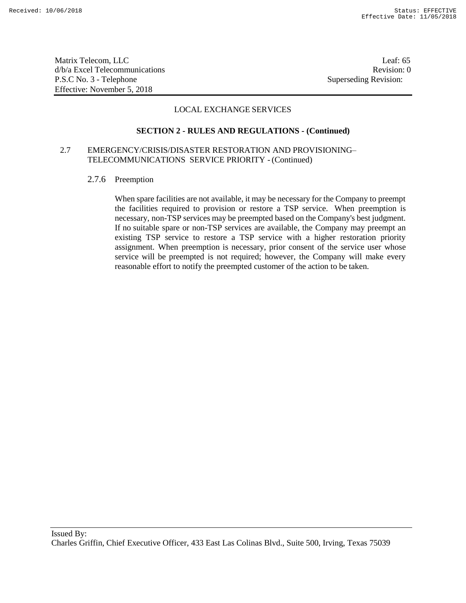Matrix Telecom, LLC Leaf: 65 d/b/a Excel Telecommunications **Review** and the set of the set of the set of the set of the set of the set of the set of the set of the set of the set of the set of the set of the set of the set of the set of the set of th P.S.C No. 3 - Telephone Superseding Revision: Effective: November 5, 2018

# LOCAL EXCHANGE SERVICES

#### **SECTION 2 - RULES AND REGULATIONS - (Continued)**

# 2.7 EMERGENCY/CRISIS/DISASTER RESTORATION AND PROVISIONING– TELECOMMUNICATIONS SERVICE PRIORITY - (Continued)

2.7.6 Preemption

When spare facilities are not available, it may be necessary for the Company to preempt the facilities required to provision or restore a TSP service. When preemption is necessary, non-TSP services may be preempted based on the Company's best judgment. If no suitable spare or non-TSP services are available, the Company may preempt an existing TSP service to restore a TSP service with a higher restoration priority assignment. When preemption is necessary, prior consent of the service user whose service will be preempted is not required; however, the Company will make every reasonable effort to notify the preempted customer of the action to be taken.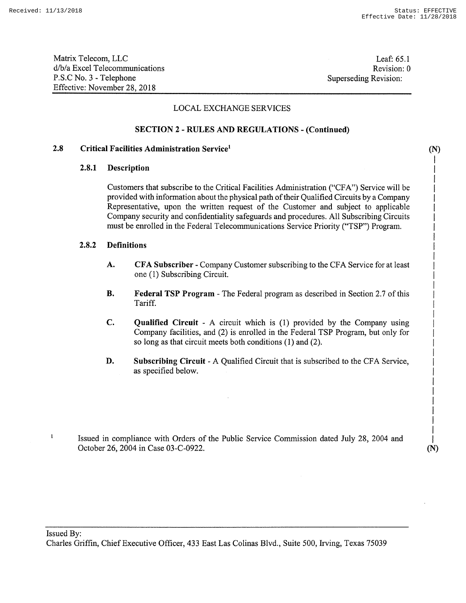(N) I I I I I I I I I I I I I I I I I I I I I I I I I I I I

Matrix Telecom, LLC d/b/a Excel Telecommunications P.S.C No.3 - Telephone Effective: November 28,2018

Leaf: 65.1 Revision: 0 Superseding Revision:

## LOCAL EXCHANGE SERVICES

#### **SECTION 2 - RULES AND REGULATIONS - (Continued)**

#### **2.8 Critical Facilities Administration Service<sup>1</sup>**

# **2.8.1 Description**

Customers that subscribe to the Critical Facilities Administration ("CFA") Service will be provided with information about the physical path of their Qualified Circuits by a Company Representative, upon the written request of the Customer and subject to applicable Company security and confidentiality safeguards and procedures. All Subscribing Circuits must be enrolled in the Federal Telecommunications Service Priority ("TSP") Program.

#### **2.8.2 Definitions**

- **A. CFA Subscriber** Company Customer subscribing to the CFA Service for at least one (1) Subscribing Circuit.
- **B. Federal TSP Program** The Federal program as described in Section 2.7 ofthis Tariff.
- **c. Qualified Circuit** <sup>A</sup> circuit which is (1) provided by the Company using Company facilities, and (2) is enrolled in the Federal TSP Program, but only for so long as that circuit meets both conditions (1) and (2).
- **D. Subscribing Circuit** A Qualified Circuit that is subscribed to the CFA Service, as specified below.
- Issued in compliance with Orders of the Public Service Commission dated July 28, 2004 and October 26, 2004 in Case 03-C-0922.

I I (N)

Issued By:

 $\mathbf{I}$ 

Charles Griffin, Chief Executive Officer, 433 East Las Colinas Blvd., Suite 500, Irving, Texas 75039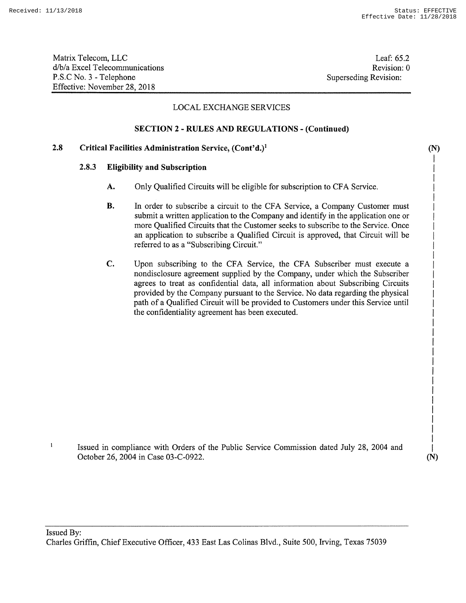(N) I I I I I I I I I I I I I I I I I I I I I I I I I I I I I I I (N)

Matrix Telecom, LLC d/b/a Excel Telecommunications P.S.C No.3 - Telephone Effective: November 28,2018

Leaf: 65.2 Revision: 0 Superseding Revision:

# LOCAL EXCHANGE SERVICES

# SECTION 2 - RULES AND REGULATIONS - (Continued)

#### 2.8 Critical Facilities Administration Service, (Cont'd.)<sup>1</sup>

# 2.8.3 Eligibility and Subscription

- A. Only Qualified Circuits will be eligible for subscription to CFA Service.
- B. In order to subscribe a circuit to the CFA Service, a Company Customer must submit a written application to the Company and identify in the application one or more Qualified Circuits that the Customer seeks to subscribe to the Service. Once an application to subscribe a Qualified Circuit is approved, that Circuit will be referred to as a "Subscribing Circuit."
- C. Upon subscribing to the CFA Service, the CFA Subscriber must execute a nondisclosure agreement supplied by the Company, under which the Subscriber agrees to treat as confidential data, all information about Subscribing Circuits provided by the Company pursuant to the Service. No data regarding the physical path of a Qualified Circuit will be provided to Customers under this Service until the confidentiality agreement has been executed.

 $\mathbf{I}$ Issued in compliance with Orders of the Public Service Commission dated July 28, 2004 and October 26, 2004 in Case 03-C-0922.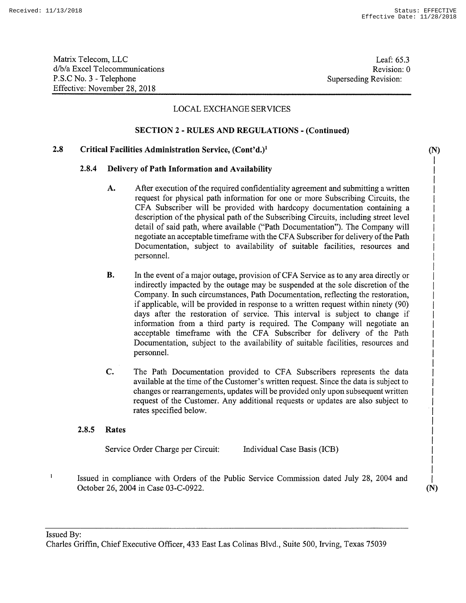**(N)** I I I I I I I I I I I I I I I I I I I I I I I I I I I I I I I I I

Matrix Telecom, LLC d/b/a Excel Telecommunications P.S.C No.3 - Telephone Effective: November 28,2018

Leaf: 65.3 Revision: 0 Superseding Revision:

# LOCAL EXCHANGE SERVICES

# **SECTION 2 - RULES AND REGULATIONS - (Continued)**

#### **Critical Facilities Administration Service, (Cont'd.)1 2.8**

## **2.8.4 Delivery of Path Information and Availability**

- A. After execution of the required confidentiality agreement and submitting a written request for physical path information for one or more Subscribing Circuits, the CFA Subscriber will be provided with hardcopy documentation containing a description of the physical path of the Subscribing Circuits, including street level detail of said path, where available ("Path Documentation"). The Company will negotiate an acceptable timeframe with the CFA Subscriber for delivery ofthe Path Documentation, subject to availability of suitable facilities, resources and personnel.
- **B.** In the event of a major outage, provision of CFA Service as to any area directly or indirectly impacted by the outage may be suspended at the sole discretion of the Company. In such circumstances, Path Documentation, reflecting the restoration, if applicable, will be provided in response to a written request within ninety (90) days after the restoration of service. This interval is subject to change if information from a third party is required. The Company will negotiate an acceptable timeframe with the CFA Subscriber for delivery of the Path Documentation, subject to the availability of suitable facilities, resources and personnel.
- **C.** The Path Documentation provided to CFA Subscribers represents the data available at the time of the Customer's written request. Since the data is subject to changes or rearrangements, updates will be provided only upon subsequent written request of the Customer. Any additional requests or updates are also subject to rates specified below.

#### **2.8.5 Rates**

 $\mathbf{I}$ 

Service Order Charge per Circuit:

Individual Case Basis (ICB)

Issued in compliance with Orders of the Public Service Commission dated July 28, 2004 and October 26, 2004 in Case 03-C-0922.

I **(N)**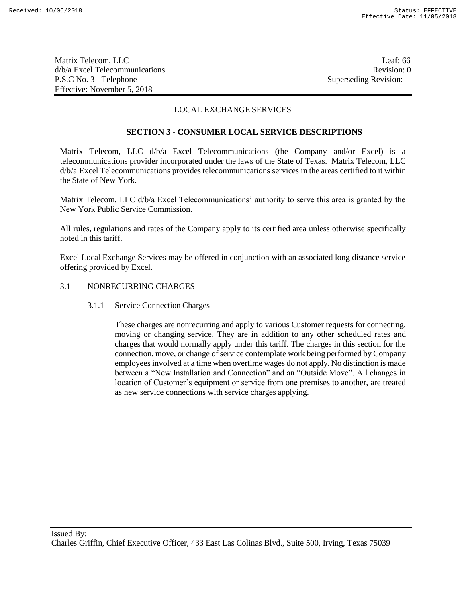Matrix Telecom, LLC Leaf: 66 d/b/a Excel Telecommunications and the control of the control of the Revision: 0 P.S.C No. 3 - Telephone Superseding Revision: Effective: November 5, 2018

# LOCAL EXCHANGE SERVICES

# **SECTION 3 - CONSUMER LOCAL SERVICE DESCRIPTIONS**

Matrix Telecom, LLC d/b/a Excel Telecommunications (the Company and/or Excel) is a telecommunications provider incorporated under the laws of the State of Texas. Matrix Telecom, LLC d/b/a Excel Telecommunications provides telecommunications services in the areas certified to it within the State of New York.

Matrix Telecom, LLC d/b/a Excel Telecommunications' authority to serve this area is granted by the New York Public Service Commission.

All rules, regulations and rates of the Company apply to its certified area unless otherwise specifically noted in this tariff.

Excel Local Exchange Services may be offered in conjunction with an associated long distance service offering provided by Excel.

# 3.1 NONRECURRING CHARGES

3.1.1 Service Connection Charges

These charges are nonrecurring and apply to various Customer requests for connecting, moving or changing service. They are in addition to any other scheduled rates and charges that would normally apply under this tariff. The charges in this section for the connection, move, or change of service contemplate work being performed by Company employees involved at a time when overtime wages do not apply. No distinction is made between a "New Installation and Connection" and an "Outside Move". All changes in location of Customer's equipment or service from one premises to another, are treated as new service connections with service charges applying.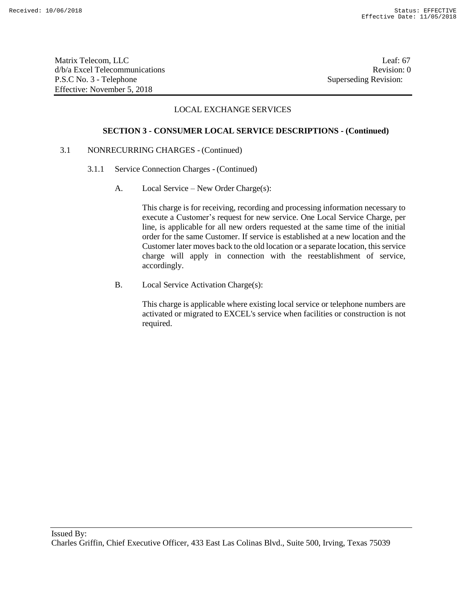Matrix Telecom, LLC Leaf: 67 d/b/a Excel Telecommunications Revision: 0 P.S.C No. 3 - Telephone Superseding Revision: Effective: November 5, 2018

# LOCAL EXCHANGE SERVICES

#### **SECTION 3 - CONSUMER LOCAL SERVICE DESCRIPTIONS - (Continued)**

# 3.1 NONRECURRING CHARGES - (Continued)

- 3.1.1 Service Connection Charges (Continued)
	- A. Local Service New Order Charge(s):

This charge is for receiving, recording and processing information necessary to execute a Customer's request for new service. One Local Service Charge, per line, is applicable for all new orders requested at the same time of the initial order for the same Customer. If service is established at a new location and the Customer later moves back to the old location or a separate location, this service charge will apply in connection with the reestablishment of service, accordingly.

B. Local Service Activation Charge(s):

This charge is applicable where existing local service or telephone numbers are activated or migrated to EXCEL's service when facilities or construction is not required.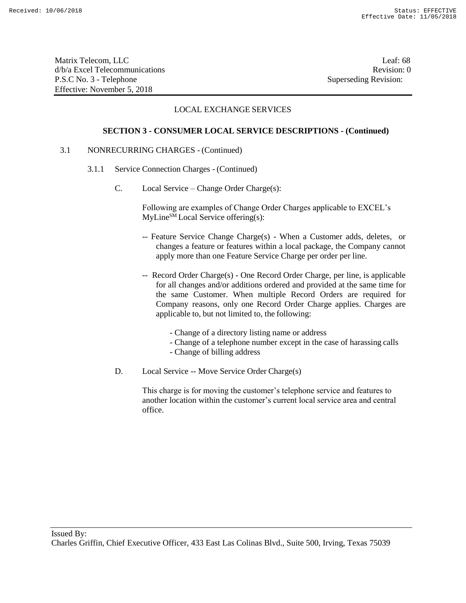Matrix Telecom, LLC Leaf: 68 d/b/a Excel Telecommunications **Review** and the set of the set of the set of the set of the set of the set of the set of the set of the set of the set of the set of the set of the set of the set of the set of the set of th P.S.C No. 3 - Telephone Superseding Revision: Effective: November 5, 2018

# LOCAL EXCHANGE SERVICES

#### **SECTION 3 - CONSUMER LOCAL SERVICE DESCRIPTIONS - (Continued)**

# 3.1 NONRECURRING CHARGES - (Continued)

- 3.1.1 Service Connection Charges (Continued)
	- C. Local Service Change Order Charge(s):

Following are examples of Change Order Charges applicable to EXCEL's  $MyLine<sup>SM</sup> Local Service offering(s):$ 

- -- Feature Service Change Charge(s) When a Customer adds, deletes, or changes a feature or features within a local package, the Company cannot apply more than one Feature Service Charge per order per line.
- -- Record Order Charge(s) One Record Order Charge, per line, is applicable for all changes and/or additions ordered and provided at the same time for the same Customer. When multiple Record Orders are required for Company reasons, only one Record Order Charge applies. Charges are applicable to, but not limited to, the following:
	- Change of a directory listing name or address
	- Change of a telephone number except in the case of harassing calls
	- Change of billing address
- D. Local Service -- Move Service Order Charge(s)

This charge is for moving the customer's telephone service and features to another location within the customer's current local service area and central office.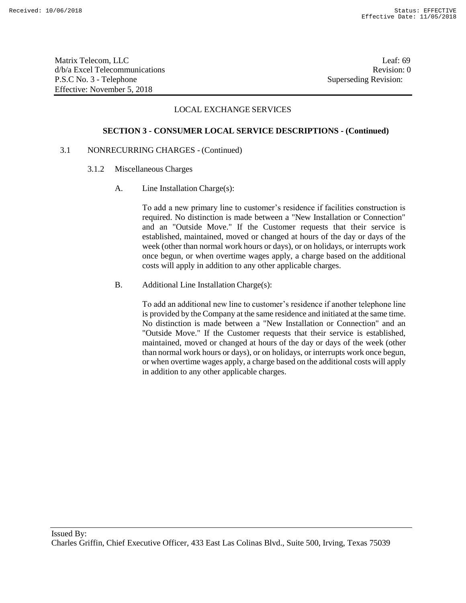Matrix Telecom, LLC Leaf: 69 d/b/a Excel Telecommunications **Review** and the set of the set of the set of the set of the set of the set of the set of the set of the set of the set of the set of the set of the set of the set of the set of the set of th P.S.C No. 3 - Telephone Superseding Revision: Effective: November 5, 2018

# LOCAL EXCHANGE SERVICES

#### **SECTION 3 - CONSUMER LOCAL SERVICE DESCRIPTIONS - (Continued)**

## 3.1 NONRECURRING CHARGES - (Continued)

- 3.1.2 Miscellaneous Charges
	- A. Line Installation Charge(s):

To add a new primary line to customer's residence if facilities construction is required. No distinction is made between a "New Installation or Connection" and an "Outside Move." If the Customer requests that their service is established, maintained, moved or changed at hours of the day or days of the week (other than normal work hours or days), or on holidays, or interrupts work once begun, or when overtime wages apply, a charge based on the additional costs will apply in addition to any other applicable charges.

B. Additional Line Installation Charge(s):

To add an additional new line to customer's residence if another telephone line is provided by the Company at the same residence and initiated at the same time. No distinction is made between a "New Installation or Connection" and an "Outside Move." If the Customer requests that their service is established, maintained, moved or changed at hours of the day or days of the week (other than normal work hours or days), or on holidays, or interrupts work once begun, or when overtime wages apply, a charge based on the additional costs will apply in addition to any other applicable charges.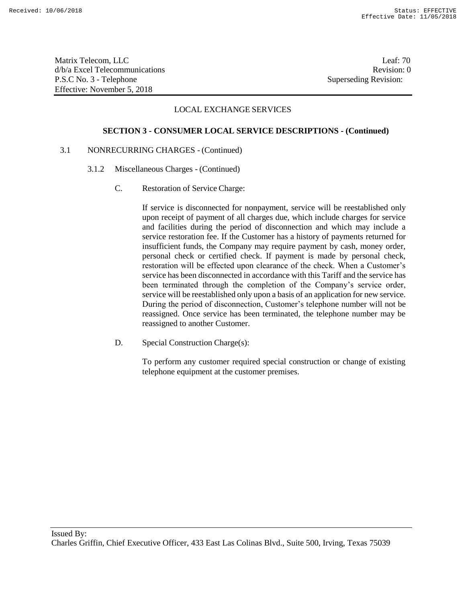Matrix Telecom, LLC Leaf: 70 d/b/a Excel Telecommunications **Review** and the set of the set of the set of the set of the set of the set of the set of the set of the set of the set of the set of the set of the set of the set of the set of the set of th P.S.C No. 3 - Telephone Superseding Revision: Effective: November 5, 2018

## LOCAL EXCHANGE SERVICES

### **SECTION 3 - CONSUMER LOCAL SERVICE DESCRIPTIONS - (Continued)**

# 3.1 NONRECURRING CHARGES - (Continued)

- 3.1.2 Miscellaneous Charges (Continued)
	- C. Restoration of Service Charge:

If service is disconnected for nonpayment, service will be reestablished only upon receipt of payment of all charges due, which include charges for service and facilities during the period of disconnection and which may include a service restoration fee. If the Customer has a history of payments returned for insufficient funds, the Company may require payment by cash, money order, personal check or certified check. If payment is made by personal check, restoration will be effected upon clearance of the check. When a Customer's service has been disconnected in accordance with this Tariff and the service has been terminated through the completion of the Company's service order, service will be reestablished only upon a basis of an application for new service. During the period of disconnection, Customer's telephone number will not be reassigned. Once service has been terminated, the telephone number may be reassigned to another Customer.

D. Special Construction Charge(s):

To perform any customer required special construction or change of existing telephone equipment at the customer premises.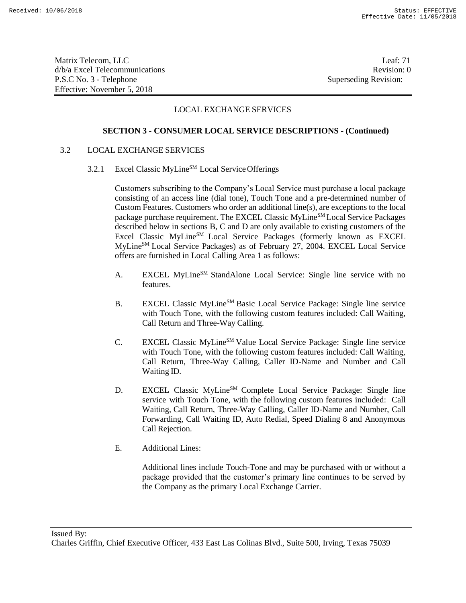Matrix Telecom, LLC Leaf: 71 d/b/a Excel Telecommunications **Review** and the set of the set of the set of the set of the set of the set of the set of the set of the set of the set of the set of the set of the set of the set of the set of the set of th P.S.C No. 3 - Telephone Superseding Revision: Effective: November 5, 2018

# LOCAL EXCHANGE SERVICES

## **SECTION 3 - CONSUMER LOCAL SERVICE DESCRIPTIONS - (Continued)**

### 3.2 LOCAL EXCHANGE SERVICES

3.2.1 Excel Classic MyLine<sup>SM</sup> Local Service Offerings

Customers subscribing to the Company's Local Service must purchase a local package consisting of an access line (dial tone), Touch Tone and a pre-determined number of Custom Features. Customers who order an additional line(s), are exceptions to the local package purchase requirement. The EXCEL Classic MyLine<sup>SM</sup> Local Service Packages described below in sections B, C and D are only available to existing customers of the Excel Classic MyLine<sup>SM</sup> Local Service Packages (formerly known as EXCEL MyLineSM Local Service Packages) as of February 27, 2004. EXCEL Local Service offers are furnished in Local Calling Area 1 as follows:

- A. EXCEL MyLine<sup>SM</sup> StandAlone Local Service: Single line service with no features.
- B. EXCEL Classic MyLine<sup>SM</sup> Basic Local Service Package: Single line service with Touch Tone, with the following custom features included: Call Waiting, Call Return and Three-Way Calling.
- C. EXCEL Classic MyLine<sup>SM</sup> Value Local Service Package: Single line service with Touch Tone, with the following custom features included: Call Waiting, Call Return, Three-Way Calling, Caller ID-Name and Number and Call Waiting ID.
- D. EXCEL Classic MyLine<sup>SM</sup> Complete Local Service Package: Single line service with Touch Tone, with the following custom features included: Call Waiting, Call Return, Three-Way Calling, Caller ID-Name and Number, Call Forwarding, Call Waiting ID, Auto Redial, Speed Dialing 8 and Anonymous Call Rejection.
- E. Additional Lines:

Additional lines include Touch-Tone and may be purchased with or without a package provided that the customer's primary line continues to be served by the Company as the primary Local Exchange Carrier.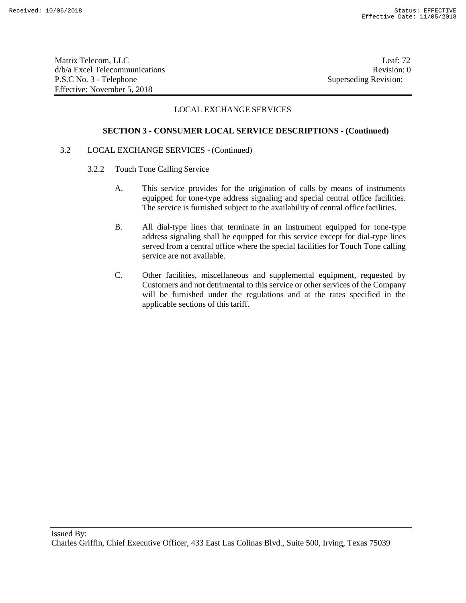Matrix Telecom, LLC Leaf: 72 d/b/a Excel Telecommunications **Review** and the set of the set of the set of the set of the set of the set of the set of the set of the set of the set of the set of the set of the set of the set of the set of the set of th P.S.C No. 3 - Telephone Superseding Revision: Effective: November 5, 2018

# LOCAL EXCHANGE SERVICES

### **SECTION 3 - CONSUMER LOCAL SERVICE DESCRIPTIONS - (Continued)**

### 3.2 LOCAL EXCHANGE SERVICES - (Continued)

- 3.2.2 Touch Tone Calling Service
	- A. This service provides for the origination of calls by means of instruments equipped for tone-type address signaling and special central office facilities. The service is furnished subject to the availability of central office facilities.
	- B. All dial-type lines that terminate in an instrument equipped for tone-type address signaling shall be equipped for this service except for dial-type lines served from a central office where the special facilities for Touch Tone calling service are not available.
	- C. Other facilities, miscellaneous and supplemental equipment, requested by Customers and not detrimental to this service or other services of the Company will be furnished under the regulations and at the rates specified in the applicable sections of this tariff.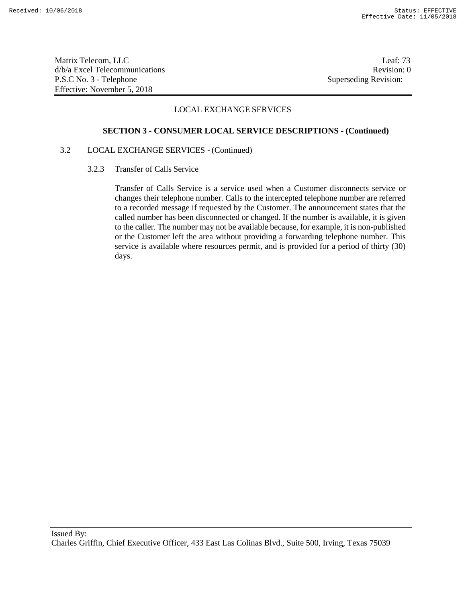Matrix Telecom, LLC Leaf: 73 d/b/a Excel Telecommunications **Review** and the set of the set of the set of the set of the set of the set of the set of the set of the set of the set of the set of the set of the set of the set of the set of the set of th P.S.C No. 3 - Telephone Superseding Revision: Effective: November 5, 2018

# LOCAL EXCHANGE SERVICES

### **SECTION 3 - CONSUMER LOCAL SERVICE DESCRIPTIONS - (Continued)**

## 3.2 LOCAL EXCHANGE SERVICES - (Continued)

3.2.3 Transfer of Calls Service

Transfer of Calls Service is a service used when a Customer disconnects service or changes their telephone number. Calls to the intercepted telephone number are referred to a recorded message if requested by the Customer. The announcement states that the called number has been disconnected or changed. If the number is available, it is given to the caller. The number may not be available because, for example, it is non-published or the Customer left the area without providing a forwarding telephone number. This service is available where resources permit, and is provided for a period of thirty (30) days.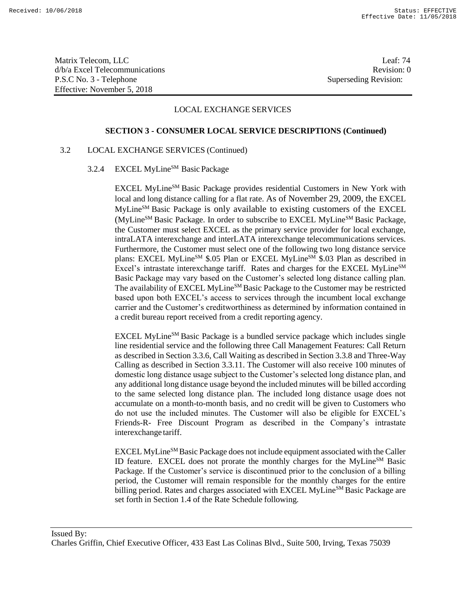Matrix Telecom, LLC Leaf: 74 d/b/a Excel Telecommunications Revision: 0 P.S.C No. 3 - Telephone Superseding Revision: Effective: November 5, 2018

## LOCAL EXCHANGE SERVICES

### **SECTION 3 - CONSUMER LOCAL SERVICE DESCRIPTIONS (Continued)**

## 3.2 LOCAL EXCHANGE SERVICES (Continued)

3.2.4 EXCEL MyLine<sup>SM</sup> Basic Package

EXCEL MyLine<sup>SM</sup> Basic Package provides residential Customers in New York with local and long distance calling for a flat rate. As of November 29, 2009, the EXCEL MyLineSM Basic Package is only available to existing customers of the EXCEL (MyLine<sup>SM</sup> Basic Package. In order to subscribe to EXCEL MyLine<sup>SM</sup> Basic Package, the Customer must select EXCEL as the primary service provider for local exchange, intraLATA interexchange and interLATA interexchange telecommunications services. Furthermore, the Customer must select one of the following two long distance service plans: EXCEL MyLine<sup>SM</sup> \$.05 Plan or EXCEL MyLine<sup>SM</sup> \$.03 Plan as described in Excel's intrastate interexchange tariff. Rates and charges for the EXCEL MyLine<sup>SM</sup> Basic Package may vary based on the Customer's selected long distance calling plan. The availability of EXCEL MyLine<sup>SM</sup> Basic Package to the Customer may be restricted based upon both EXCEL's access to services through the incumbent local exchange carrier and the Customer's creditworthiness as determined by information contained in a credit bureau report received from a credit reporting agency.

EXCEL MyLine<sup>SM</sup> Basic Package is a bundled service package which includes single line residential service and the following three Call Management Features: Call Return as described in Section 3.3.6, Call Waiting as described in Section 3.3.8 and Three-Way Calling as described in Section 3.3.11. The Customer will also receive 100 minutes of domestic long distance usage subject to the Customer's selected long distance plan, and any additional long distance usage beyond the included minutes will be billed according to the same selected long distance plan. The included long distance usage does not accumulate on a month-to-month basis, and no credit will be given to Customers who do not use the included minutes. The Customer will also be eligible for EXCEL's Friends-R- Free Discount Program as described in the Company's intrastate interexchange tariff.

EXCEL MyLine<sup>SM</sup> Basic Package does not include equipment associated with the Caller ID feature. EXCEL does not prorate the monthly charges for the MyLineSM Basic Package. If the Customer's service is discontinued prior to the conclusion of a billing period, the Customer will remain responsible for the monthly charges for the entire billing period. Rates and charges associated with EXCEL MyLine<sup>SM</sup> Basic Package are set forth in Section 1.4 of the Rate Schedule following.

Issued By: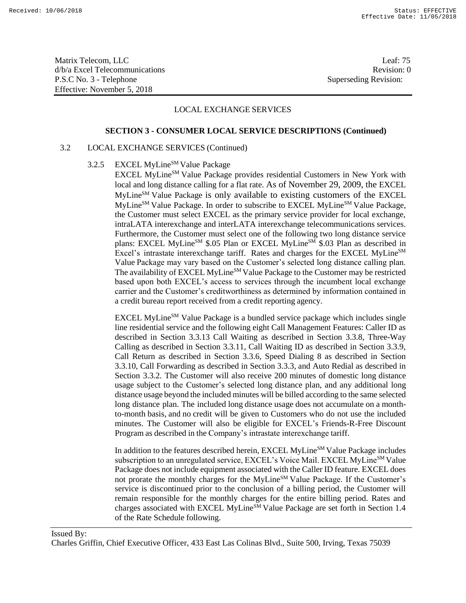Matrix Telecom, LLC Leaf: 75 d/b/a Excel Telecommunications **Review** and the set of the set of the set of the set of the set of the set of the set of the set of the set of the set of the set of the set of the set of the set of the set of the set of th P.S.C No. 3 - Telephone Superseding Revision: Effective: November 5, 2018

# LOCAL EXCHANGE SERVICES

### **SECTION 3 - CONSUMER LOCAL SERVICE DESCRIPTIONS (Continued)**

## 3.2 LOCAL EXCHANGE SERVICES (Continued)

# 3.2.5 EXCEL MyLine<sup>SM</sup> Value Package

EXCEL MyLine<sup>SM</sup> Value Package provides residential Customers in New York with local and long distance calling for a flat rate. As of November 29, 2009, the EXCEL MyLineSM Value Package is only available to existing customers of the EXCEL MyLine<sup>SM</sup> Value Package. In order to subscribe to EXCEL MyLine<sup>SM</sup> Value Package, the Customer must select EXCEL as the primary service provider for local exchange, intraLATA interexchange and interLATA interexchange telecommunications services. Furthermore, the Customer must select one of the following two long distance service plans: EXCEL MyLine<sup>SM</sup> \$.05 Plan or EXCEL MyLine<sup>SM</sup> \$.03 Plan as described in Excel's intrastate interexchange tariff. Rates and charges for the EXCEL MyLine<sup>SM</sup> Value Package may vary based on the Customer's selected long distance calling plan. The availability of EXCEL MyLine<sup>SM</sup> Value Package to the Customer may be restricted based upon both EXCEL's access to services through the incumbent local exchange carrier and the Customer's creditworthiness as determined by information contained in a credit bureau report received from a credit reporting agency.

EXCEL MyLine<sup>SM</sup> Value Package is a bundled service package which includes single line residential service and the following eight Call Management Features: Caller ID as described in Section 3.3.13 Call Waiting as described in Section 3.3.8, Three-Way Calling as described in Section 3.3.11, Call Waiting ID as described in Section 3.3.9, Call Return as described in Section 3.3.6, Speed Dialing 8 as described in Section 3.3.10, Call Forwarding as described in Section 3.3.3, and Auto Redial as described in Section 3.3.2. The Customer will also receive 200 minutes of domestic long distance usage subject to the Customer's selected long distance plan, and any additional long distance usage beyond the included minutes will be billed according to the same selected long distance plan. The included long distance usage does not accumulate on a monthto-month basis, and no credit will be given to Customers who do not use the included minutes. The Customer will also be eligible for EXCEL's Friends-R-Free Discount Program as described in the Company's intrastate interexchange tariff.

In addition to the features described herein, EXCEL MyLine<sup>SM</sup> Value Package includes subscription to an unregulated service, EXCEL's Voice Mail. EXCEL MyLine<sup>SM</sup> Value Package does not include equipment associated with the Caller ID feature. EXCEL does not prorate the monthly charges for the MyLine<sup>SM</sup> Value Package. If the Customer's service is discontinued prior to the conclusion of a billing period, the Customer will remain responsible for the monthly charges for the entire billing period. Rates and charges associated with EXCEL MyLine<sup>SM</sup> Value Package are set forth in Section 1.4 of the Rate Schedule following.

## Issued By: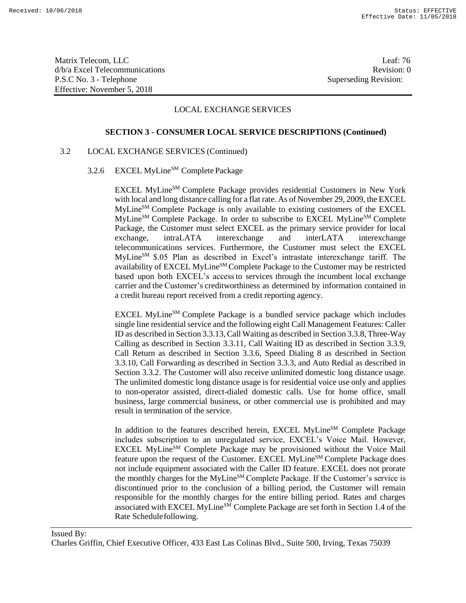Matrix Telecom, LLC Leaf: 76 d/b/a Excel Telecommunications **Review** and the set of the set of the set of the set of the set of the set of the set of the set of the set of the set of the set of the set of the set of the set of the set of the set of th P.S.C No. 3 - Telephone Superseding Revision: Effective: November 5, 2018

## LOCAL EXCHANGE SERVICES

### **SECTION 3 - CONSUMER LOCAL SERVICE DESCRIPTIONS (Continued)**

## 3.2 LOCAL EXCHANGE SERVICES (Continued)

# 3.2.6 EXCEL MyLine<sup>SM</sup> Complete Package

EXCEL MyLineSM Complete Package provides residential Customers in New York with local and long distance calling for a flat rate. As of November 29, 2009, the EXCEL MyLineSM Complete Package is only available to existing customers of the EXCEL MyLineSM Complete Package. In order to subscribe to EXCEL MyLineSM Complete Package, the Customer must select EXCEL as the primary service provider for local exchange, intraLATA interexchange and interLATA interexchange telecommunications services. Furthermore, the Customer must select the EXCEL MyLineSM \$.05 Plan as described in Excel's intrastate interexchange tariff. The availability of EXCEL MyLine<sup>SM</sup> Complete Package to the Customer may be restricted based upon both EXCEL's accessto services through the incumbent local exchange carrier and the Customer's creditworthiness as determined by information contained in a credit bureau report received from a credit reporting agency.

EXCEL MyLine<sup>SM</sup> Complete Package is a bundled service package which includes single line residential service and the following eight Call Management Features: Caller ID as described in Section 3.3.13, Call Waiting as described in Section 3.3.8, Three-Way Calling as described in Section 3.3.11, Call Waiting ID as described in Section 3.3.9, Call Return as described in Section 3.3.6, Speed Dialing 8 as described in Section 3.3.10, Call Forwarding as described in Section 3.3.3, and Auto Redial as described in Section 3.3.2. The Customer will also receive unlimited domestic long distance usage. The unlimited domestic long distance usage is for residential voice use only and applies to non-operator assisted, direct-dialed domestic calls. Use for home office, small business, large commercial business, or other commercial use is prohibited and may result in termination of the service.

In addition to the features described herein, EXCEL MyLine<sup>SM</sup> Complete Package includes subscription to an unregulated service, EXCEL's Voice Mail. However, EXCEL MyLine<sup>SM</sup> Complete Package may be provisioned without the Voice Mail feature upon the request of the Customer. EXCEL MyLine<sup>SM</sup> Complete Package does not include equipment associated with the Caller ID feature. EXCEL does not prorate the monthly charges for the MyLine<sup>SM</sup> Complete Package. If the Customer's service is discontinued prior to the conclusion of a billing period, the Customer will remain responsible for the monthly charges for the entire billing period. Rates and charges associated with EXCEL MyLineSM Complete Package are set forth in Section 1.4 of the Rate Schedulefollowing.

## Issued By: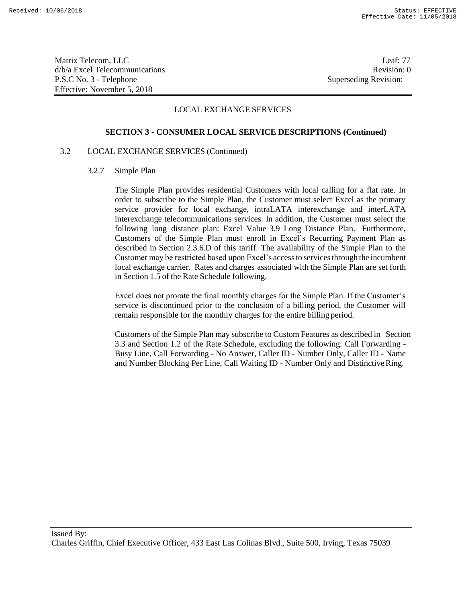Matrix Telecom, LLC Leaf: 77 d/b/a Excel Telecommunications Revision: 0 P.S.C No. 3 - Telephone Superseding Revision: Effective: November 5, 2018

## LOCAL EXCHANGE SERVICES

### **SECTION 3 - CONSUMER LOCAL SERVICE DESCRIPTIONS (Continued)**

### 3.2 LOCAL EXCHANGE SERVICES (Continued)

#### 3.2.7 Simple Plan

The Simple Plan provides residential Customers with local calling for a flat rate. In order to subscribe to the Simple Plan, the Customer must select Excel as the primary service provider for local exchange, intraLATA interexchange and interLATA interexchange telecommunications services. In addition, the Customer must select the following long distance plan: Excel Value 3.9 Long Distance Plan. Furthermore, Customers of the Simple Plan must enroll in Excel's Recurring Payment Plan as described in Section 2.3.6.D of this tariff. The availability of the Simple Plan to the Customer may be restricted based upon Excel's accessto servicesthrough the incumbent local exchange carrier. Rates and charges associated with the Simple Plan are set forth in Section 1.5 of the Rate Schedule following.

Excel does not prorate the final monthly charges for the Simple Plan. If the Customer's service is discontinued prior to the conclusion of a billing period, the Customer will remain responsible for the monthly charges for the entire billing period.

Customers of the Simple Plan may subscribe to Custom Features as described in Section 3.3 and Section 1.2 of the Rate Schedule, excluding the following: Call Forwarding - Busy Line, Call Forwarding - No Answer, Caller ID - Number Only, Caller ID - Name and Number Blocking Per Line, Call Waiting ID - Number Only and Distinctive Ring.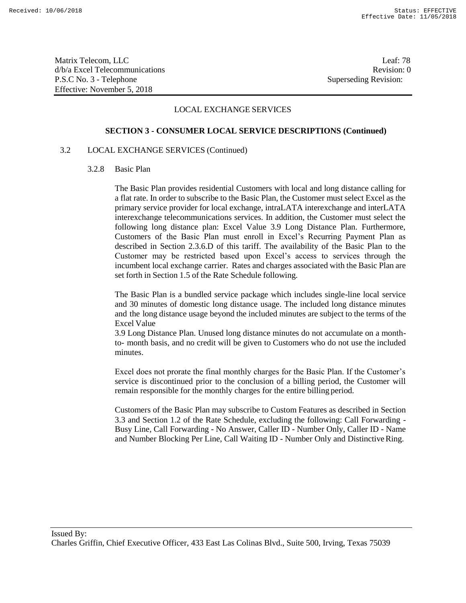Matrix Telecom, LLC Leaf: 78 d/b/a Excel Telecommunications Revision: 0 P.S.C No. 3 - Telephone Superseding Revision: Effective: November 5, 2018

## LOCAL EXCHANGE SERVICES

### **SECTION 3 - CONSUMER LOCAL SERVICE DESCRIPTIONS (Continued)**

## 3.2 LOCAL EXCHANGE SERVICES (Continued)

3.2.8 Basic Plan

The Basic Plan provides residential Customers with local and long distance calling for a flat rate. In order to subscribe to the Basic Plan, the Customer must select Excel as the primary service provider for local exchange, intraLATA interexchange and interLATA interexchange telecommunications services. In addition, the Customer must select the following long distance plan: Excel Value 3.9 Long Distance Plan. Furthermore, Customers of the Basic Plan must enroll in Excel's Recurring Payment Plan as described in Section 2.3.6.D of this tariff. The availability of the Basic Plan to the Customer may be restricted based upon Excel's access to services through the incumbent local exchange carrier. Rates and charges associated with the Basic Plan are set forth in Section 1.5 of the Rate Schedule following.

The Basic Plan is a bundled service package which includes single-line local service and 30 minutes of domestic long distance usage. The included long distance minutes and the long distance usage beyond the included minutes are subject to the terms of the Excel Value

3.9 Long Distance Plan. Unused long distance minutes do not accumulate on a monthto- month basis, and no credit will be given to Customers who do not use the included minutes.

Excel does not prorate the final monthly charges for the Basic Plan. If the Customer's service is discontinued prior to the conclusion of a billing period, the Customer will remain responsible for the monthly charges for the entire billing period.

Customers of the Basic Plan may subscribe to Custom Features as described in Section 3.3 and Section 1.2 of the Rate Schedule, excluding the following: Call Forwarding - Busy Line, Call Forwarding - No Answer, Caller ID - Number Only, Caller ID - Name and Number Blocking Per Line, Call Waiting ID - Number Only and Distinctive Ring.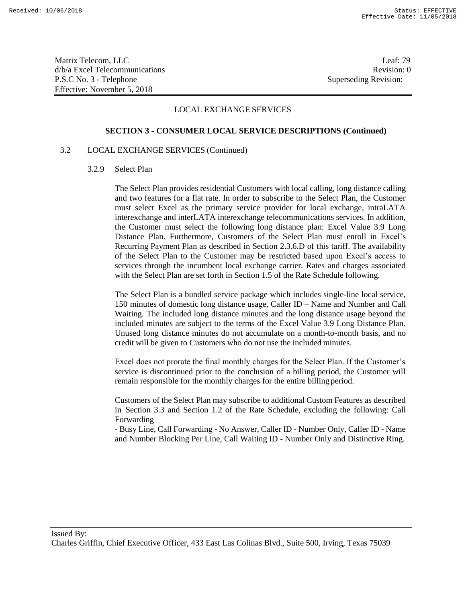Matrix Telecom, LLC Leaf: 79 d/b/a Excel Telecommunications Revision: 0 P.S.C No. 3 - Telephone Superseding Revision: Effective: November 5, 2018

## LOCAL EXCHANGE SERVICES

### **SECTION 3 - CONSUMER LOCAL SERVICE DESCRIPTIONS (Continued)**

## 3.2 LOCAL EXCHANGE SERVICES (Continued)

3.2.9 Select Plan

The Select Plan provides residential Customers with local calling, long distance calling and two features for a flat rate. In order to subscribe to the Select Plan, the Customer must select Excel as the primary service provider for local exchange, intraLATA interexchange and interLATA interexchange telecommunications services. In addition, the Customer must select the following long distance plan: Excel Value 3.9 Long Distance Plan. Furthermore, Customers of the Select Plan must enroll in Excel's Recurring Payment Plan as described in Section 2.3.6.D of this tariff. The availability of the Select Plan to the Customer may be restricted based upon Excel's access to services through the incumbent local exchange carrier. Rates and charges associated with the Select Plan are set forth in Section 1.5 of the Rate Schedule following.

The Select Plan is a bundled service package which includes single-line local service, 150 minutes of domestic long distance usage, Caller ID – Name and Number and Call Waiting. The included long distance minutes and the long distance usage beyond the included minutes are subject to the terms of the Excel Value 3.9 Long Distance Plan. Unused long distance minutes do not accumulate on a month-to-month basis, and no credit will be given to Customers who do not use the included minutes.

Excel does not prorate the final monthly charges for the Select Plan. If the Customer's service is discontinued prior to the conclusion of a billing period, the Customer will remain responsible for the monthly charges for the entire billing period.

Customers of the Select Plan may subscribe to additional Custom Features as described in Section 3.3 and Section 1.2 of the Rate Schedule, excluding the following: Call Forwarding

- Busy Line, Call Forwarding - No Answer, Caller ID - Number Only, Caller ID - Name and Number Blocking Per Line, Call Waiting ID - Number Only and Distinctive Ring.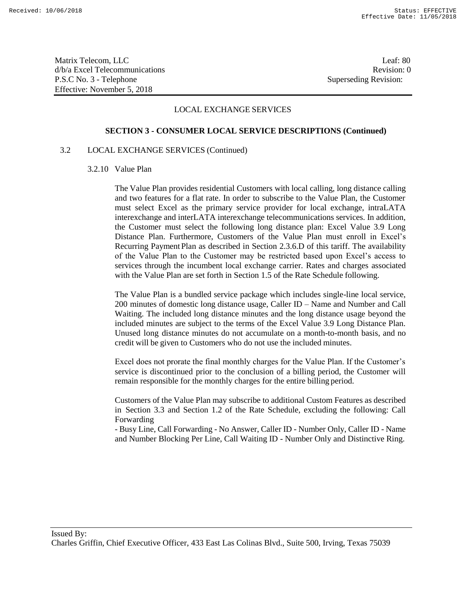Matrix Telecom, LLC Leaf: 80 d/b/a Excel Telecommunications Revision: 0 P.S.C No. 3 - Telephone Superseding Revision: Effective: November 5, 2018

## LOCAL EXCHANGE SERVICES

### **SECTION 3 - CONSUMER LOCAL SERVICE DESCRIPTIONS (Continued)**

### 3.2 LOCAL EXCHANGE SERVICES (Continued)

3.2.10 Value Plan

The Value Plan provides residential Customers with local calling, long distance calling and two features for a flat rate. In order to subscribe to the Value Plan, the Customer must select Excel as the primary service provider for local exchange, intraLATA interexchange and interLATA interexchange telecommunications services. In addition, the Customer must select the following long distance plan: Excel Value 3.9 Long Distance Plan. Furthermore, Customers of the Value Plan must enroll in Excel's Recurring Payment Plan as described in Section 2.3.6.D of this tariff. The availability of the Value Plan to the Customer may be restricted based upon Excel's access to services through the incumbent local exchange carrier. Rates and charges associated with the Value Plan are set forth in Section 1.5 of the Rate Schedule following.

The Value Plan is a bundled service package which includes single-line local service, 200 minutes of domestic long distance usage, Caller ID – Name and Number and Call Waiting. The included long distance minutes and the long distance usage beyond the included minutes are subject to the terms of the Excel Value 3.9 Long Distance Plan. Unused long distance minutes do not accumulate on a month-to-month basis, and no credit will be given to Customers who do not use the included minutes.

Excel does not prorate the final monthly charges for the Value Plan. If the Customer's service is discontinued prior to the conclusion of a billing period, the Customer will remain responsible for the monthly charges for the entire billing period.

Customers of the Value Plan may subscribe to additional Custom Features as described in Section 3.3 and Section 1.2 of the Rate Schedule, excluding the following: Call Forwarding

- Busy Line, Call Forwarding - No Answer, Caller ID - Number Only, Caller ID - Name and Number Blocking Per Line, Call Waiting ID - Number Only and Distinctive Ring.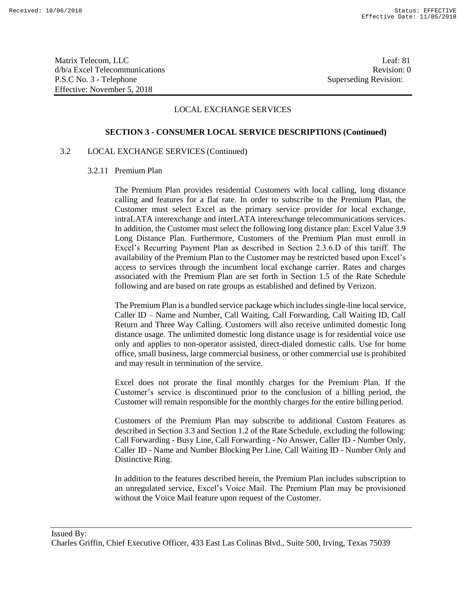Matrix Telecom, LLC Leaf: 81 d/b/a Excel Telecommunications and the control of the control of the control of the Revision: 0 P.S.C No. 3 - Telephone Superseding Revision: Effective: November 5, 2018

# LOCAL EXCHANGE SERVICES

### **SECTION 3 - CONSUMER LOCAL SERVICE DESCRIPTIONS (Continued)**

## 3.2 LOCAL EXCHANGE SERVICES (Continued)

3.2.11 Premium Plan

The Premium Plan provides residential Customers with local calling, long distance calling and features for a flat rate. In order to subscribe to the Premium Plan, the Customer must select Excel as the primary service provider for local exchange, intraLATA interexchange and interLATA interexchange telecommunications services. In addition, the Customer must select the following long distance plan: Excel Value 3.9 Long Distance Plan. Furthermore, Customers of the Premium Plan must enroll in Excel's Recurring Payment Plan as described in Section 2.3.6.D of this tariff. The availability of the Premium Plan to the Customer may be restricted based upon Excel's access to services through the incumbent local exchange carrier. Rates and charges associated with the Premium Plan are set forth in Section 1.5 of the Rate Schedule following and are based on rate groups as established and defined by Verizon.

The Premium Plan is a bundled service package which includes single-line local service, Caller ID – Name and Number, Call Waiting, Call Forwarding, Call Waiting ID, Call Return and Three Way Calling. Customers will also receive unlimited domestic long distance usage. The unlimited domestic long distance usage is for residential voice use only and applies to non-operator assisted, direct-dialed domestic calls. Use for home office, small business, large commercial business, or other commercial use is prohibited and may result in termination of the service.

Excel does not prorate the final monthly charges for the Premium Plan. If the Customer's service is discontinued prior to the conclusion of a billing period, the Customer will remain responsible for the monthly charges for the entire billing period.

Customers of the Premium Plan may subscribe to additional Custom Features as described in Section 3.3 and Section 1.2 of the Rate Schedule, excluding the following: Call Forwarding - Busy Line, Call Forwarding - No Answer, Caller ID - Number Only, Caller ID - Name and Number Blocking Per Line, Call Waiting ID - Number Only and Distinctive Ring.

In addition to the features described herein, the Premium Plan includes subscription to an unregulated service, Excel's Voice Mail. The Premium Plan may be provisioned without the Voice Mail feature upon request of the Customer.

Issued By: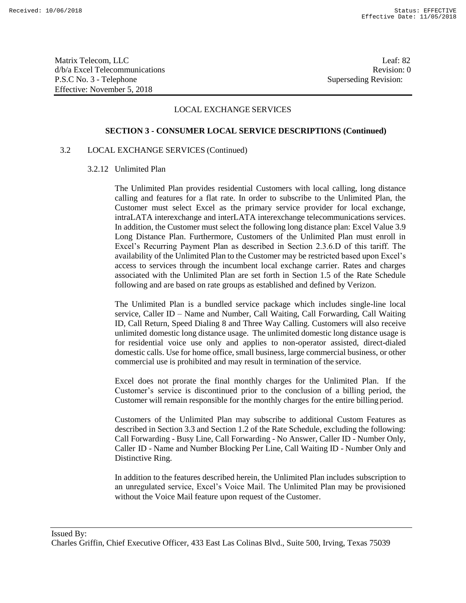Matrix Telecom, LLC Leaf: 82 d/b/a Excel Telecommunications Revision: 0 P.S.C No. 3 - Telephone Superseding Revision: Effective: November 5, 2018

# LOCAL EXCHANGE SERVICES

### **SECTION 3 - CONSUMER LOCAL SERVICE DESCRIPTIONS (Continued)**

## 3.2 LOCAL EXCHANGE SERVICES (Continued)

### 3.2.12 Unlimited Plan

The Unlimited Plan provides residential Customers with local calling, long distance calling and features for a flat rate. In order to subscribe to the Unlimited Plan, the Customer must select Excel as the primary service provider for local exchange, intraLATA interexchange and interLATA interexchange telecommunications services. In addition, the Customer must select the following long distance plan: Excel Value 3.9 Long Distance Plan. Furthermore, Customers of the Unlimited Plan must enroll in Excel's Recurring Payment Plan as described in Section 2.3.6.D of this tariff. The availability of the Unlimited Plan to the Customer may be restricted based upon Excel's access to services through the incumbent local exchange carrier. Rates and charges associated with the Unlimited Plan are set forth in Section 1.5 of the Rate Schedule following and are based on rate groups as established and defined by Verizon.

The Unlimited Plan is a bundled service package which includes single-line local service, Caller ID – Name and Number, Call Waiting, Call Forwarding, Call Waiting ID, Call Return, Speed Dialing 8 and Three Way Calling. Customers will also receive unlimited domestic long distance usage. The unlimited domestic long distance usage is for residential voice use only and applies to non-operator assisted, direct-dialed domestic calls. Use for home office, small business, large commercial business, or other commercial use is prohibited and may result in termination of the service.

Excel does not prorate the final monthly charges for the Unlimited Plan. If the Customer's service is discontinued prior to the conclusion of a billing period, the Customer will remain responsible for the monthly charges for the entire billing period.

Customers of the Unlimited Plan may subscribe to additional Custom Features as described in Section 3.3 and Section 1.2 of the Rate Schedule, excluding the following: Call Forwarding - Busy Line, Call Forwarding - No Answer, Caller ID - Number Only, Caller ID - Name and Number Blocking Per Line, Call Waiting ID - Number Only and Distinctive Ring.

In addition to the features described herein, the Unlimited Plan includes subscription to an unregulated service, Excel's Voice Mail. The Unlimited Plan may be provisioned without the Voice Mail feature upon request of the Customer.

### Issued By: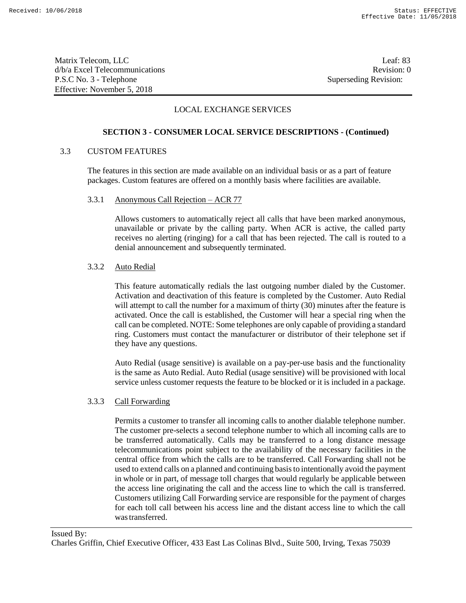Matrix Telecom, LLC Leaf: 83 d/b/a Excel Telecommunications and the control of the control of the Revision: 0 P.S.C No. 3 - Telephone Superseding Revision: Effective: November 5, 2018

# LOCAL EXCHANGE SERVICES

# **SECTION 3 - CONSUMER LOCAL SERVICE DESCRIPTIONS - (Continued)**

## 3.3 CUSTOM FEATURES

The features in this section are made available on an individual basis or as a part of feature packages. Custom features are offered on a monthly basis where facilities are available.

### 3.3.1 Anonymous Call Rejection – ACR 77

Allows customers to automatically reject all calls that have been marked anonymous, unavailable or private by the calling party. When ACR is active, the called party receives no alerting (ringing) for a call that has been rejected. The call is routed to a denial announcement and subsequently terminated.

### 3.3.2 Auto Redial

This feature automatically redials the last outgoing number dialed by the Customer. Activation and deactivation of this feature is completed by the Customer. Auto Redial will attempt to call the number for a maximum of thirty (30) minutes after the feature is activated. Once the call is established, the Customer will hear a special ring when the call can be completed. NOTE: Some telephones are only capable of providing a standard ring. Customers must contact the manufacturer or distributor of their telephone set if they have any questions.

Auto Redial (usage sensitive) is available on a pay-per-use basis and the functionality is the same as Auto Redial. Auto Redial (usage sensitive) will be provisioned with local service unless customer requests the feature to be blocked or it is included in a package.

### 3.3.3 Call Forwarding

Permits a customer to transfer all incoming calls to another dialable telephone number. The customer pre-selects a second telephone number to which all incoming calls are to be transferred automatically. Calls may be transferred to a long distance message telecommunications point subject to the availability of the necessary facilities in the central office from which the calls are to be transferred. Call Forwarding shall not be used to extend calls on a planned and continuing basisto intentionally avoid the payment in whole or in part, of message toll charges that would regularly be applicable between the access line originating the call and the access line to which the call is transferred. Customers utilizing Call Forwarding service are responsible for the payment of charges for each toll call between his access line and the distant access line to which the call wastransferred.

# Issued By: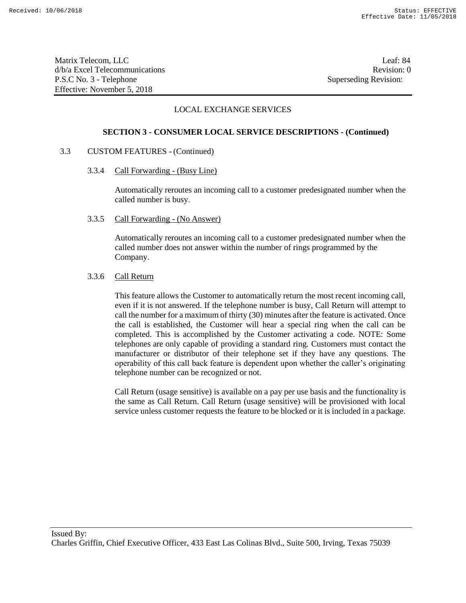Matrix Telecom, LLC Leaf: 84 d/b/a Excel Telecommunications **Review** and the set of the set of the set of the set of the set of the set of the set of the set of the set of the set of the set of the set of the set of the set of the set of the set of th P.S.C No. 3 - Telephone Superseding Revision: Effective: November 5, 2018

# LOCAL EXCHANGE SERVICES

### **SECTION 3 - CONSUMER LOCAL SERVICE DESCRIPTIONS - (Continued)**

### 3.3 CUSTOM FEATURES - (Continued)

3.3.4 Call Forwarding - (Busy Line)

Automatically reroutes an incoming call to a customer predesignated number when the called number is busy.

3.3.5 Call Forwarding - (No Answer)

Automatically reroutes an incoming call to a customer predesignated number when the called number does not answer within the number of rings programmed by the Company.

## 3.3.6 Call Return

This feature allows the Customer to automatically return the most recent incoming call, even if it is not answered. If the telephone number is busy, Call Return will attempt to call the number for a maximum of thirty (30) minutes after the feature is activated. Once the call is established, the Customer will hear a special ring when the call can be completed. This is accomplished by the Customer activating a code. NOTE: Some telephones are only capable of providing a standard ring. Customers must contact the manufacturer or distributor of their telephone set if they have any questions. The operability of this call back feature is dependent upon whether the caller's originating telephone number can be recognized or not.

Call Return (usage sensitive) is available on a pay per use basis and the functionality is the same as Call Return. Call Return (usage sensitive) will be provisioned with local service unless customer requests the feature to be blocked or it is included in a package.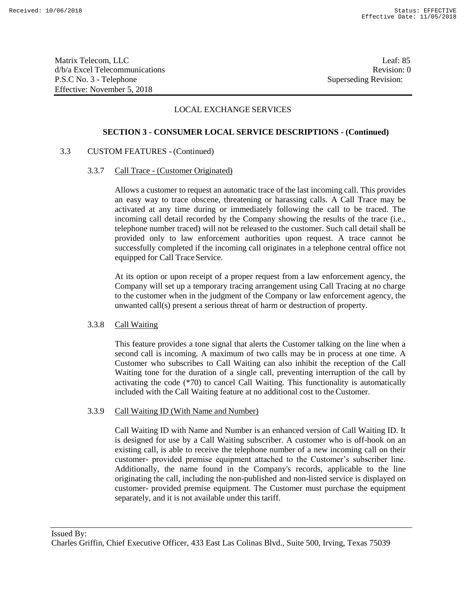Matrix Telecom, LLC Leaf: 85 d/b/a Excel Telecommunications and the control of the control of the control of the Revision: 0 P.S.C No. 3 - Telephone Superseding Revision: Effective: November 5, 2018

# LOCAL EXCHANGE SERVICES

## **SECTION 3 - CONSUMER LOCAL SERVICE DESCRIPTIONS - (Continued)**

### 3.3 CUSTOM FEATURES - (Continued)

### 3.3.7 Call Trace - (Customer Originated)

Allows a customer to request an automatic trace of the last incoming call. This provides an easy way to trace obscene, threatening or harassing calls. A Call Trace may be activated at any time during or immediately following the call to be traced. The incoming call detail recorded by the Company showing the results of the trace (i.e., telephone number traced) will not be released to the customer. Such call detail shall be provided only to law enforcement authorities upon request. A trace cannot be successfully completed if the incoming call originates in a telephone central office not equipped for Call Trace Service.

At its option or upon receipt of a proper request from a law enforcement agency, the Company will set up a temporary tracing arrangement using Call Tracing at no charge to the customer when in the judgment of the Company or law enforcement agency, the unwanted call(s) present a serious threat of harm or destruction of property.

### 3.3.8 Call Waiting

This feature provides a tone signal that alerts the Customer talking on the line when a second call is incoming. A maximum of two calls may be in process at one time. A Customer who subscribes to Call Waiting can also inhibit the reception of the Call Waiting tone for the duration of a single call, preventing interruption of the call by activating the code (\*70) to cancel Call Waiting. This functionality is automatically included with the Call Waiting feature at no additional cost to the Customer.

## 3.3.9 Call Waiting ID (With Name and Number)

Call Waiting ID with Name and Number is an enhanced version of Call Waiting ID. It is designed for use by a Call Waiting subscriber. A customer who is off-hook on an existing call, is able to receive the telephone number of a new incoming call on their customer- provided premise equipment attached to the Customer's subscriber line. Additionally, the name found in the Company's records, applicable to the line originating the call, including the non-published and non-listed service is displayed on customer- provided premise equipment. The Customer must purchase the equipment separately, and it is not available under this tariff.

Issued By: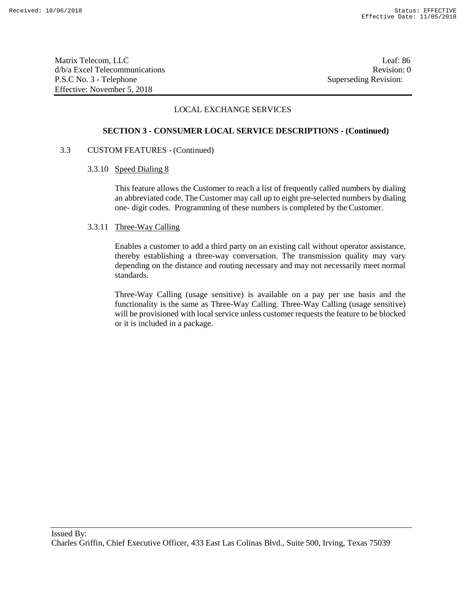Matrix Telecom, LLC Leaf: 86 d/b/a Excel Telecommunications **Review** and the set of the set of the set of the set of the set of the set of the set of the set of the set of the set of the set of the set of the set of the set of the set of the set of th P.S.C No. 3 - Telephone Superseding Revision: Effective: November 5, 2018

# LOCAL EXCHANGE SERVICES

### **SECTION 3 - CONSUMER LOCAL SERVICE DESCRIPTIONS - (Continued)**

### 3.3 CUSTOM FEATURES - (Continued)

### 3.3.10 Speed Dialing 8

This feature allows the Customer to reach a list of frequently called numbers by dialing an abbreviated code. The Customer may call up to eight pre-selected numbers by dialing one- digit codes. Programming of these numbers is completed by the Customer.

## 3.3.11 Three-Way Calling

Enables a customer to add a third party on an existing call without operator assistance, thereby establishing a three-way conversation. The transmission quality may vary depending on the distance and routing necessary and may not necessarily meet normal standards.

Three-Way Calling (usage sensitive) is available on a pay per use basis and the functionality is the same as Three-Way Calling. Three-Way Calling (usage sensitive) will be provisioned with local service unless customer requests the feature to be blocked or it is included in a package.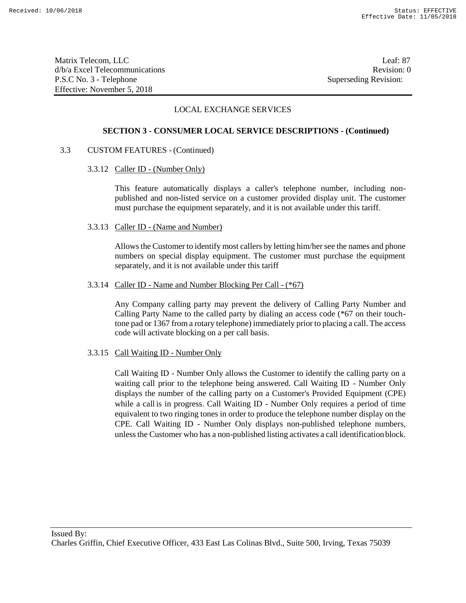Matrix Telecom, LLC Leaf: 87 d/b/a Excel Telecommunications Revision: 0 P.S.C No. 3 - Telephone Superseding Revision: Effective: November 5, 2018

# LOCAL EXCHANGE SERVICES

### **SECTION 3 - CONSUMER LOCAL SERVICE DESCRIPTIONS - (Continued)**

# 3.3 CUSTOM FEATURES - (Continued)

### 3.3.12 Caller ID - (Number Only)

This feature automatically displays a caller's telephone number, including nonpublished and non-listed service on a customer provided display unit. The customer must purchase the equipment separately, and it is not available under this tariff.

### 3.3.13 Caller ID - (Name and Number)

Allows the Customer to identify most callers by letting him/her see the names and phone numbers on special display equipment. The customer must purchase the equipment separately, and it is not available under this tariff

### 3.3.14 Caller ID - Name and Number Blocking Per Call - (\*67)

Any Company calling party may prevent the delivery of Calling Party Number and Calling Party Name to the called party by dialing an access code (\*67 on their touchtone pad or 1367 from a rotary telephone) immediately prior to placing a call. The access code will activate blocking on a per call basis.

### 3.3.15 Call Waiting ID - Number Only

Call Waiting ID - Number Only allows the Customer to identify the calling party on a waiting call prior to the telephone being answered. Call Waiting ID - Number Only displays the number of the calling party on a Customer's Provided Equipment (CPE) while a call is in progress. Call Waiting ID - Number Only requires a period of time equivalent to two ringing tones in order to produce the telephone number display on the CPE. Call Waiting ID - Number Only displays non-published telephone numbers, unless the Customer who has a non-published listing activates a call identificationblock.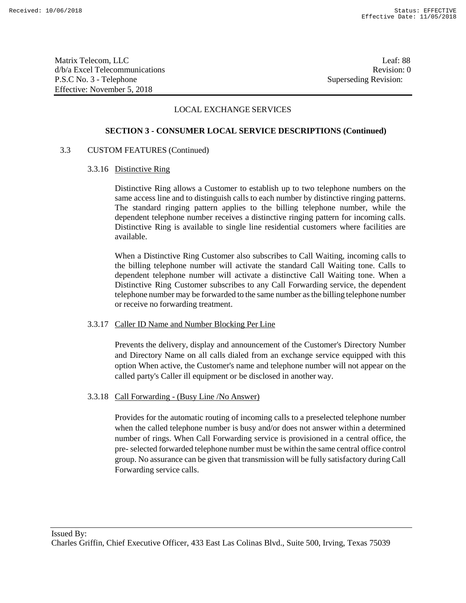Matrix Telecom, LLC Leaf: 88 d/b/a Excel Telecommunications and the control of the control of the control of the Revision: 0 P.S.C No. 3 - Telephone Superseding Revision: Effective: November 5, 2018

# LOCAL EXCHANGE SERVICES

## **SECTION 3 - CONSUMER LOCAL SERVICE DESCRIPTIONS (Continued)**

## 3.3 CUSTOM FEATURES (Continued)

### 3.3.16 Distinctive Ring

Distinctive Ring allows a Customer to establish up to two telephone numbers on the same access line and to distinguish calls to each number by distinctive ringing patterns. The standard ringing pattern applies to the billing telephone number, while the dependent telephone number receives a distinctive ringing pattern for incoming calls. Distinctive Ring is available to single line residential customers where facilities are available.

When a Distinctive Ring Customer also subscribes to Call Waiting, incoming calls to the billing telephone number will activate the standard Call Waiting tone. Calls to dependent telephone number will activate a distinctive Call Waiting tone. When a Distinctive Ring Customer subscribes to any Call Forwarding service, the dependent telephone number may be forwarded to the same number asthe billing telephone number or receive no forwarding treatment.

### 3.3.17 Caller ID Name and Number Blocking Per Line

Prevents the delivery, display and announcement of the Customer's Directory Number and Directory Name on all calls dialed from an exchange service equipped with this option When active, the Customer's name and telephone number will not appear on the called party's Caller ill equipment or be disclosed in another way.

### 3.3.18 Call Forwarding - (Busy Line /No Answer)

Provides for the automatic routing of incoming calls to a preselected telephone number when the called telephone number is busy and/or does not answer within a determined number of rings. When Call Forwarding service is provisioned in a central office, the pre- selected forwarded telephone number must be within the same central office control group. No assurance can be given that transmission will be fully satisfactory during Call Forwarding service calls.

Issued By: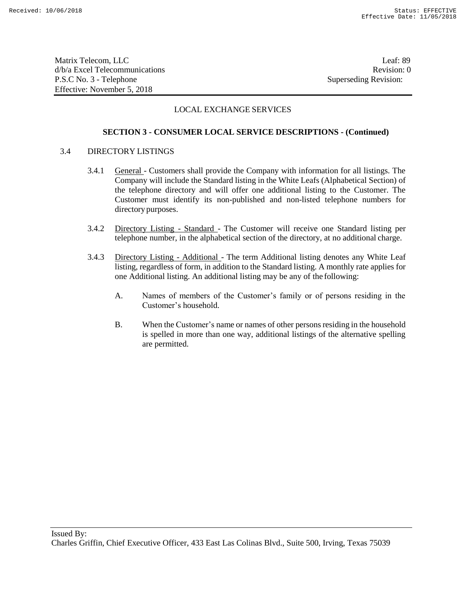Matrix Telecom, LLC Leaf: 89 d/b/a Excel Telecommunications **Review** and the set of the set of the set of the set of the set of the set of the set of the set of the set of the set of the set of the set of the set of the set of the set of the set of th P.S.C No. 3 - Telephone Superseding Revision: Effective: November 5, 2018

# LOCAL EXCHANGE SERVICES

# **SECTION 3 - CONSUMER LOCAL SERVICE DESCRIPTIONS - (Continued)**

### 3.4 DIRECTORY LISTINGS

- 3.4.1 General Customers shall provide the Company with information for all listings. The Company will include the Standard listing in the White Leafs (Alphabetical Section) of the telephone directory and will offer one additional listing to the Customer. The Customer must identify its non-published and non-listed telephone numbers for directory purposes.
- 3.4.2 Directory Listing Standard The Customer will receive one Standard listing per telephone number, in the alphabetical section of the directory, at no additional charge.
- 3.4.3 Directory Listing Additional The term Additional listing denotes any White Leaf listing, regardless of form, in addition to the Standard listing. A monthly rate applies for one Additional listing. An additional listing may be any of the following:
	- A. Names of members of the Customer's family or of persons residing in the Customer's household.
	- B. When the Customer's name or names of other personsresiding in the household is spelled in more than one way, additional listings of the alternative spelling are permitted.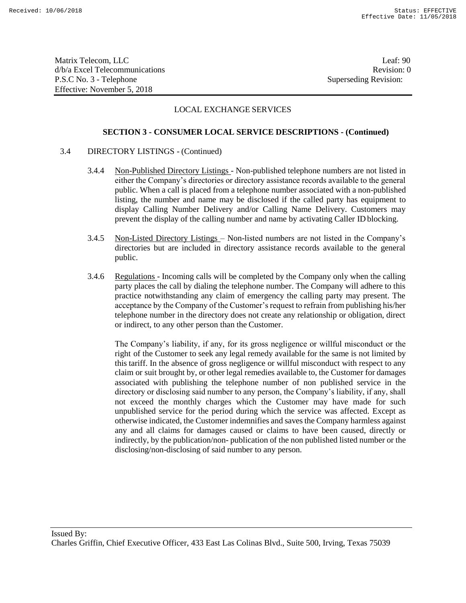Matrix Telecom, LLC Leaf: 90 d/b/a Excel Telecommunications **Review** and the set of the set of the set of the set of the set of the set of the set of the set of the set of the set of the set of the set of the set of the set of the set of the set of th P.S.C No. 3 - Telephone Superseding Revision: Effective: November 5, 2018

# LOCAL EXCHANGE SERVICES

### **SECTION 3 - CONSUMER LOCAL SERVICE DESCRIPTIONS - (Continued)**

### 3.4 DIRECTORY LISTINGS - (Continued)

- 3.4.4 Non-Published Directory Listings Non-published telephone numbers are not listed in either the Company's directories or directory assistance records available to the general public. When a call is placed from a telephone number associated with a non-published listing, the number and name may be disclosed if the called party has equipment to display Calling Number Delivery and/or Calling Name Delivery. Customers may prevent the display of the calling number and name by activating Caller ID blocking.
- 3.4.5 Non-Listed Directory Listings Non-listed numbers are not listed in the Company's directories but are included in directory assistance records available to the general public.
- 3.4.6 Regulations Incoming calls will be completed by the Company only when the calling party places the call by dialing the telephone number. The Company will adhere to this practice notwithstanding any claim of emergency the calling party may present. The acceptance by the Company of the Customer's request to refrain from publishing his/her telephone number in the directory does not create any relationship or obligation, direct or indirect, to any other person than the Customer.

The Company's liability, if any, for its gross negligence or willful misconduct or the right of the Customer to seek any legal remedy available for the same is not limited by this tariff. In the absence of gross negligence or willful misconduct with respect to any claim or suit brought by, or other legal remedies available to, the Customer for damages associated with publishing the telephone number of non published service in the directory or disclosing said number to any person, the Company's liability, if any, shall not exceed the monthly charges which the Customer may have made for such unpublished service for the period during which the service was affected. Except as otherwise indicated, the Customer indemnifies and saves the Company harmless against any and all claims for damages caused or claims to have been caused, directly or indirectly, by the publication/non- publication of the non published listed number or the disclosing/non-disclosing of said number to any person.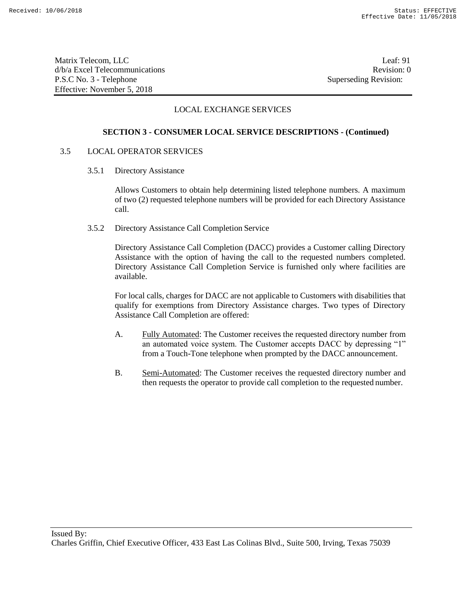Matrix Telecom, LLC Leaf: 91 d/b/a Excel Telecommunications **Review** and the set of the set of the set of the set of the set of the set of the set of the set of the set of the set of the set of the set of the set of the set of the set of the set of th P.S.C No. 3 - Telephone Superseding Revision: Effective: November 5, 2018

# LOCAL EXCHANGE SERVICES

## **SECTION 3 - CONSUMER LOCAL SERVICE DESCRIPTIONS - (Continued)**

## 3.5 LOCAL OPERATOR SERVICES

#### 3.5.1 Directory Assistance

Allows Customers to obtain help determining listed telephone numbers. A maximum of two (2) requested telephone numbers will be provided for each Directory Assistance call.

### 3.5.2 Directory Assistance Call Completion Service

Directory Assistance Call Completion (DACC) provides a Customer calling Directory Assistance with the option of having the call to the requested numbers completed. Directory Assistance Call Completion Service is furnished only where facilities are available.

For local calls, charges for DACC are not applicable to Customers with disabilities that qualify for exemptions from Directory Assistance charges. Two types of Directory Assistance Call Completion are offered:

- A. Fully Automated: The Customer receives the requested directory number from an automated voice system. The Customer accepts DACC by depressing "1" from a Touch-Tone telephone when prompted by the DACC announcement.
- B. Semi-Automated: The Customer receives the requested directory number and then requests the operator to provide call completion to the requested number.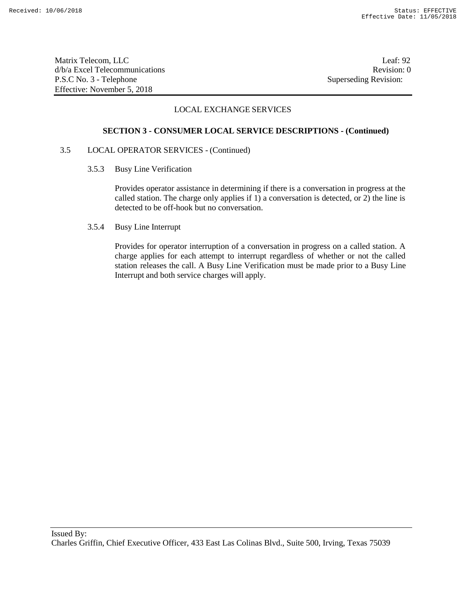Matrix Telecom, LLC Leaf: 92 d/b/a Excel Telecommunications **Review** and the set of the set of the set of the set of the set of the set of the set of the set of the set of the set of the set of the set of the set of the set of the set of the set of th P.S.C No. 3 - Telephone Superseding Revision: Effective: November 5, 2018

# LOCAL EXCHANGE SERVICES

### **SECTION 3 - CONSUMER LOCAL SERVICE DESCRIPTIONS - (Continued)**

### 3.5 LOCAL OPERATOR SERVICES - (Continued)

3.5.3 Busy Line Verification

Provides operator assistance in determining if there is a conversation in progress at the called station. The charge only applies if 1) a conversation is detected, or 2) the line is detected to be off-hook but no conversation.

3.5.4 Busy Line Interrupt

Provides for operator interruption of a conversation in progress on a called station. A charge applies for each attempt to interrupt regardless of whether or not the called station releases the call. A Busy Line Verification must be made prior to a Busy Line Interrupt and both service charges will apply.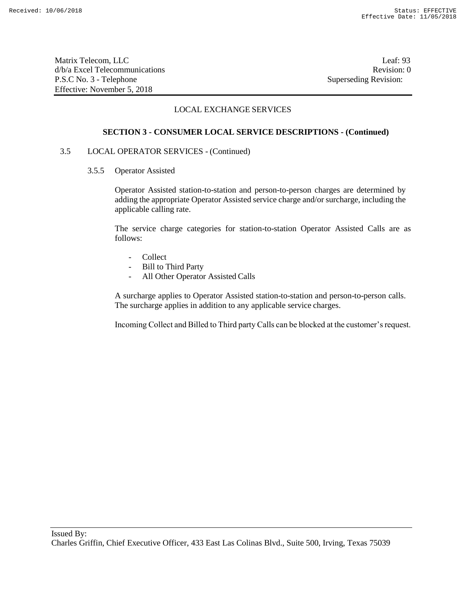Matrix Telecom, LLC Leaf: 93 d/b/a Excel Telecommunications **Review** and the set of the set of the set of the set of the set of the set of the set of the set of the set of the set of the set of the set of the set of the set of the set of the set of th P.S.C No. 3 - Telephone Superseding Revision: Effective: November 5, 2018

# LOCAL EXCHANGE SERVICES

### **SECTION 3 - CONSUMER LOCAL SERVICE DESCRIPTIONS - (Continued)**

### 3.5 LOCAL OPERATOR SERVICES - (Continued)

3.5.5 Operator Assisted

Operator Assisted station-to-station and person-to-person charges are determined by adding the appropriate Operator Assisted service charge and/or surcharge, including the applicable calling rate.

The service charge categories for station-to-station Operator Assisted Calls are as follows:

- **Collect**
- Bill to Third Party
- All Other Operator Assisted Calls

A surcharge applies to Operator Assisted station-to-station and person-to-person calls. The surcharge applies in addition to any applicable service charges.

Incoming Collect and Billed to Third party Calls can be blocked at the customer's request.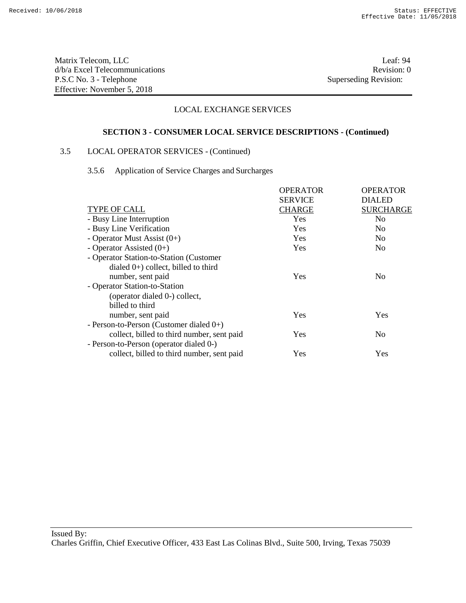Matrix Telecom, LLC Leaf: 94 d/b/a Excel Telecommunications Revision: 0 P.S.C No. 3 - Telephone Superseding Revision: Effective: November 5, 2018

# LOCAL EXCHANGE SERVICES

## **SECTION 3 - CONSUMER LOCAL SERVICE DESCRIPTIONS - (Continued)**

# 3.5 LOCAL OPERATOR SERVICES - (Continued)

## 3.5.6 Application of Service Charges and Surcharges

|                                            | <b>OPERATOR</b> | <b>OPERATOR</b>  |
|--------------------------------------------|-----------------|------------------|
|                                            | <b>SERVICE</b>  | <b>DIALED</b>    |
| TYPE OF CALL                               | <b>CHARGE</b>   | <b>SURCHARGE</b> |
| - Busy Line Interruption                   | Yes             | N <sub>0</sub>   |
| - Busy Line Verification                   | Yes             | N <sub>0</sub>   |
| - Operator Must Assist $(0+)$              | Yes             | No.              |
| - Operator Assisted $(0+)$                 | Yes             | No.              |
| - Operator Station-to-Station (Customer    |                 |                  |
| dialed $0+$ ) collect, billed to third     |                 |                  |
| number, sent paid                          | Yes             | No               |
| - Operator Station-to-Station              |                 |                  |
| (operator dialed 0-) collect,              |                 |                  |
| billed to third                            |                 |                  |
| number, sent paid                          | Yes             | Yes              |
| - Person-to-Person (Customer dialed $0+$ ) |                 |                  |
| collect, billed to third number, sent paid | Yes             | N <sub>0</sub>   |
| - Person-to-Person (operator dialed 0-)    |                 |                  |
| collect, billed to third number, sent paid | Yes             | Yes              |
|                                            |                 |                  |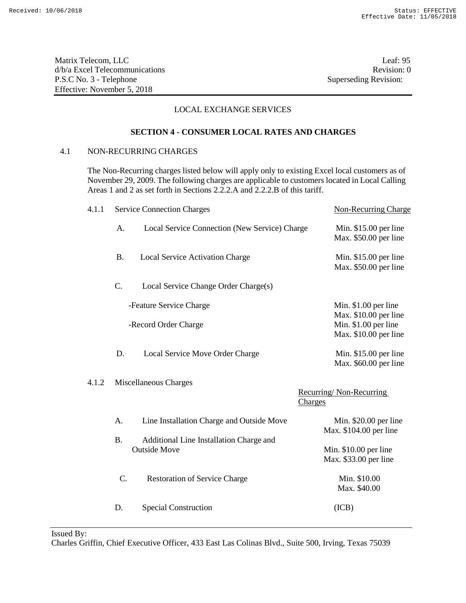Matrix Telecom, LLC Leaf: 95 d/b/a Excel Telecommunications **Review Revision: 0** P.S.C No. 3 - Telephone Superseding Revision: Effective: November 5, 2018

# LOCAL EXCHANGE SERVICES

# **SECTION 4 - CONSUMER LOCAL RATES AND CHARGES**

# 4.1 NON-RECURRING CHARGES

The Non-Recurring charges listed below will apply only to existing Excel local customers as of November 29, 2009. The following charges are applicable to customers located in Local Calling Areas 1 and 2 as set forth in Sections 2.2.2.A and 2.2.2.B of this tariff.

| 4.1.1 |                 | <b>Service Connection Charges</b>                              | <b>Non-Recurring Charge</b>                                            |
|-------|-----------------|----------------------------------------------------------------|------------------------------------------------------------------------|
|       | A.              | Local Service Connection (New Service) Charge                  | Min. $$15.00$ per line<br>Max. \$50.00 per line                        |
|       | <b>B.</b>       | Local Service Activation Charge                                | Min. $$15.00$ per line<br>Max. \$50.00 per line                        |
|       | C.              | Local Service Change Order Charge(s)                           |                                                                        |
|       |                 | -Feature Service Charge                                        | Min. \$1.00 per line                                                   |
|       |                 | -Record Order Charge                                           | Max. \$10.00 per line<br>Min. \$1.00 per line<br>Max. \$10.00 per line |
|       | D.              | Local Service Move Order Charge                                | Min. $$15.00$ per line<br>Max. \$60.00 per line                        |
| 4.1.2 |                 | Miscellaneous Charges                                          |                                                                        |
|       |                 |                                                                | Recurring/Non-Recurring<br>Charges                                     |
|       | A.              | Line Installation Charge and Outside Move                      | Min. \$20.00 per line<br>Max. \$104.00 per line                        |
|       | <b>B.</b>       | Additional Line Installation Charge and<br><b>Outside Move</b> | Min. $$10.00$ per line<br>Max. \$33.00 per line                        |
|       | $\mathcal{C}$ . | <b>Restoration of Service Charge</b>                           | Min. \$10.00<br>Max. \$40.00                                           |
|       | D.              | <b>Special Construction</b>                                    | (ICB)                                                                  |
|       |                 |                                                                |                                                                        |

Issued By: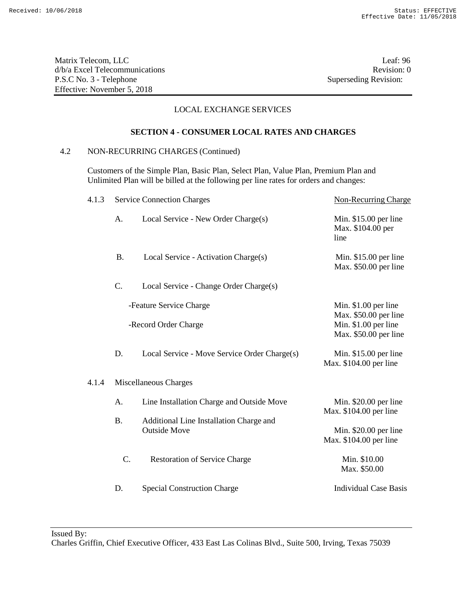Matrix Telecom, LLC Leaf: 96 d/b/a Excel Telecommunications Revision: 0 P.S.C No. 3 - Telephone Superseding Revision: Effective: November 5, 2018

# LOCAL EXCHANGE SERVICES

### **SECTION 4 - CONSUMER LOCAL RATES AND CHARGES**

# 4.2 NON-RECURRING CHARGES (Continued)

Customers of the Simple Plan, Basic Plan, Select Plan, Value Plan, Premium Plan and Unlimited Plan will be billed at the following per line rates for orders and changes:

| 4.1.3 |                      | <b>Service Connection Charges</b>                              | <b>Non-Recurring Charge</b>                         |
|-------|----------------------|----------------------------------------------------------------|-----------------------------------------------------|
|       | A.                   | Local Service - New Order Charge(s)                            | Min. $$15.00$ per line<br>Max. \$104.00 per<br>line |
|       | <b>B.</b>            | Local Service - Activation Charge(s)                           | Min. $$15.00$ per line<br>Max. \$50.00 per line     |
|       | $\mathcal{C}$ .      | Local Service - Change Order Charge(s)                         |                                                     |
|       |                      | -Feature Service Charge                                        | Min. $$1.00$ per line<br>Max. \$50.00 per line      |
|       | -Record Order Charge |                                                                | Min. \$1.00 per line<br>Max. \$50.00 per line       |
|       | D.                   | Local Service - Move Service Order Charge(s)                   | Min. \$15.00 per line<br>Max. \$104.00 per line     |
| 4.1.4 |                      | Miscellaneous Charges                                          |                                                     |
|       | A <sub>1</sub>       | Line Installation Charge and Outside Move                      | Min. $$20.00$ per line<br>Max. \$104.00 per line    |
|       | <b>B.</b>            | Additional Line Installation Charge and<br><b>Outside Move</b> | Min. \$20.00 per line<br>Max. \$104.00 per line     |
|       | C.                   | <b>Restoration of Service Charge</b>                           | Min. \$10.00<br>Max. \$50.00                        |
|       | D.                   | <b>Special Construction Charge</b>                             | <b>Individual Case Basis</b>                        |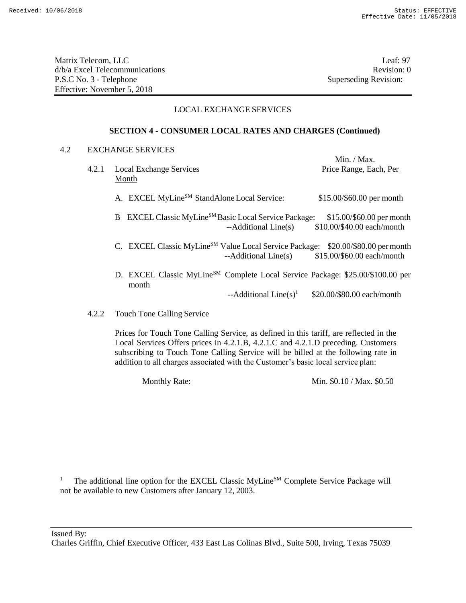Matrix Telecom, LLC Leaf: 97 d/b/a Excel Telecommunications **Review** and the set of the set of the set of the set of the set of the set of the set of the set of the set of the set of the set of the set of the set of the set of the set of the set of th P.S.C No. 3 - Telephone Superseding Revision: Effective: November 5, 2018

# LOCAL EXCHANGE SERVICES

# **SECTION 4 - CONSUMER LOCAL RATES AND CHARGES (Continued)**

### 4.2 EXCHANGE SERVICES

|       |                                                                                                     | Min. / Max.                |
|-------|-----------------------------------------------------------------------------------------------------|----------------------------|
| 4.2.1 | <b>Local Exchange Services</b>                                                                      | Price Range, Each, Per     |
|       | Month                                                                                               |                            |
|       | A. EXCEL MyLine <sup>SM</sup> StandAlone Local Service:                                             | \$15.00/\$60.00 per month  |
|       | B EXCEL Classic MyLine <sup>SM</sup> Basic Local Service Package:                                   | \$15.00/\$60.00 per month  |
|       | --Additional Line(s)                                                                                | \$10.00/\$40.00 each/month |
|       | C. EXCEL Classic MyLine <sup>SM</sup> Value Local Service Package:                                  | \$20.00/\$80.00 per month  |
|       | --Additional Line(s)                                                                                | \$15.00/\$60.00 each/month |
|       | D. EXCEL Classic MyLine <sup>SM</sup> Complete Local Service Package: \$25.00/\$100.00 per<br>month |                            |
|       | --Additional Line(s) <sup>1</sup>                                                                   | \$20.00/\$80.00 each/month |
|       |                                                                                                     |                            |

4.2.2 Touch Tone Calling Service

Prices for Touch Tone Calling Service, as defined in this tariff, are reflected in the Local Services Offers prices in 4.2.1.B, 4.2.1.C and 4.2.1.D preceding. Customers subscribing to Touch Tone Calling Service will be billed at the following rate in addition to all charges associated with the Customer's basic local service plan:

Monthly Rate: Min. \$0.10 / Max. \$0.50

<sup>1</sup> The additional line option for the EXCEL Classic MyLine<sup>SM</sup> Complete Service Package will not be available to new Customers after January 12, 2003.

Issued By: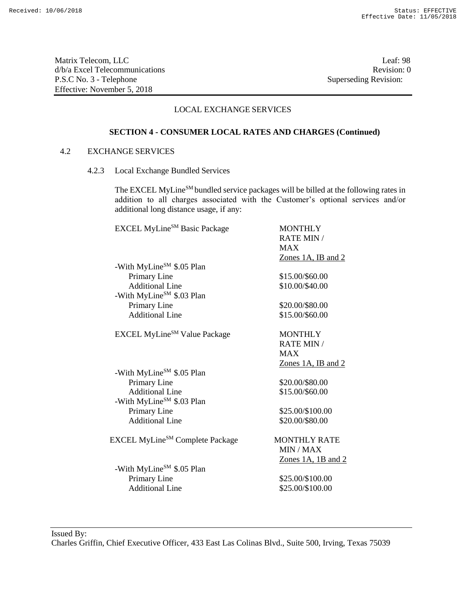Matrix Telecom, LLC Leaf: 98 d/b/a Excel Telecommunications Revision: 0<br>
P.S.C No. 3 - Telephone Superseding Revision: 0 P.S.C No. 3 - Telephone Effective: November 5, 2018

# LOCAL EXCHANGE SERVICES

# **SECTION 4 - CONSUMER LOCAL RATES AND CHARGES (Continued)**

## 4.2 EXCHANGE SERVICES

4.2.3 Local Exchange Bundled Services

The EXCEL MyLine<sup>SM</sup> bundled service packages will be billed at the following rates in addition to all charges associated with the Customer's optional services and/or additional long distance usage, if any:

| <b>EXCEL MyLine</b> <sup>SM</sup> Basic Package | <b>MONTHLY</b>            |
|-------------------------------------------------|---------------------------|
|                                                 | <b>RATE MIN /</b>         |
|                                                 | <b>MAX</b>                |
|                                                 | <u>Zones 1A, IB and 2</u> |
| -With MyLine <sup>SM</sup> \$.05 Plan           |                           |
| Primary Line                                    | \$15.00/\$60.00           |
| <b>Additional Line</b>                          | \$10.00/\$40.00           |
| -With MyLine <sup>SM</sup> \$.03 Plan           |                           |
| Primary Line                                    | \$20.00/\$80.00           |
| <b>Additional Line</b>                          | \$15.00/\$60.00           |
| <b>EXCEL MyLine</b> <sup>SM</sup> Value Package | <b>MONTHLY</b>            |
|                                                 | <b>RATE MIN /</b>         |
|                                                 | <b>MAX</b>                |
|                                                 | Zones 1A, IB and 2        |
| -With MyLine <sup>SM</sup> \$.05 Plan           |                           |
| Primary Line                                    | \$20.00/\$80.00           |
| <b>Additional Line</b>                          | \$15.00/\$60.00           |
| -With MyLine <sup>SM</sup> \$.03 Plan           |                           |
| Primary Line                                    | \$25.00/\$100.00          |
| <b>Additional Line</b>                          | \$20.00/\$80.00           |
| EXCEL MyLine <sup>SM</sup> Complete Package     | <b>MONTHLY RATE</b>       |
|                                                 | MIN / MAX                 |
|                                                 | $Zones$ 1A, 1B and 2      |
| -With MyLine <sup>SM</sup> \$.05 Plan           |                           |
| Primary Line                                    | \$25.00/\$100.00          |
| <b>Additional Line</b>                          | \$25.00/\$100.00          |
|                                                 |                           |

Issued By: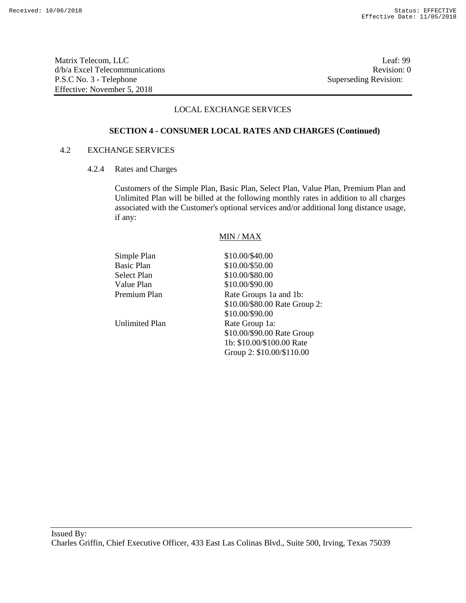Matrix Telecom, LLC Leaf: 99 d/b/a Excel Telecommunications **Review** and the set of the set of the set of the set of the set of the set of the set of the set of the set of the set of the set of the set of the set of the set of the set of the set of th P.S.C No. 3 - Telephone Superseding Revision: Effective: November 5, 2018

# LOCAL EXCHANGE SERVICES

### **SECTION 4 - CONSUMER LOCAL RATES AND CHARGES (Continued)**

## 4.2 EXCHANGE SERVICES

4.2.4 Rates and Charges

Customers of the Simple Plan, Basic Plan, Select Plan, Value Plan, Premium Plan and Unlimited Plan will be billed at the following monthly rates in addition to all charges associated with the Customer's optional services and/or additional long distance usage, if any:

### MIN / MAX

| \$10.00/\$40.00               |
|-------------------------------|
| \$10.00/\$50.00               |
| \$10.00/\$80.00               |
| \$10.00/\$90.00               |
| Rate Groups 1a and 1b:        |
| \$10.00/\$80.00 Rate Group 2: |
| \$10.00/\$90.00               |
| Rate Group 1a:                |
| \$10.00/\$90.00 Rate Group    |
| 1b: \$10.00/\$100.00 Rate     |
| Group 2: \$10.00/\$110.00     |
|                               |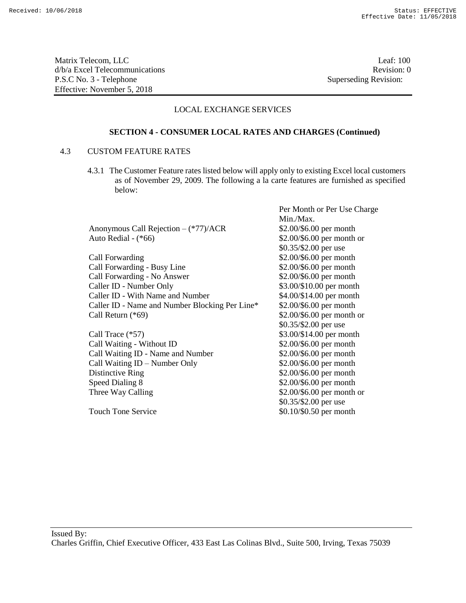Matrix Telecom, LLC Leaf: 100 d/b/a Excel Telecommunications **Review** and the set of the set of the set of the set of the set of the set of the set of the set of the set of the set of the set of the set of the set of the set of the set of the set of th P.S.C No. 3 - Telephone Superseding Revision: Effective: November 5, 2018

Per Month or Per Use Charge

# LOCAL EXCHANGE SERVICES

### **SECTION 4 - CONSUMER LOCAL RATES AND CHARGES (Continued)**

## 4.3 CUSTOM FEATURE RATES

4.3.1 The Customer Feature rates listed below will apply only to existing Excel local customers as of November 29, 2009. The following a la carte features are furnished as specified below:

|                                                | Min./Max.                  |
|------------------------------------------------|----------------------------|
| Anonymous Call Rejection $-(*77)/ACR$          | \$2.00/\$6.00 per month    |
| Auto Redial - (*66)                            | \$2.00/\$6.00 per month or |
|                                                | \$0.35/\$2.00 per use      |
| Call Forwarding                                | \$2.00/\$6.00 per month    |
| Call Forwarding - Busy Line                    | \$2.00/\$6.00 per month    |
| Call Forwarding - No Answer                    | \$2.00/\$6.00 per month    |
| Caller ID - Number Only                        | \$3.00/\$10.00 per month   |
| Caller ID - With Name and Number               | \$4.00/\$14.00 per month   |
| Caller ID - Name and Number Blocking Per Line* | \$2.00/\$6.00 per month    |
| Call Return (*69)                              | \$2.00/\$6.00 per month or |
|                                                | \$0.35/\$2.00 per use      |
| Call Trace (*57)                               | \$3.00/\$14.00 per month   |
| Call Waiting - Without ID                      | \$2.00/\$6.00 per month    |
| Call Waiting ID - Name and Number              | \$2.00/\$6.00 per month    |
| Call Waiting ID – Number Only                  | \$2.00/\$6.00 per month    |
| Distinctive Ring                               | \$2.00/\$6.00 per month    |
| Speed Dialing 8                                | \$2.00/\$6.00 per month    |
| Three Way Calling                              | \$2.00/\$6.00 per month or |
|                                                | \$0.35/\$2.00 per use      |
| <b>Touch Tone Service</b>                      | \$0.10/\$0.50 per month    |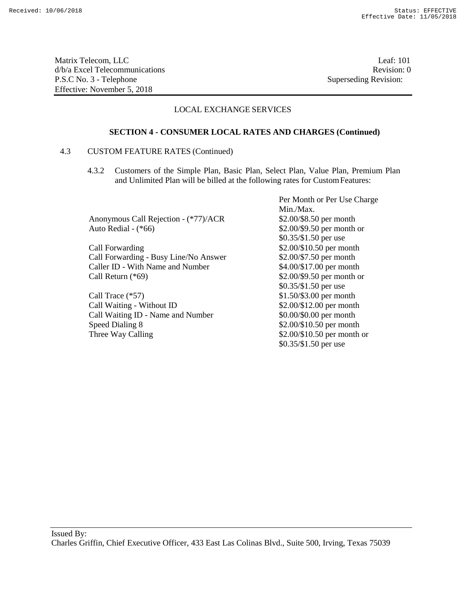Matrix Telecom, LLC Leaf: 101 d/b/a Excel Telecommunications **Review Revision:** 0 P.S.C No. 3 - Telephone Superseding Revision: Effective: November 5, 2018

# LOCAL EXCHANGE SERVICES

### **SECTION 4 - CONSUMER LOCAL RATES AND CHARGES (Continued)**

## 4.3 CUSTOM FEATURE RATES (Continued)

4.3.2 Customers of the Simple Plan, Basic Plan, Select Plan, Value Plan, Premium Plan and Unlimited Plan will be billed at the following rates for CustomFeatures:

Anonymous Call Rejection - (\*77)/ACR \$2.00/\$8.50 per month Auto Redial - (\*66) \$2.00/\$9.50 per month or

Call Forwarding  $$2.00/\$10.50$  per month Call Forwarding - Busy Line/No Answer \$2.00/\$7.50 per month Caller ID - With Name and Number \$4.00/\$17.00 per month Call Return (\*69) \$2.00/\$9.50 per month or

Call Trace  $(*57)$  \$1.50/\$3.00 per month Call Waiting - Without ID \$2.00/\$12.00 per month<br>Call Waiting ID - Name and Number \$0.00/\$0.00 per month Call Waiting ID - Name and Number Speed Dialing 8  $$2.00/\$10.50$  per month Three Way Calling \$2.00/\$10.50 per month or

Per Month or Per Use Charge Min./Max. \$0.35/\$1.50 per use \$0.35/\$1.50 per use \$0.35/\$1.50 per use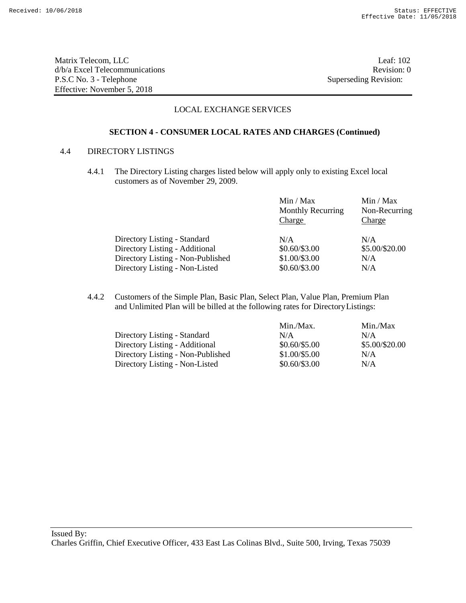Matrix Telecom, LLC Leaf: 102 d/b/a Excel Telecommunications **Review Revision: 0** P.S.C No. 3 - Telephone Superseding Revision: Effective: November 5, 2018

# LOCAL EXCHANGE SERVICES

## **SECTION 4 - CONSUMER LOCAL RATES AND CHARGES (Continued)**

## 4.4 DIRECTORY LISTINGS

4.4.1 The Directory Listing charges listed below will apply only to existing Excel local customers as of November 29, 2009.

|                                   | Min / Max<br><b>Monthly Recurring</b><br>Charge | Min / Max<br>Non-Recurring<br><b>Charge</b> |
|-----------------------------------|-------------------------------------------------|---------------------------------------------|
| Directory Listing - Standard      | N/A                                             | N/A                                         |
| Directory Listing - Additional    | $$0.60/\$3.00$                                  | \$5.00/\$20.00                              |
| Directory Listing - Non-Published | \$1.00/\$3.00                                   | N/A                                         |
| Directory Listing - Non-Listed    | $$0.60/\$3.00$                                  | N/A                                         |

4.4.2 Customers of the Simple Plan, Basic Plan, Select Plan, Value Plan, Premium Plan and Unlimited Plan will be billed at the following rates for DirectoryListings:

|                                   | Min./Max.      | Min./Max       |
|-----------------------------------|----------------|----------------|
| Directory Listing - Standard      | N/A            | N/A            |
| Directory Listing - Additional    | $$0.60/\$5.00$ | \$5.00/\$20.00 |
| Directory Listing - Non-Published | \$1.00/\$5.00  | N/A            |
| Directory Listing - Non-Listed    | $$0.60/\$3.00$ | N/A            |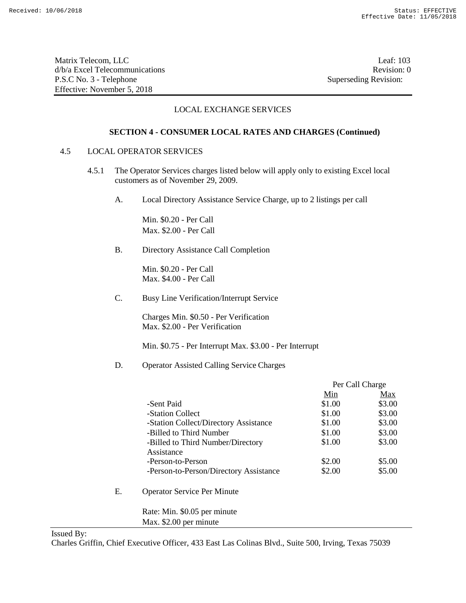Matrix Telecom, LLC Leaf: 103 d/b/a Excel Telecommunications **Review Revision: 0** P.S.C No. 3 - Telephone Superseding Revision: Effective: November 5, 2018

# LOCAL EXCHANGE SERVICES

## **SECTION 4 - CONSUMER LOCAL RATES AND CHARGES (Continued)**

### 4.5 LOCAL OPERATOR SERVICES

- 4.5.1 The Operator Services charges listed below will apply only to existing Excel local customers as of November 29, 2009.
	- A. Local Directory Assistance Service Charge, up to 2 listings per call

Min. \$0.20 - Per Call Max. \$2.00 - Per Call

B. Directory Assistance Call Completion

Min. \$0.20 - Per Call Max. \$4.00 - Per Call

C. Busy Line Verification/Interrupt Service

Charges Min. \$0.50 - Per Verification Max. \$2.00 - Per Verification

Min. \$0.75 - Per Interrupt Max. \$3.00 - Per Interrupt

### D. Operator Assisted Calling Service Charges

|    |                                        | Per Call Charge |        |
|----|----------------------------------------|-----------------|--------|
|    |                                        | Min             | Max    |
|    | -Sent Paid                             | \$1.00          | \$3.00 |
|    | -Station Collect                       | \$1.00          | \$3.00 |
|    | -Station Collect/Directory Assistance  | \$1.00          | \$3.00 |
|    | -Billed to Third Number                | \$1.00          | \$3.00 |
|    | -Billed to Third Number/Directory      | \$1.00          | \$3.00 |
|    | Assistance                             |                 |        |
|    | -Person-to-Person                      | \$2.00          | \$5.00 |
|    | -Person-to-Person/Directory Assistance | \$2.00          | \$5.00 |
| Е. | <b>Operator Service Per Minute</b>     |                 |        |
|    | Rate: Min. \$0.05 per minute           |                 |        |
|    | Max. \$2.00 per minute                 |                 |        |

Issued By: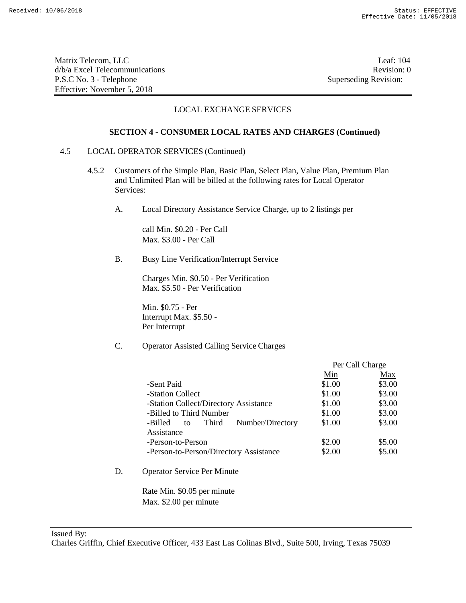Matrix Telecom, LLC Leaf: 104 d/b/a Excel Telecommunications **Review** and the set of the set of the set of the set of the set of the set of the set of the set of the set of the set of the set of the set of the set of the set of the set of the set of th P.S.C No. 3 - Telephone Superseding Revision: Effective: November 5, 2018

# LOCAL EXCHANGE SERVICES

### **SECTION 4 - CONSUMER LOCAL RATES AND CHARGES (Continued)**

### 4.5 LOCAL OPERATOR SERVICES (Continued)

- 4.5.2 Customers of the Simple Plan, Basic Plan, Select Plan, Value Plan, Premium Plan and Unlimited Plan will be billed at the following rates for Local Operator Services:
	- A. Local Directory Assistance Service Charge, up to 2 listings per

call Min. \$0.20 - Per Call Max. \$3.00 - Per Call

B. Busy Line Verification/Interrupt Service

Charges Min. \$0.50 - Per Verification Max. \$5.50 - Per Verification

Min. \$0.75 - Per Interrupt Max. \$5.50 - Per Interrupt

# C. Operator Assisted Calling Service Charges

|                                            | Per Call Charge |        |
|--------------------------------------------|-----------------|--------|
|                                            | Min             | Max    |
| -Sent Paid                                 | \$1.00          | \$3.00 |
| -Station Collect                           | \$1.00          | \$3.00 |
| -Station Collect/Directory Assistance      | \$1.00          | \$3.00 |
| -Billed to Third Number                    | \$1.00          | \$3.00 |
| Number/Directory<br>Third<br>-Billed<br>to | \$1.00          | \$3.00 |
| Assistance                                 |                 |        |
| -Person-to-Person                          | \$2.00          | \$5.00 |
| -Person-to-Person/Directory Assistance     | \$2.00          | \$5.00 |

D. Operator Service Per Minute

Rate Min. \$0.05 per minute Max. \$2.00 per minute

Issued By: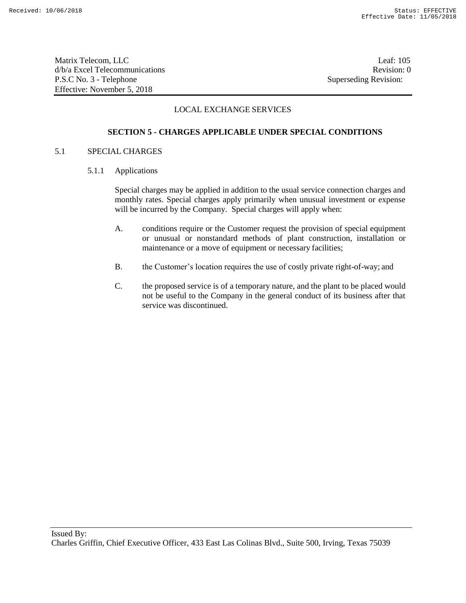Matrix Telecom, LLC Leaf: 105 d/b/a Excel Telecommunications **Review Revision: 0** P.S.C No. 3 - Telephone Superseding Revision: Effective: November 5, 2018

# LOCAL EXCHANGE SERVICES

# **SECTION 5 - CHARGES APPLICABLE UNDER SPECIAL CONDITIONS**

## 5.1 SPECIAL CHARGES

5.1.1 Applications

Special charges may be applied in addition to the usual service connection charges and monthly rates. Special charges apply primarily when unusual investment or expense will be incurred by the Company. Special charges will apply when:

- A. conditions require or the Customer request the provision of special equipment or unusual or nonstandard methods of plant construction, installation or maintenance or a move of equipment or necessary facilities;
- B. the Customer's location requires the use of costly private right-of-way; and
- C. the proposed service is of a temporary nature, and the plant to be placed would not be useful to the Company in the general conduct of its business after that service was discontinued.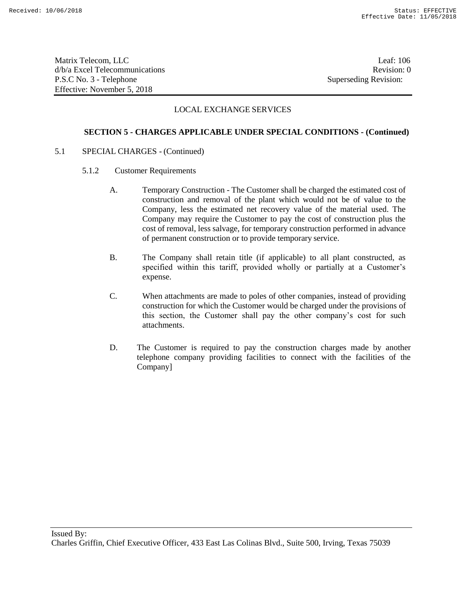Matrix Telecom, LLC Leaf: 106 d/b/a Excel Telecommunications **Review Revision:** 0 P.S.C No. 3 - Telephone Superseding Revision: Effective: November 5, 2018

## LOCAL EXCHANGE SERVICES

### **SECTION 5 - CHARGES APPLICABLE UNDER SPECIAL CONDITIONS - (Continued)**

- 5.1 SPECIAL CHARGES (Continued)
	- 5.1.2 Customer Requirements
		- A. Temporary Construction The Customer shall be charged the estimated cost of construction and removal of the plant which would not be of value to the Company, less the estimated net recovery value of the material used. The Company may require the Customer to pay the cost of construction plus the cost of removal, less salvage, for temporary construction performed in advance of permanent construction or to provide temporary service.
		- B. The Company shall retain title (if applicable) to all plant constructed, as specified within this tariff, provided wholly or partially at a Customer's expense.
		- C. When attachments are made to poles of other companies, instead of providing construction for which the Customer would be charged under the provisions of this section, the Customer shall pay the other company's cost for such attachments.
		- D. The Customer is required to pay the construction charges made by another telephone company providing facilities to connect with the facilities of the Company]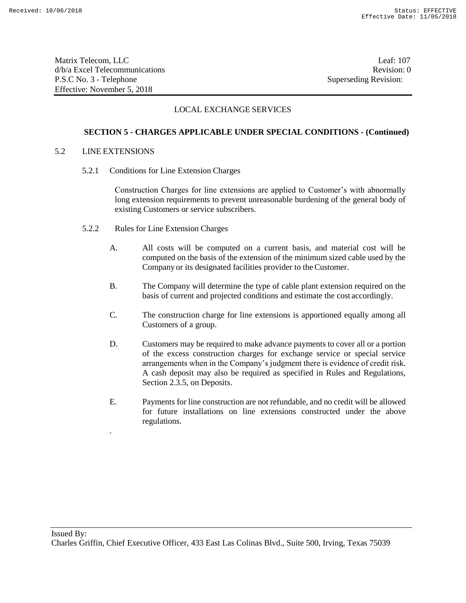Matrix Telecom, LLC Leaf: 107 d/b/a Excel Telecommunications **Review Revision:** 0 P.S.C No. 3 - Telephone Superseding Revision: Effective: November 5, 2018

## LOCAL EXCHANGE SERVICES

### **SECTION 5 - CHARGES APPLICABLE UNDER SPECIAL CONDITIONS - (Continued)**

#### 5.2 LINE EXTENSIONS

.

5.2.1 Conditions for Line Extension Charges

Construction Charges for line extensions are applied to Customer's with abnormally long extension requirements to prevent unreasonable burdening of the general body of existing Customers or service subscribers.

- 5.2.2 Rules for Line Extension Charges
	- A. All costs will be computed on a current basis, and material cost will be computed on the basis of the extension of the minimum sized cable used by the Companyor its designated facilities provider to theCustomer.
	- B. The Company will determine the type of cable plant extension required on the basis of current and projected conditions and estimate the cost accordingly.
	- C. The construction charge for line extensions is apportioned equally among all Customers of a group.
	- D. Customers may be required to make advance payments to cover all or a portion of the excess construction charges for exchange service or special service arrangements when in the Company's judgment there is evidence of credit risk. A cash deposit may also be required as specified in Rules and Regulations, Section 2.3.5, on Deposits.
	- E. Payments for line construction are not refundable, and no credit will be allowed for future installations on line extensions constructed under the above regulations.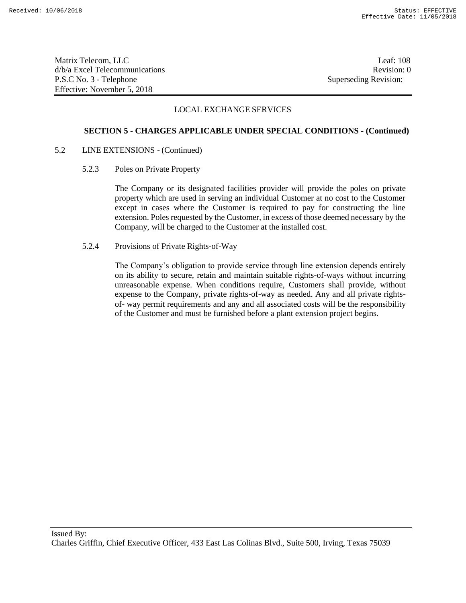Matrix Telecom, LLC Leaf: 108 d/b/a Excel Telecommunications **Review Revision:** 0 P.S.C No. 3 - Telephone Superseding Revision: Effective: November 5, 2018

### LOCAL EXCHANGE SERVICES

#### **SECTION 5 - CHARGES APPLICABLE UNDER SPECIAL CONDITIONS - (Continued)**

#### 5.2 LINE EXTENSIONS - (Continued)

5.2.3 Poles on Private Property

The Company or its designated facilities provider will provide the poles on private property which are used in serving an individual Customer at no cost to the Customer except in cases where the Customer is required to pay for constructing the line extension. Poles requested by the Customer, in excess of those deemed necessary by the Company, will be charged to the Customer at the installed cost.

5.2.4 Provisions of Private Rights-of-Way

The Company's obligation to provide service through line extension depends entirely on its ability to secure, retain and maintain suitable rights-of-ways without incurring unreasonable expense. When conditions require, Customers shall provide, without expense to the Company, private rights-of-way as needed. Any and all private rightsof- way permit requirements and any and all associated costs will be the responsibility of the Customer and must be furnished before a plant extension project begins.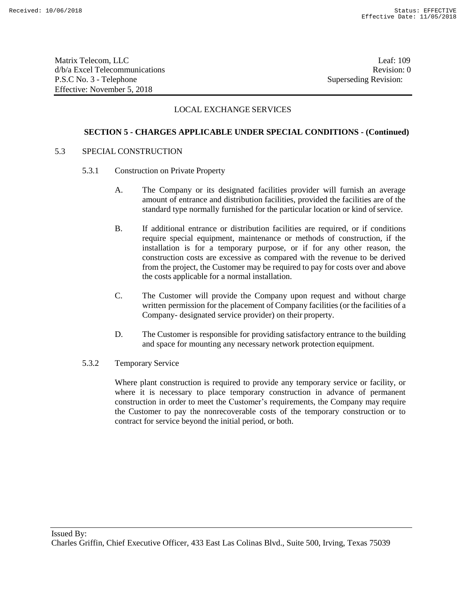Matrix Telecom, LLC Leaf: 109 d/b/a Excel Telecommunications **Review** and the set of the set of the set of the set of the set of the set of the set of the set of the set of the set of the set of the set of the set of the set of the set of the set of th P.S.C No. 3 - Telephone Superseding Revision: Effective: November 5, 2018

## LOCAL EXCHANGE SERVICES

### **SECTION 5 - CHARGES APPLICABLE UNDER SPECIAL CONDITIONS - (Continued)**

#### 5.3 SPECIAL CONSTRUCTION

- 5.3.1 Construction on Private Property
	- A. The Company or its designated facilities provider will furnish an average amount of entrance and distribution facilities, provided the facilities are of the standard type normally furnished for the particular location or kind of service.
	- B. If additional entrance or distribution facilities are required, or if conditions require special equipment, maintenance or methods of construction, if the installation is for a temporary purpose, or if for any other reason, the construction costs are excessive as compared with the revenue to be derived from the project, the Customer may be required to pay for costs over and above the costs applicable for a normal installation.
	- C. The Customer will provide the Company upon request and without charge written permission for the placement of Company facilities (or the facilities of a Company- designated service provider) on their property.
	- D. The Customer is responsible for providing satisfactory entrance to the building and space for mounting any necessary network protection equipment.
- 5.3.2 Temporary Service

Where plant construction is required to provide any temporary service or facility, or where it is necessary to place temporary construction in advance of permanent construction in order to meet the Customer's requirements, the Company may require the Customer to pay the nonrecoverable costs of the temporary construction or to contract for service beyond the initial period, or both.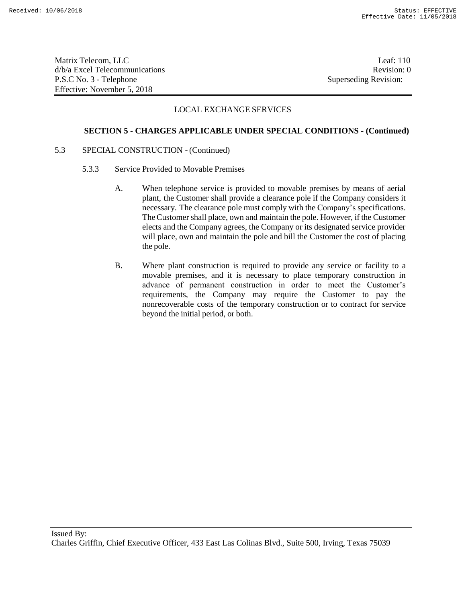Matrix Telecom, LLC Leaf: 110 d/b/a Excel Telecommunications **Review Revision:** 0 P.S.C No. 3 - Telephone Superseding Revision: Effective: November 5, 2018

### LOCAL EXCHANGE SERVICES

#### **SECTION 5 - CHARGES APPLICABLE UNDER SPECIAL CONDITIONS - (Continued)**

- 5.3 SPECIAL CONSTRUCTION (Continued)
	- 5.3.3 Service Provided to Movable Premises
		- A. When telephone service is provided to movable premises by means of aerial plant, the Customer shall provide a clearance pole if the Company considers it necessary. The clearance pole must comply with the Company's specifications. TheCustomer shall place, own and maintain the pole. However, if the Customer elects and the Company agrees, the Company or its designated service provider will place, own and maintain the pole and bill the Customer the cost of placing the pole.
		- B. Where plant construction is required to provide any service or facility to a movable premises, and it is necessary to place temporary construction in advance of permanent construction in order to meet the Customer's requirements, the Company may require the Customer to pay the nonrecoverable costs of the temporary construction or to contract for service beyond the initial period, or both.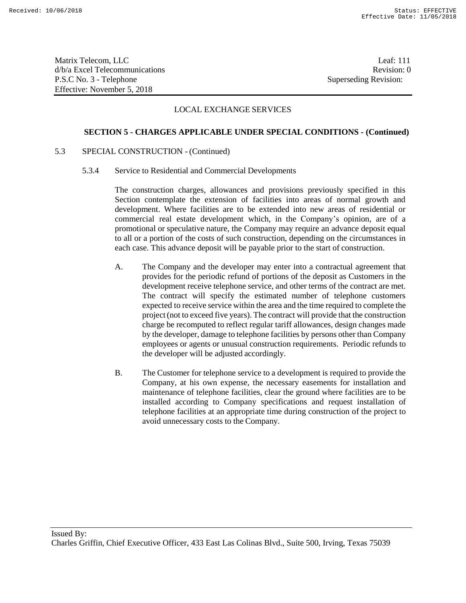Matrix Telecom, LLC Leaf: 111 d/b/a Excel Telecommunications **Review** and the set of the set of the set of the set of the set of the set of the set of the set of the set of the set of the set of the set of the set of the set of the set of the set of th P.S.C No. 3 - Telephone Superseding Revision: Effective: November 5, 2018

### LOCAL EXCHANGE SERVICES

#### **SECTION 5 - CHARGES APPLICABLE UNDER SPECIAL CONDITIONS - (Continued)**

### 5.3 SPECIAL CONSTRUCTION - (Continued)

5.3.4 Service to Residential and Commercial Developments

The construction charges, allowances and provisions previously specified in this Section contemplate the extension of facilities into areas of normal growth and development. Where facilities are to be extended into new areas of residential or commercial real estate development which, in the Company's opinion, are of a promotional or speculative nature, the Company may require an advance deposit equal to all or a portion of the costs of such construction, depending on the circumstances in each case. This advance deposit will be payable prior to the start of construction.

- A. The Company and the developer may enter into a contractual agreement that provides for the periodic refund of portions of the deposit as Customers in the development receive telephone service, and other terms of the contract are met. The contract will specify the estimated number of telephone customers expected to receive service within the area and the time required to complete the project(not to exceed five years). The contract will provide that the construction charge be recomputed to reflect regular tariff allowances, design changes made by the developer, damage to telephone facilities by persons other than Company employees or agents or unusual construction requirements. Periodic refunds to the developer will be adjusted accordingly.
- B. The Customer for telephone service to a development is required to provide the Company, at his own expense, the necessary easements for installation and maintenance of telephone facilities, clear the ground where facilities are to be installed according to Company specifications and request installation of telephone facilities at an appropriate time during construction of the project to avoid unnecessary costs to the Company.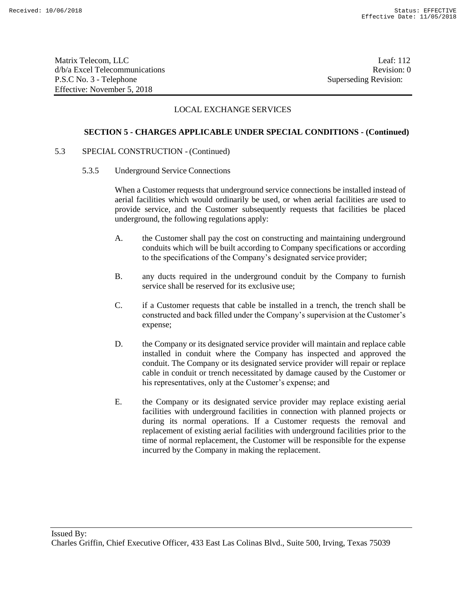Matrix Telecom, LLC Leaf: 112 d/b/a Excel Telecommunications **Review** and the set of the set of the set of the set of the set of the set of the set of the set of the set of the set of the set of the set of the set of the set of the set of the set of th P.S.C No. 3 - Telephone Superseding Revision: Effective: November 5, 2018

## LOCAL EXCHANGE SERVICES

### **SECTION 5 - CHARGES APPLICABLE UNDER SPECIAL CONDITIONS - (Continued)**

### 5.3 SPECIAL CONSTRUCTION - (Continued)

5.3.5 Underground Service Connections

When a Customer requests that underground service connections be installed instead of aerial facilities which would ordinarily be used, or when aerial facilities are used to provide service, and the Customer subsequently requests that facilities be placed underground, the following regulations apply:

- A. the Customer shall pay the cost on constructing and maintaining underground conduits which will be built according to Company specifications or according to the specifications of the Company's designated service provider;
- B. any ducts required in the underground conduit by the Company to furnish service shall be reserved for its exclusive use;
- C. if a Customer requests that cable be installed in a trench, the trench shall be constructed and back filled under the Company's supervision at the Customer's expense;
- D. the Company or its designated service provider will maintain and replace cable installed in conduit where the Company has inspected and approved the conduit. The Company or its designated service provider will repair or replace cable in conduit or trench necessitated by damage caused by the Customer or his representatives, only at the Customer's expense; and
- E. the Company or its designated service provider may replace existing aerial facilities with underground facilities in connection with planned projects or during its normal operations. If a Customer requests the removal and replacement of existing aerial facilities with underground facilities prior to the time of normal replacement, the Customer will be responsible for the expense incurred by the Company in making the replacement.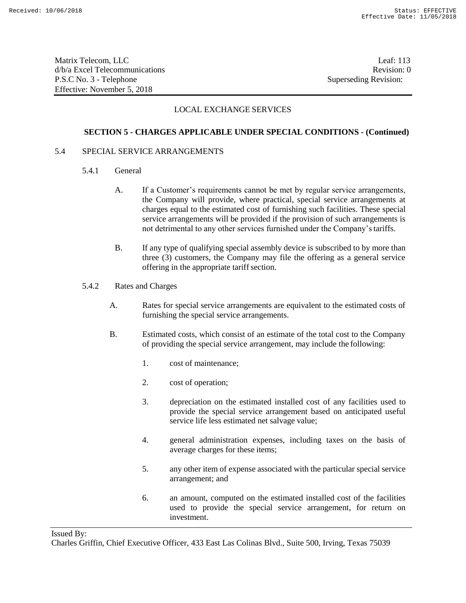Matrix Telecom, LLC Leaf: 113 d/b/a Excel Telecommunications and the control of the control of the control of the Revision: 0 P.S.C No. 3 - Telephone Superseding Revision: Effective: November 5, 2018

## LOCAL EXCHANGE SERVICES

### **SECTION 5 - CHARGES APPLICABLE UNDER SPECIAL CONDITIONS - (Continued)**

#### 5.4 SPECIAL SERVICE ARRANGEMENTS

- 5.4.1 General
	- A. If a Customer's requirements cannot be met by regular service arrangements, the Company will provide, where practical, special service arrangements at charges equal to the estimated cost of furnishing such facilities. These special service arrangements will be provided if the provision of such arrangements is not detrimental to any other services furnished under the Company'stariffs.
	- B. If any type of qualifying special assembly device is subscribed to by more than three (3) customers, the Company may file the offering as a general service offering in the appropriate tariff section.
- 5.4.2 Rates and Charges
	- A. Rates for special service arrangements are equivalent to the estimated costs of furnishing the special service arrangements.
	- B. Estimated costs, which consist of an estimate of the total cost to the Company of providing the special service arrangement, may include the following:
		- 1. cost of maintenance;
		- 2. cost of operation;
		- 3. depreciation on the estimated installed cost of any facilities used to provide the special service arrangement based on anticipated useful service life less estimated net salvage value;
		- 4. general administration expenses, including taxes on the basis of average charges for these items;
		- 5. any other item of expense associated with the particular special service arrangement; and
		- 6. an amount, computed on the estimated installed cost of the facilities used to provide the special service arrangement, for return on investment.

Issued By:

Charles Griffin, Chief Executive Officer, 433 East Las Colinas Blvd., Suite 500, Irving, Texas 75039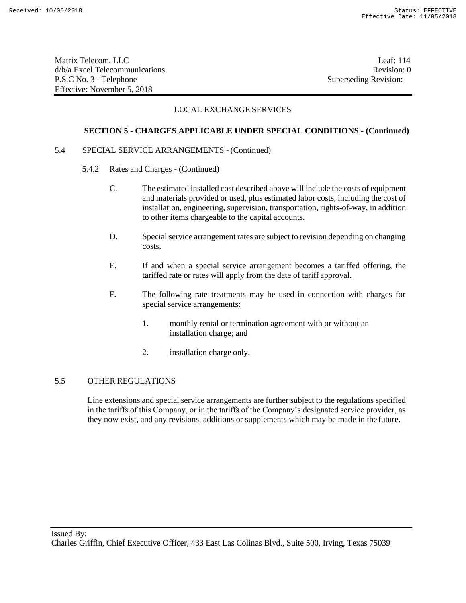Matrix Telecom, LLC Leaf: 114 d/b/a Excel Telecommunications **Review** and the set of the set of the set of the set of the set of the set of the set of the set of the set of the set of the set of the set of the set of the set of the set of the set of th P.S.C No. 3 - Telephone Superseding Revision: Effective: November 5, 2018

## LOCAL EXCHANGE SERVICES

### **SECTION 5 - CHARGES APPLICABLE UNDER SPECIAL CONDITIONS - (Continued)**

### 5.4 SPECIAL SERVICE ARRANGEMENTS - (Continued)

- 5.4.2 Rates and Charges (Continued)
	- C. The estimated installed cost described above will include the costs of equipment and materials provided or used, plus estimated labor costs, including the cost of installation, engineering, supervision, transportation, rights-of-way, in addition to other items chargeable to the capital accounts.
	- D. Special service arrangement rates are subject to revision depending on changing costs.
	- E. If and when a special service arrangement becomes a tariffed offering, the tariffed rate or rates will apply from the date of tariff approval.
	- F. The following rate treatments may be used in connection with charges for special service arrangements:
		- 1. monthly rental or termination agreement with or without an installation charge; and
		- 2. installation charge only.

### 5.5 OTHER REGULATIONS

Line extensions and special service arrangements are further subject to the regulations specified in the tariffs of this Company, or in the tariffs of the Company's designated service provider, as they now exist, and any revisions, additions or supplements which may be made in the future.